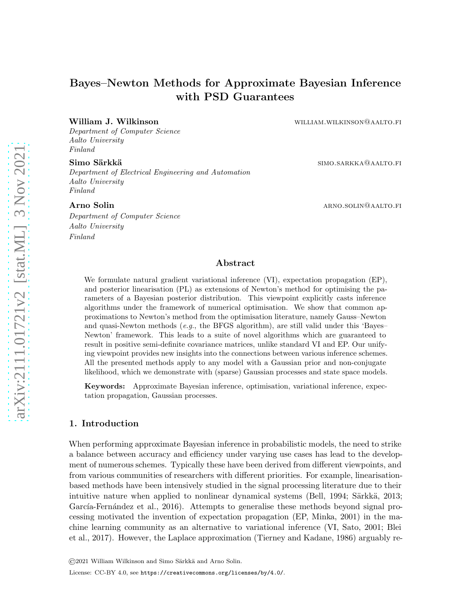# Bayes–Newton Methods for Approximate Bayesian Inference with PSD Guarantees

Department of Computer Science Aalto University Finland

Department of Electrical Engineering and Automation Aalto University Finland

Department of Computer Science Aalto University Finland

William J. Wilkinson william.wilkinson@aalto.fi

Simo Särkkä simo.sarkka simo.sarkka@aalto.fi

Arno Solin arithmeters are the contracted and the set of the set of the set of the set of the set of the set of the set of the set of the set of the set of the set of the set of the set of the set of the set of the set of

# Abstract

We formulate natural gradient variational inference (VI), expectation propagation (EP), and posterior linearisation (PL) as extensions of Newton's method for optimising the parameters of a Bayesian posterior distribution. This viewpoint explicitly casts inference algorithms under the framework of numerical optimisation. We show that common approximations to Newton's method from the optimisation literature, namely Gauss–Newton and quasi-Newton methods (e.g., the BFGS algorithm), are still valid under this 'Bayes-Newton' framework. This leads to a suite of novel algorithms which are guaranteed to result in positive semi-definite covariance matrices, unlike standard VI and EP. Our unifying viewpoint provides new insights into the connections between various inference schemes. All the presented methods apply to any model with a Gaussian prior and non-conjugate likelihood, which we demonstrate with (sparse) Gaussian processes and state space models.

Keywords: Approximate Bayesian inference, optimisation, variational inference, expectation propagation, Gaussian processes.

# 1. Introduction

When performing approximate Bayesian inference in probabilistic models, the need to strike a balance between accuracy and efficiency under varying use cases has lead to the development of numerous schemes. Typically these have been derived from different viewpoints, and from various communities of researchers with different priorities. For example, linearisationbased methods have been intensively studied in the signal processing literature due to their intuitive nature when applied to nonlinear dynamical systems [\(Bell](#page-34-0), [1994](#page-34-0); Särkkä, 2013; García-Fernández et al., [2016](#page-35-0)). Attempts to generalise these methods beyond signal processing motivated the invention of expectation propagation (EP, [Minka](#page-37-0), [2001](#page-37-0)) in the machin[e learning community as an alternative to variational inference \(VI,](#page-34-1) [Sato](#page-38-1)[,](#page-34-1) [2001;](#page-38-1) Blei et al., [2017](#page-34-1)). However, the Laplace approximation (Tierney [and Kadane](#page-38-2), [1986\)](#page-38-2) arguably re-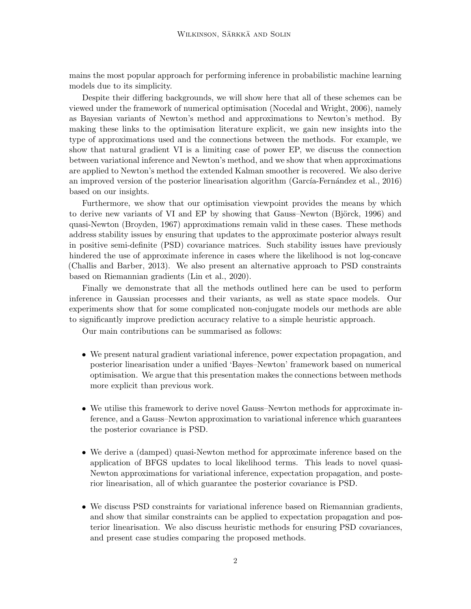mains the most popular approach for performing inference in probabilistic machine learning models due to its simplicity.

Despite their differing backgrounds, we will show here that all of these schemes can be viewed under the framework of numerical optimisation [\(Nocedal and Wright, 2006](#page-37-1)), namely as Bayesian variants of Newton's method and approximations to Newton's method. By making these links to the optimisation literature explicit, we gain new insights into the type of approximations used and the connections between the methods. For example, we show that natural gradient VI is a limiting case of power EP, we discuss the connection between variational inference and Newton's method, and we show that when approximations are applied to Newton's method the extended Kalman smoother is recovered. We also derive an improved version of the posterior linearisation algorithm (García-Fernández et al.,  $2016$ ) based on our insights.

Furthermore, we show that our optimisation viewpoint provides the means by which to derive new variants of VI and EP by showing that Gauss–Newton (Björck, [1996\)](#page-34-2) and quasi-Newton [\(Broyden](#page-35-1), [1967\)](#page-35-1) approximations remain valid in these cases. These methods address stability issues by ensuring that updates to the approximate posterior always result in positive semi-definite (PSD) covariance matrices. Such stability issues have previously hindered the use of approximate inference in cases where the likelihood is not log-concave [\(Challis and Barber](#page-35-2), [2013](#page-35-2)). We also present an alternative approach to PSD constraints based on Riemannian gradients [\(Lin et al.](#page-37-2), [2020\)](#page-37-2).

Finally we demonstrate that all the methods outlined here can be used to perform inference in Gaussian processes and their variants, as well as state space models. Our experiments show that for some complicated non-conjugate models our methods are able to significantly improve prediction accuracy relative to a simple heuristic approach.

Our main contributions can be summarised as follows:

- We present natural gradient variational inference, power expectation propagation, and posterior linearisation under a unified 'Bayes–Newton' framework based on numerical optimisation. We argue that this presentation makes the connections between methods more explicit than previous work.
- We utilise this framework to derive novel Gauss–Newton methods for approximate inference, and a Gauss–Newton approximation to variational inference which guarantees the posterior covariance is PSD.
- We derive a (damped) quasi-Newton method for approximate inference based on the application of BFGS updates to local likelihood terms. This leads to novel quasi-Newton approximations for variational inference, expectation propagation, and posterior linearisation, all of which guarantee the posterior covariance is PSD.
- We discuss PSD constraints for variational inference based on Riemannian gradients, and show that similar constraints can be applied to expectation propagation and posterior linearisation. We also discuss heuristic methods for ensuring PSD covariances, and present case studies comparing the proposed methods.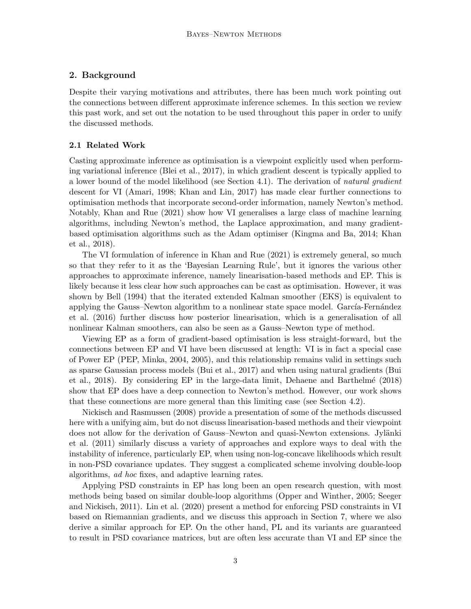# 2. Background

Despite their varying motivations and attributes, there has been much work pointing out the connections between different approximate inference schemes. In this section we review this past work, and set out the notation to be used throughout this paper in order to unify the discussed methods.

# 2.1 Related Work

Casting approximate inference as optimisation is a viewpoint explicitly used when performing variational inference [\(Blei et al.](#page-34-1), [2017](#page-34-1)), in which gradient descent is typically applied to a lower bound of the model likelihood (see [Section 4.1\)](#page-6-0). The derivation of natural gradient descent for VI [\(Amari](#page-34-3), [1998;](#page-34-3) [Khan and Lin, 2017](#page-36-0)) has made clear further connections to optimisation methods that incorporate second-order information, namely Newton's method. Notably, [Khan and Rue \(2021](#page-36-1)) show how VI generalises a large class of machine learning algorithms, including Newton's method, the Laplace approximation, and many gradientbase[d optimisation algorithms such as the Adam optimiser](#page-36-3) [\(Kingma and Ba, 2014;](#page-36-2) Khan et al., [2018\)](#page-36-3).

The VI formulation of inference in [Khan and Rue \(2021](#page-36-1)) is extremely general, so much so that they refer to it as the 'Bayesian Learning Rule', but it ignores the various other approaches to approximate inference, namely linearisation-based methods and EP. This is likely because it less clear how such approaches can be cast as optimisation. However, it was shown by [Bell \(1994\)](#page-34-0) that the iterated extended Kalman smoother (EKS) is equivalent to appl[ying the Gauss–Newton algorithm to a nonlinear state space model.](#page-35-0) García-Fernández et al. [\(2016\)](#page-35-0) further discuss how posterior linearisation, which is a generalisation of all nonlinear Kalman smoothers, can also be seen as a Gauss–Newton type of method.

Viewing EP as a form of gradient-based optimisation is less straight-forward, but the connections between EP and VI have been discussed at length: VI is in fact a special case of Power EP (PEP, [Minka](#page-37-3), [2004](#page-37-3), [2005](#page-37-4)), and this relationship remains valid in settings such as sp[arse Gaussian process models](#page-35-4) [\(Bui et al.](#page-35-3)[,](#page-35-4) [2017](#page-35-3)[\) and when](#page-35-4) using natural gradients (Bui et al., [2018](#page-35-4)). By considering EP in the large-data limit, [Dehaene and Barthelm´e \(2018\)](#page-35-5) show that EP does have a deep connection to Newton's method. However, our work shows [that these connections are m](#page-37-5)ore general than this limiting case (see [Section 4.2\)](#page-8-0).

Nickisch and Rasmussen [\(2008\)](#page-37-5) provide a presentation of some of the methods discussed here with a unifying aim, but do not discuss linearisation-based methods and their viewpoint does [not allow for the derivation of Gauss–Newton and quasi-Newton extensions.](#page-36-4) Jylänki et al. [\(2011](#page-36-4)) similarly discuss a variety of approaches and explore ways to deal with the instability of inference, particularly EP, when using non-log-concave likelihoods which result in non-PSD covariance updates. They suggest a complicated scheme involving double-loop algorithms, ad hoc fixes, and adaptive learning rates.

Applying PSD constraints in EP has long been an open research question, with most methods bei[ng based on similar double-loop algorithms](#page-38-3) [\(Opper and Winther, 2005](#page-37-6)[;](#page-38-3) Seeger and Nickisch, [2011\)](#page-38-3). [Lin et al. \(2020\)](#page-37-2) present a method for enforcing PSD constraints in VI based on Riemannian gradients, and we discuss this approach in [Section 7,](#page-22-0) where we also derive a similar approach for EP. On the other hand, PL and its variants are guaranteed to result in PSD covariance matrices, but are often less accurate than VI and EP since the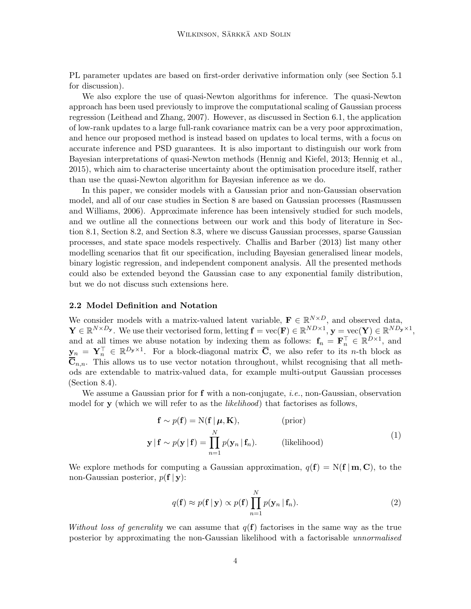PL parameter updates are based on first-order derivative information only (see [Section 5.1](#page-15-0) for discussion).

We also explore the use of quasi-Newton algorithms for inference. The quasi-Newton approach has been used previously to improve the computational scaling of Gaussian process regression [\(Leithead and Zhang, 2007](#page-37-7)). However, as discussed in [Section 6.1,](#page-19-0) the application of low-rank updates to a large full-rank covariance matrix can be a very poor approximation, and hence our proposed method is instead based on updates to local terms, with a focus on accurate inference and PSD guarantees. It is also important to distinguish our work from Bayesian interpretations of quasi-Newton methods (Hennig [and Kiefel](#page-36-5), [2013](#page-36-5); [Hennig et al.](#page-36-6), [2015](#page-36-6)), which aim to characterise uncertainty about the optimisation procedure itself, rather than use the quasi-Newton algorithm for Bayesian inference as we do.

In this paper, we consider models with a Gaussian prior and non-Gaussian observation model, and a[ll of our case studies in](#page-37-8) [Section 8](#page-23-0) [are based on Gaussian processes \(](#page-37-8)Rasmussen and Williams, [2006](#page-37-8)). Approximate inference has been intensively studied for such models, and we [outline all the connections between our work and this body of literature in](#page-23-1) Section 8.1, [Section 8.2,](#page-24-0) and [Section 8.3,](#page-25-0) where we discuss Gaussian processes, sparse Gaussian processes, and state space models respectively. [Challis and Barber \(2013](#page-35-2)) list many other modelling scenarios that fit our specification, including Bayesian generalised linear models, binary logistic regression, and independent component analysis. All the presented methods could also be extended beyond the Gaussian case to any exponential family distribution, but we do not discuss such extensions here.

#### 2.2 Model Definition and Notation

We consider models with a matrix-valued latent variable,  $\mathbf{F} \in \mathbb{R}^{N \times D}$ , and observed data,  $\mathbf{Y} \in \mathbb{R}^{N \times D_{\mathbf{y}}}.$  We use their vectorised form, letting  $\mathbf{f} = \text{vec}(\mathbf{F}) \in \mathbb{R}^{ND \times 1}, \mathbf{y} = \text{vec}(\mathbf{Y}) \in \mathbb{R}^{ND_{\mathbf{y}} \times 1},$ and at all times we abuse notation by indexing them as follows:  $f_n = F_n^{\top} \in \mathbb{R}^{D \times 1}$ , and  $\mathbf{y}_n = \mathbf{Y}_n^{\top} \in \mathbb{R}^{D_{\mathbf{y}} \times 1}$ . For a block-diagonal matrix  $\overline{\mathbf{C}}$ , we also refer to its *n*-th block as  $\overline{\mathbf{C}}_{n,n}$ . This allows us to use vector notation throughout, whilst recognising that all methods are extendable to matrix-valued data, for example multi-output Gaussian processes [\(Section 8.4\)](#page-27-0).

We assume a Gaussian prior for  $f$  with a non-conjugate, *i.e.*, non-Gaussian, observation model for y (which we will refer to as the *likelihood*) that factorises as follows,

$$
\mathbf{f} \sim p(\mathbf{f}) = N(\mathbf{f} | \boldsymbol{\mu}, \mathbf{K}), \qquad \text{(prior)}
$$
  

$$
\mathbf{y} | \mathbf{f} \sim p(\mathbf{y} | \mathbf{f}) = \prod_{n=1}^{N} p(\mathbf{y}_n | \mathbf{f}_n).
$$
 (likelihood) (1)

We explore methods for computing a Gaussian approximation,  $q(\mathbf{f}) = N(\mathbf{f} \mid \mathbf{m}, \mathbf{C})$ , to the non-Gaussian posterior,  $p(\mathbf{f} | \mathbf{y})$ :

$$
q(\mathbf{f}) \approx p(\mathbf{f} \mid \mathbf{y}) \propto p(\mathbf{f}) \prod_{n=1}^{N} p(\mathbf{y}_n \mid \mathbf{f}_n).
$$
 (2)

Without loss of generality we can assume that  $q(\mathbf{f})$  factorises in the same way as the true posterior by approximating the non-Gaussian likelihood with a factorisable unnormalised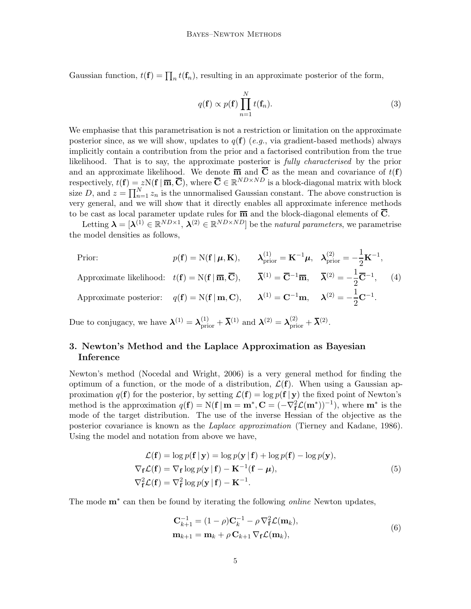Gaussian function,  $t(\mathbf{f}) = \prod_n t(\mathbf{f}_n)$ , resulting in an approximate posterior of the form,

$$
q(\mathbf{f}) \propto p(\mathbf{f}) \prod_{n=1}^{N} t(\mathbf{f}_n).
$$
 (3)

We emphasise that this parametrisation is not a restriction or limitation on the approximate posterior since, as we will show, updates to  $q(f)$  (e.g., via gradient-based methods) always implicitly contain a contribution from the prior and a factorised contribution from the true likelihood. That is to say, the approximate posterior is fully characterised by the prior and an approximate likelihood. We denote  $\overline{m}$  and  $\overline{C}$  as the mean and covariance of  $t(f)$ respectively,  $t(\mathbf{f}) = zN(\mathbf{f} | \overline{\mathbf{m}}, \overline{\mathbf{C}})$ , where  $\overline{\mathbf{C}} \in \mathbb{R}^{ND \times ND}$  is a block-diagonal matrix with block size D, and  $z = \prod_{n=1}^{N} z_n$  is the unnormalised Gaussian constant. The above construction is very general, and we will show that it directly enables all approximate inference methods to be cast as local parameter update rules for  $\overline{m}$  and the block-diagonal elements of  $\overline{C}$ .

Letting  $\boldsymbol{\lambda} = [\boldsymbol{\lambda}^{(1)} \in \mathbb{R}^{ND \times 1}, \ \boldsymbol{\lambda}^{(2)} \in \mathbb{R}^{ND \times ND}]$  be the natural parameters, we parametrise the model densities as follows,

Prior: 
$$
p(\mathbf{f}) = N(\mathbf{f} | \boldsymbol{\mu}, \mathbf{K}), \qquad \lambda_{\text{prior}}^{(1)} = \mathbf{K}^{-1} \boldsymbol{\mu}, \quad \lambda_{\text{prior}}^{(2)} = -\frac{1}{2} \mathbf{K}^{-1},
$$
  
Approximate likelihood:  $t(\mathbf{f}) = N(\mathbf{f} | \overline{\mathbf{m}}, \overline{\mathbf{C}}), \qquad \overline{\boldsymbol{\lambda}}^{(1)} = \overline{\mathbf{C}}^{-1} \overline{\mathbf{m}}, \quad \overline{\boldsymbol{\lambda}}^{(2)} = -\frac{1}{2} \overline{\mathbf{C}}^{-1}, \qquad (4)$   
Approximate posterior:  $q(\mathbf{f}) = N(\mathbf{f} | \mathbf{m}, \mathbf{C}), \qquad \lambda^{(1)} = \mathbf{C}^{-1} \mathbf{m}, \qquad \lambda^{(2)} = -\frac{1}{2} \mathbf{C}^{-1}.$ 

Due to conjugacy, we have  $\boldsymbol{\lambda}^{(1)} = \boldsymbol{\lambda}_{\text{prior}}^{(1)} + \boldsymbol{\overline{\lambda}}^{(1)}$  and  $\boldsymbol{\lambda}^{(2)} = \boldsymbol{\lambda}_{\text{prior}}^{(2)} + \boldsymbol{\overline{\lambda}}^{(2)}$ .

# 3. Newton's Method and the Laplace Approximation as Bayesian Inference

Newton's method [\(Nocedal and Wright](#page-37-1), [2006\)](#page-37-1) is a very general method for finding the optimum of a function, or the mode of a distribution,  $\mathcal{L}(\mathbf{f})$ . When using a Gaussian approximation  $q(\mathbf{f})$  for the posterior, by setting  $\mathcal{L}(\mathbf{f}) = \log p(\mathbf{f} | \mathbf{y})$  the fixed point of Newton's method is the approximation  $q(\mathbf{f}) = N(\mathbf{f} \mid \mathbf{m} = \mathbf{m}^*, \mathbf{C} = (-\nabla_{\mathbf{f}}^2 \mathcal{L}(\mathbf{m}^*))^{-1}$ , where  $\mathbf{m}^*$  is the mode of the target distribution. The use of the inverse Hessian of the objective as the posterior covariance is known as the *Laplace approximation* [\(Tierney and Kadane, 1986\)](#page-38-2). Using the model and notation from above we have,

$$
\mathcal{L}(\mathbf{f}) = \log p(\mathbf{f} | \mathbf{y}) = \log p(\mathbf{y} | \mathbf{f}) + \log p(\mathbf{f}) - \log p(\mathbf{y}),
$$
  
\n
$$
\nabla_{\mathbf{f}} \mathcal{L}(\mathbf{f}) = \nabla_{\mathbf{f}} \log p(\mathbf{y} | \mathbf{f}) - \mathbf{K}^{-1}(\mathbf{f} - \boldsymbol{\mu}),
$$
  
\n
$$
\nabla_{\mathbf{f}}^{2} \mathcal{L}(\mathbf{f}) = \nabla_{\mathbf{f}}^{2} \log p(\mathbf{y} | \mathbf{f}) - \mathbf{K}^{-1}.
$$
\n(5)

The mode  $\mathbf{m}^*$  can then be found by iterating the following *online* Newton updates,

<span id="page-4-1"></span><span id="page-4-0"></span>
$$
\mathbf{C}_{k+1}^{-1} = (1 - \rho)\mathbf{C}_k^{-1} - \rho \nabla_{\mathbf{f}}^2 \mathcal{L}(\mathbf{m}_k),
$$
  
\n
$$
\mathbf{m}_{k+1} = \mathbf{m}_k + \rho \mathbf{C}_{k+1} \nabla_{\mathbf{f}} \mathcal{L}(\mathbf{m}_k),
$$
\n(6)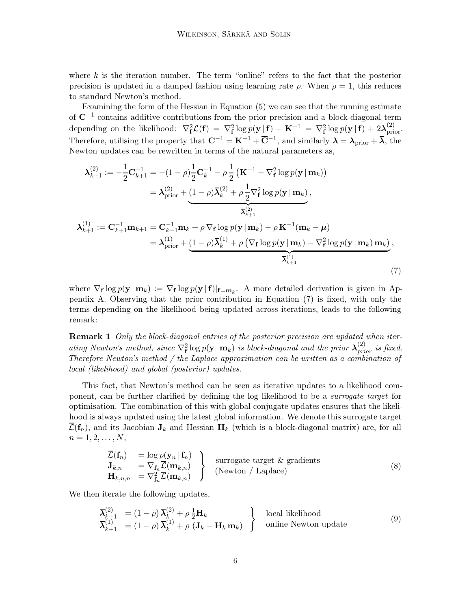where  $k$  is the iteration number. The term "online" refers to the fact that the posterior precision is updated in a damped fashion using learning rate  $\rho$ . When  $\rho = 1$ , this reduces to standard Newton's method.

Examining the form of the Hessian in [Equation \(5\)](#page-4-0) we can see that the running estimate of C−<sup>1</sup> contains additive contributions from the prior precision and a block-diagonal term depending on the likelihood:  $\nabla_{\mathbf{f}}^2 \mathcal{L}(\mathbf{f}) = \nabla_{\mathbf{f}}^2 \log p(\mathbf{y} | \mathbf{f}) - \mathbf{K}^{-1} = \nabla_{\mathbf{f}}^2 \log p(\mathbf{y} | \mathbf{f}) + 2\boldsymbol{\lambda}_{\text{prior}}^{(2)}$ . Therefore, utilising the property that  $\mathbf{C}^{-1} = \mathbf{K}^{-1} + \overline{\mathbf{C}}^{-1}$ , and similarly  $\boldsymbol{\lambda} = \boldsymbol{\lambda}_{\text{prior}} + \overline{\boldsymbol{\lambda}}$ , the Newton updates can be rewritten in terms of the natural parameters as,

$$
\lambda_{k+1}^{(2)} := -\frac{1}{2} \mathbf{C}_{k+1}^{-1} = -(1 - \rho) \frac{1}{2} \mathbf{C}_{k}^{-1} - \rho \frac{1}{2} (\mathbf{K}^{-1} - \nabla_{\mathbf{f}}^{2} \log p(\mathbf{y} \mid \mathbf{m}_{k}))
$$
\n
$$
= \lambda_{\text{prior}}^{(2)} + \underbrace{(1 - \rho) \overline{\lambda}_{k}^{(2)} + \rho \frac{1}{2} \nabla_{\mathbf{f}}^{2} \log p(\mathbf{y} \mid \mathbf{m}_{k})}_{\overline{\lambda}_{k+1}^{(2)}},
$$
\n
$$
\lambda_{k+1}^{(1)} := \mathbf{C}_{k+1}^{-1} \mathbf{m}_{k+1} = \mathbf{C}_{k+1}^{-1} \mathbf{m}_{k} + \rho \nabla_{\mathbf{f}} \log p(\mathbf{y} \mid \mathbf{m}_{k}) - \rho \mathbf{K}^{-1} (\mathbf{m}_{k} - \mu)
$$
\n
$$
= \lambda_{\text{prior}}^{(1)} + \underbrace{(1 - \rho) \overline{\lambda}_{k}^{(1)} + \rho (\nabla_{\mathbf{f}} \log p(\mathbf{y} \mid \mathbf{m}_{k}) - \nabla_{\mathbf{f}}^{2} \log p(\mathbf{y} \mid \mathbf{m}_{k})}_{\overline{\lambda}_{k+1}^{(1)}}, \tag{7}
$$

<span id="page-5-0"></span>where  $\nabla_{f} \log p(\mathbf{y} \mid \mathbf{m}_{k}) := \nabla_{f} \log p(\mathbf{y} \mid f)|_{f=\mathbf{m}_{k}}$  $\nabla_{f} \log p(\mathbf{y} \mid \mathbf{m}_{k}) := \nabla_{f} \log p(\mathbf{y} \mid f)|_{f=\mathbf{m}_{k}}$  $\nabla_{f} \log p(\mathbf{y} \mid \mathbf{m}_{k}) := \nabla_{f} \log p(\mathbf{y} \mid f)|_{f=\mathbf{m}_{k}}$ . A more detailed derivation is given in Appendix A. Observing that the prior contribution in [Equation](#page-5-0) (7) is fixed, with only the terms depending on the likelihood being updated across iterations, leads to the following remark:

**Remark 1** Only the block-diagonal entries of the posterior precision are updated when iterating Newton's method, since  $\nabla_{\mathbf{f}}^2 \log p(\mathbf{y} \mid \mathbf{m}_k)$  is block-diagonal and the prior  $\boldsymbol{\lambda}_{prior}^{(2)}$  is fixed. Therefore Newton's method / the Laplace approximation can be written as a combination of local (likelihood) and global (posterior) updates.

This fact, that Newton's method can be seen as iterative updates to a likelihood component, can be further clarified by defining the log likelihood to be a surrogate target for optimisation. The combination of this with global conjugate updates ensures that the likelihood is always updated using the latest global information. We denote this surrogate target  $\mathcal{L}(\mathbf{f}_n)$ , and its Jacobian  $\mathbf{J}_k$  and Hessian  $\mathbf{H}_k$  (which is a block-diagonal matrix) are, for all  $n = 1, 2, \ldots, N,$ 

<span id="page-5-2"></span><span id="page-5-1"></span>
$$
\begin{array}{ll}\n\overline{\mathcal{L}}(\mathbf{f}_n) & = \log p(\mathbf{y}_n | \mathbf{f}_n) \\
\mathbf{J}_{k,n} & = \nabla_{\mathbf{f}_n} \overline{\mathcal{L}}(\mathbf{m}_{k,n}) \\
\mathbf{H}_{k,n,n} & = \nabla_{\mathbf{f}_n}^2 \overline{\mathcal{L}}(\mathbf{m}_{k,n})\n\end{array}\n\bigg\} \quad \text{surrogate target & gradients} \tag{8}
$$

We then iterate the following updates,

$$
\overline{\lambda}_{k+1}^{(2)} = (1 - \rho) \overline{\lambda}_k^{(2)} + \rho \frac{1}{2} \mathbf{H}_k\n\n\overline{\lambda}_{k+1}^{(1)} = (1 - \rho) \overline{\lambda}_k^{(1)} + \rho (J_k - \mathbf{H}_k \mathbf{m}_k) \quad \text{online Newton update}
$$
\n(9)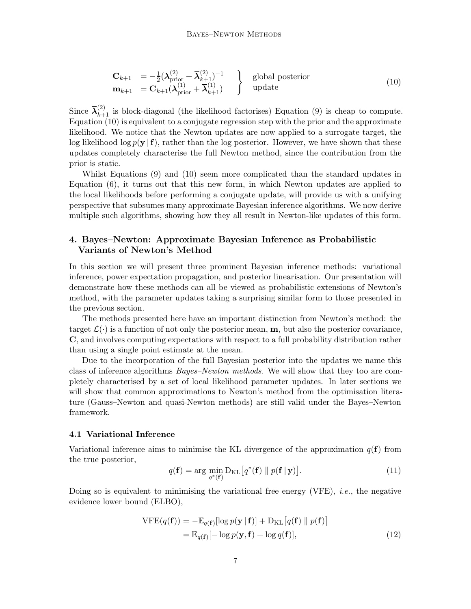<span id="page-6-1"></span>
$$
\begin{array}{rcl}\n\mathbf{C}_{k+1} & = -\frac{1}{2} (\boldsymbol{\lambda}_{\text{prior}}^{(2)} + \boldsymbol{\overline{\lambda}}_{k+1}^{(2)})^{-1} \\
\mathbf{m}_{k+1} & = \mathbf{C}_{k+1} (\boldsymbol{\lambda}_{\text{prior}}^{(1)} + \boldsymbol{\overline{\lambda}}_{k+1}^{(1)})\n\end{array}\n\right\} \quad \text{global posterior} \tag{10}
$$

Since  $\bar{\lambda}_{k+1}^{(2)}$  is block-diagonal (the likelihood factorises) [Equation \(9\)](#page-5-1) is cheap to compute. [Equation \(10\)](#page-6-1) is equivalent to a conjugate regression step with the prior and the approximate likelihood. We notice that the Newton updates are now applied to a surrogate target, the log likelihood log  $p(\mathbf{y} | \mathbf{f})$ , rather than the log posterior. However, we have shown that these updates completely characterise the full Newton method, since the contribution from the prior is static.

Whilst [Equations \(9\)](#page-5-1) and [\(10\)](#page-6-1) seem more complicated than the standard updates in [Equation \(6\),](#page-4-1) it turns out that this new form, in which Newton updates are applied to the local likelihoods before performing a conjugate update, will provide us with a unifying perspective that subsumes many approximate Bayesian inference algorithms. We now derive multiple such algorithms, showing how they all result in Newton-like updates of this form.

# <span id="page-6-2"></span>4. Bayes–Newton: Approximate Bayesian Inference as Probabilistic Variants of Newton's Method

In this section we will present three prominent Bayesian inference methods: variational inference, power expectation propagation, and posterior linearisation. Our presentation will demonstrate how these methods can all be viewed as probabilistic extensions of Newton's method, with the parameter updates taking a surprising similar form to those presented in the previous section.

The methods presented here have an important distinction from Newton's method: the target  $\overline{\mathcal{L}}(\cdot)$  is a function of not only the posterior mean, **m**, but also the posterior covariance, C, and involves computing expectations with respect to a full probability distribution rather than using a single point estimate at the mean.

Due to the incorporation of the full Bayesian posterior into the updates we name this class of inference algorithms *Bayes–Newton methods*. We will show that they too are completely characterised by a set of local likelihood parameter updates. In later sections we will show that common approximations to Newton's method from the optimisation literature (Gauss–Newton and quasi-Newton methods) are still valid under the Bayes–Newton framework.

#### <span id="page-6-0"></span>4.1 Variational Inference

Variational inference aims to minimise the KL divergence of the approximation  $q(\mathbf{f})$  from the true posterior,

$$
q(\mathbf{f}) = \arg\min_{q^*(\mathbf{f})} D_{\mathrm{KL}}\left[q^*(\mathbf{f}) \parallel p(\mathbf{f} \mid \mathbf{y})\right]. \tag{11}
$$

Doing so is equivalent to minimising the variational free energy (VFE), *i.e.*, the negative evidence lower bound (ELBO),

$$
\begin{aligned} \text{VFE}(q(\mathbf{f})) &= -\mathbb{E}_{q(\mathbf{f})}[\log p(\mathbf{y} \mid \mathbf{f})] + \mathcal{D}_{\text{KL}}\big[q(\mathbf{f}) \parallel p(\mathbf{f})\big] \\ &= \mathbb{E}_{q(\mathbf{f})}[-\log p(\mathbf{y}, \mathbf{f}) + \log q(\mathbf{f})], \end{aligned} \tag{12}
$$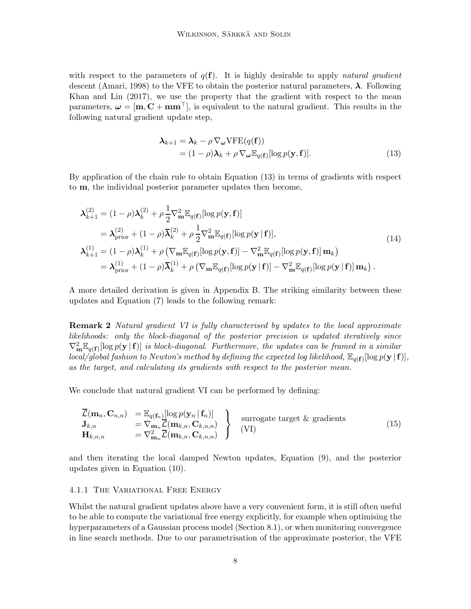with respect to the parameters of  $q(f)$ . It is highly desirable to apply *natural gradient* descent [\(Amari](#page-34-3), [1998](#page-34-3)) to the VFE to obtain the posterior natural parameters,  $\lambda$ . Following [Khan and Lin \(2017](#page-36-0)), we use the property that the gradient with respect to the mean parameters,  $\omega = [\mathbf{m}, \mathbf{C} + \mathbf{m}\mathbf{m}^\top]$ , is equivalent to the natural gradient. This results in the following natural gradient update step,

<span id="page-7-3"></span><span id="page-7-0"></span>
$$
\begin{aligned} \n\boldsymbol{\lambda}_{k+1} &= \boldsymbol{\lambda}_k - \rho \, \nabla_{\boldsymbol{\omega}} \text{VFE}(q(\mathbf{f})) \\ \n&= (1 - \rho) \boldsymbol{\lambda}_k + \rho \, \nabla_{\boldsymbol{\omega}} \mathbb{E}_{q(\mathbf{f})} [\log p(\mathbf{y}, \mathbf{f})]. \n\end{aligned} \tag{13}
$$

By application of the chain rule to obtain [Equation \(13\)](#page-7-0) in terms of gradients with respect to m, the individual posterior parameter updates then become,

$$
\lambda_{k+1}^{(2)} = (1 - \rho)\lambda_k^{(2)} + \rho \frac{1}{2} \nabla_m^2 \mathbb{E}_{q(\mathbf{f})}[\log p(\mathbf{y}, \mathbf{f})]
$$
\n
$$
= \lambda_{\text{prior}}^{(2)} + (1 - \rho)\overline{\lambda}_k^{(2)} + \rho \frac{1}{2} \nabla_m^2 \mathbb{E}_{q(\mathbf{f})}[\log p(\mathbf{y} \mid \mathbf{f})],
$$
\n
$$
\lambda_{k+1}^{(1)} = (1 - \rho)\lambda_k^{(1)} + \rho \left(\nabla_m \mathbb{E}_{q(\mathbf{f})}[\log p(\mathbf{y}, \mathbf{f})] - \nabla_m^2 \mathbb{E}_{q(\mathbf{f})}[\log p(\mathbf{y}, \mathbf{f})] \mathbf{m}_k\right)
$$
\n
$$
= \lambda_{\text{prior}}^{(1)} + (1 - \rho)\overline{\lambda}_k^{(1)} + \rho \left(\nabla_m \mathbb{E}_{q(\mathbf{f})}[\log p(\mathbf{y} \mid \mathbf{f})] - \nabla_m^2 \mathbb{E}_{q(\mathbf{f})}[\log p(\mathbf{y} \mid \mathbf{f})] \mathbf{m}_k\right).
$$
\n(14)

A more detailed derivation is given in [Appendix B.](#page-40-1) The striking similarity between these updates and [Equation \(7\)](#page-5-0) leads to the following remark:

**Remark 2** Natural gradient VI is fully characterised by updates to the local approximate likelihoods: only the block-diagonal of the posterior precision is updated iteratively since  $\nabla_m^2 \mathbb{E}_{q(\mathbf{f})}[\log p(\mathbf{y} \mid \mathbf{f})]$  is block-diagonal. Furthermore, the updates can be framed in a similar  $local/global fashion to Newton's method by defining the expected log likelihood, \mathbb{E}_{q(f)}[log p(\mathbf{y} | \mathbf{f})],$ as the target, and calculating its gradients with respect to the posterior mean.

We conclude that natural gradient VI can be performed by defining:

<span id="page-7-1"></span>
$$
\overline{\mathcal{L}}(\mathbf{m}_n, \mathbf{C}_{n,n}) = \mathbb{E}_{q(\mathbf{f}_n)}[\log p(\mathbf{y}_n | \mathbf{f}_n)] \n= \nabla_{\mathbf{m}_n} \overline{\mathcal{L}}(\mathbf{m}_{k,n}, \mathbf{C}_{k,n,n}) \n= \nabla_{\mathbf{m}_n}^2 \overline{\mathcal{L}}(\mathbf{m}_{k,n}, \mathbf{C}_{k,n,n})
$$
\n
$$
\left.\n\begin{array}{c}\n\text{surrogate target & gradients} \\
\text{(VI)}\n\end{array}\n\right\}
$$
\n(15)

and then iterating the local damped Newton updates, [Equation \(9\),](#page-5-1) and the posterior updates given in [Equation \(10\).](#page-6-1)

#### <span id="page-7-2"></span>4.1.1 The Variational Free Energy

Whilst the natural gradient updates above have a very convenient form, it is still often useful to be able to compute the variational free energy explicitly, for example when optimising the hyperparameters of a Gaussian process model [\(Section 8.1\)](#page-23-1), or when monitoring convergence in line search methods. Due to our parametrisation of the approximate posterior, the VFE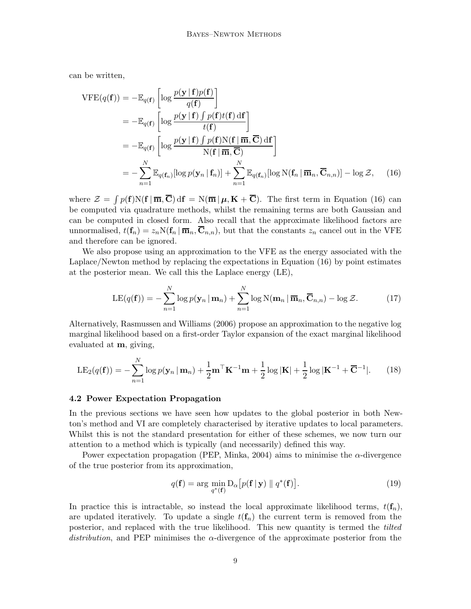can be written,

$$
\begin{split}\n\text{VFE}(q(\mathbf{f})) &= -\mathbb{E}_{q(\mathbf{f})} \left[ \log \frac{p(\mathbf{y} \mid \mathbf{f})p(\mathbf{f})}{q(\mathbf{f})} \right] \\
&= -\mathbb{E}_{q(\mathbf{f})} \left[ \log \frac{p(\mathbf{y} \mid \mathbf{f}) \int p(\mathbf{f})t(\mathbf{f}) \, d\mathbf{f}}{t(\mathbf{f})} \right] \\
&= -\mathbb{E}_{q(\mathbf{f})} \left[ \log \frac{p(\mathbf{y} \mid \mathbf{f}) \int p(\mathbf{f})N(\mathbf{f} \mid \overline{\mathbf{m}}, \overline{\mathbf{C}}) \, d\mathbf{f}}{N(\mathbf{f} \mid \overline{\mathbf{m}}, \overline{\mathbf{C}})} \right] \\
&= -\sum_{n=1}^{N} \mathbb{E}_{q(\mathbf{f}_n)} [\log p(\mathbf{y}_n \mid \mathbf{f}_n)] + \sum_{n=1}^{N} \mathbb{E}_{q(\mathbf{f}_n)} [\log N(\mathbf{f}_n \mid \overline{\mathbf{m}}_n, \overline{\mathbf{C}}_{n,n})] - \log \mathcal{Z}, \qquad (16)\n\end{split}
$$

where  $\mathcal{Z} = \int p(\mathbf{f})N(\mathbf{f} | \overline{\mathbf{m}}, \overline{\mathbf{C}}) d\mathbf{f} = N(\overline{\mathbf{m}} | \mu, \mathbf{K} + \overline{\mathbf{C}})$ . The first term in [Equation \(16\)](#page-8-1) can be computed via quadrature methods, whilst the remaining terms are both Gaussian and can be computed in closed form. Also recall that the approximate likelihood factors are unnormalised,  $t(\mathbf{f}_n) = z_n \mathcal{N}(\mathbf{f}_n | \overline{\mathbf{m}}_n, \mathbf{C}_{n,n})$ , but that the constants  $z_n$  cancel out in the VFE and therefore can be ignored.

We also propose using an approximation to the VFE as the energy associated with the Laplace/Newton method by replacing the expectations in [Equation \(16\)](#page-8-1) by point estimates at the posterior mean. We call this the Laplace energy (LE),

<span id="page-8-2"></span><span id="page-8-1"></span>
$$
LE(q(\mathbf{f})) = -\sum_{n=1}^{N} \log p(\mathbf{y}_n \,|\, \mathbf{m}_n) + \sum_{n=1}^{N} \log N(\mathbf{m}_n \,|\, \overline{\mathbf{m}}_n, \overline{\mathbf{C}}_{n,n}) - \log \mathcal{Z}.
$$
 (17)

Alternatively, [Rasmussen and Williams \(2006\)](#page-37-8) propose an approximation to the negative log marginal likelihood based on a first-order Taylor expansion of the exact marginal likelihood evaluated at m, giving,

$$
LE_2(q(\mathbf{f})) = -\sum_{n=1}^{N} \log p(\mathbf{y}_n \,|\, \mathbf{m}_n) + \frac{1}{2} \mathbf{m}^\top \mathbf{K}^{-1} \mathbf{m} + \frac{1}{2} \log |\mathbf{K}| + \frac{1}{2} \log |\mathbf{K}^{-1} + \overline{\mathbf{C}}^{-1}|. \tag{18}
$$

## <span id="page-8-0"></span>4.2 Power Expectation Propagation

In the previous sections we have seen how updates to the global posterior in both Newton's method and VI are completely characterised by iterative updates to local parameters. Whilst this is not the standard presentation for either of these schemes, we now turn our attention to a method which is typically (and necessarily) defined this way.

Power expectation propagation (PEP, [Minka](#page-37-3), [2004](#page-37-3)) aims to minimise the  $\alpha$ -divergence of the true posterior from its approximation,

$$
q(\mathbf{f}) = \arg\min_{q^*(\mathbf{f})} D_{\alpha} \left[ p(\mathbf{f} \mid \mathbf{y}) \parallel q^*(\mathbf{f}) \right]. \tag{19}
$$

In practice this is intractable, so instead the local approximate likelihood terms,  $t(\mathbf{f}_n)$ , are updated iteratively. To update a single  $t(\mathbf{f}_n)$  the current term is removed from the posterior, and replaced with the true likelihood. This new quantity is termed the *tilted* distribution, and PEP minimises the  $\alpha$ -divergence of the approximate posterior from the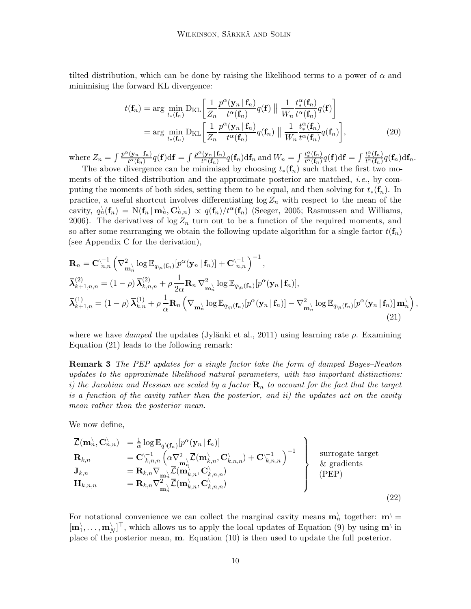tilted distribution, which can be done by raising the likelihood terms to a power of  $\alpha$  and minimising the forward KL divergence:

$$
t(\mathbf{f}_n) = \arg \min_{t_*(\mathbf{f}_n)} \mathrm{D}_{\mathrm{KL}} \left[ \frac{1}{Z_n} \frac{p^{\alpha}(\mathbf{y}_n | \mathbf{f}_n)}{t^{\alpha}(\mathbf{f}_n)} q(\mathbf{f}) \parallel \frac{1}{W_n} \frac{t_*^{\alpha}(\mathbf{f}_n)}{t^{\alpha}(\mathbf{f}_n)} q(\mathbf{f}) \right]
$$
  
=  $\arg \min_{t_*(\mathbf{f}_n)} \mathrm{D}_{\mathrm{KL}} \left[ \frac{1}{Z_n} \frac{p^{\alpha}(\mathbf{y}_n | \mathbf{f}_n)}{t^{\alpha}(\mathbf{f}_n)} q(\mathbf{f}_n) \parallel \frac{1}{W_n} \frac{t_*^{\alpha}(\mathbf{f}_n)}{t^{\alpha}(\mathbf{f}_n)} q(\mathbf{f}_n) \right],$  (20)

where  $Z_n = \int \frac{p^{\alpha}(\mathbf{y}_n | \mathbf{f}_n)}{t^{\alpha}(\mathbf{f}_n)}$  $\frac{f(\mathbf{y}_n \,|\, \mathbf{f}_n)}{t^{\alpha}(\mathbf{f}_n)} q(\mathbf{f}) \mathrm{d}\mathbf{f} = \int \frac{p^{\alpha}(\mathbf{y}_n \,|\, \mathbf{f}_n)}{t^{\alpha}(\mathbf{f}_n)}$  $\frac{f(x_n | f_n)}{t^{\alpha}(\mathbf{f}_n)} q(\mathbf{f}_n) d\mathbf{f}_n$  and  $W_n = \int \frac{t_*^{\alpha}(\mathbf{f}_n)}{t^{\alpha}(\mathbf{f}_n)}$  $\frac{t_{*}^{\alpha}(\mathbf{f}_n)}{t^{\alpha}(\mathbf{f}_n)} q(\mathbf{f}) \mathrm{d}\mathbf{f} = \int \frac{t_{*}^{\alpha}(\mathbf{f}_n)}{t^{\alpha}(\mathbf{f}_n)}$  $\frac{\iota_*(\mathbf{1}_n)}{t^\alpha(\mathbf{f}_n)}q(\mathbf{f}_n)\mathrm{d}\mathbf{f}_n.$ 

The above divergence can be minimised by choosing  $t_*(\mathbf{f}_n)$  such that the first two moments of the tilted distribution and the approximate posterior are matched, i.e., by computing the moments of both sides, setting them to be equal, and then solving for  $t_*(f_n)$ . In practice, a useful shortcut involves differentiating  $\log Z_n$  with respect to the mean of the cavity,  $q_n^{\setminus}(\mathbf{f}_n) = \mathrm{N}(\mathbf{f}_n \mid \mathbf{m}_n^{\setminus}, \mathbf{C}_{n,n}^{\setminus}) \propto q(\mathbf{f}_n)/t^{\alpha}(\mathbf{f}_n)$  [\(Seeger, 2005](#page-38-4); [Rasmussen and Williams](#page-37-8), [2006](#page-37-8)). The derivatives of  $\log Z_n$  turn out to be a function of the required moments, and so after some rearranging we obtain the following update algorithm for a single factor  $t(f_n)$ (see [Appendix C](#page-40-2) for the derivation),

$$
\mathbf{R}_{n} = \mathbf{C}_{n,n}^{\prime-1} \left( \nabla_{\mathbf{m}_{n}}^{2} \log \mathbb{E}_{q_{\gamma_{n}}(\mathbf{f}_{n})} [p^{\alpha}(\mathbf{y}_{n} | \mathbf{f}_{n})] + \mathbf{C}_{n,n}^{\prime-1} \right)^{-1},
$$
\n
$$
\overline{\boldsymbol{\lambda}}_{k+1,n,n}^{(2)} = (1 - \rho) \overline{\boldsymbol{\lambda}}_{k,n,n}^{(2)} + \rho \frac{1}{2\alpha} \mathbf{R}_{n} \nabla_{\mathbf{m}_{n}}^{2} \log \mathbb{E}_{q_{\gamma_{n}}(\mathbf{f}_{n})} [p^{\alpha}(\mathbf{y}_{n} | \mathbf{f}_{n})],
$$
\n
$$
\overline{\boldsymbol{\lambda}}_{k+1,n}^{(1)} = (1 - \rho) \overline{\boldsymbol{\lambda}}_{k,n}^{(1)} + \rho \frac{1}{\alpha} \mathbf{R}_{n} \left( \nabla_{\mathbf{m}_{n}} \log \mathbb{E}_{q_{\gamma_{n}}(\mathbf{f}_{n})} [p^{\alpha}(\mathbf{y}_{n} | \mathbf{f}_{n})] - \nabla_{\mathbf{m}_{n}}^{2} \log \mathbb{E}_{q_{\gamma_{n}}(\mathbf{f}_{n})} [p^{\alpha}(\mathbf{y}_{n} | \mathbf{f}_{n})] \mathbf{m}_{n}^{\lambda} \right),
$$
\n(21)

<span id="page-9-0"></span>where we have damped the updates (Jylänki et al., [2011\)](#page-36-4) using learning rate  $\rho$ . Examining [Equation \(21\)](#page-9-0) leads to the following remark:

Remark 3 The PEP updates for a single factor take the form of damped Bayes–Newton updates to the approximate likelihood natural parameters, with two important distinctions: i) the Jacobian and Hessian are scaled by a factor  $\mathbf{R}_n$  to account for the fact that the target is a function of the cavity rather than the posterior, and ii) the updates act on the cavity mean rather than the posterior mean.

We now define,

$$
\overline{\mathcal{L}}(\mathbf{m}_n^{\lambda}, \mathbf{C}_{n,n}^{\lambda}) = \frac{1}{\alpha} \log \mathbb{E}_{q \setminus (\mathbf{f}_n)}[p^{\alpha}(\mathbf{y}_n | \mathbf{f}_n)]
$$
\n
$$
\mathbf{R}_{k,n} = \mathbf{C}_{k,n,n}^{\setminus -1} \left( \alpha \nabla_{\mathbf{m}_n^{\lambda}}^2 \overline{\mathcal{L}}(\mathbf{m}_{k,n}^{\lambda}, \mathbf{C}_{k,n,n}^{\lambda}) + \mathbf{C}_{k,n,n}^{\setminus -1} \right)^{-1}
$$
\n
$$
\mathbf{J}_{k,n} = \mathbf{R}_{k,n} \nabla_{\mathbf{m}_n^{\lambda}} \overline{\mathcal{L}}(\mathbf{m}_{k,n}^{\lambda}, \mathbf{C}_{k,n,n}^{\lambda})
$$
\n
$$
\mathbf{H}_{k,n,n} = \mathbf{R}_{k,n} \nabla_{\mathbf{m}_n^{\lambda}}^2 \overline{\mathcal{L}}(\mathbf{m}_{k,n}^{\lambda}, \mathbf{C}_{k,n,n}^{\lambda})
$$
\n
$$
\mathbf{H}_{k,n,n} = \mathbf{R}_{k,n} \nabla_{\mathbf{m}_n^{\lambda}}^2 \overline{\mathcal{L}}(\mathbf{m}_{k,n}^{\lambda}, \mathbf{C}_{k,n,n}^{\lambda})
$$
\n(22)

<span id="page-9-1"></span>For notational convenience we can collect the marginal cavity means  $\mathbf{m}_n^{\setminus}$  together:  $\mathbf{m}^{\setminus}$  $[\mathbf{m}_1^{\setminus}, \ldots, \mathbf{m}_N^{\setminus}]^{\top}$ , which allows us to apply the local updates of [Equation \(9\)](#page-5-1) by using  $\mathbf{m}^{\setminus}$  in place of the posterior mean, m. [Equation \(10\)](#page-6-1) is then used to update the full posterior.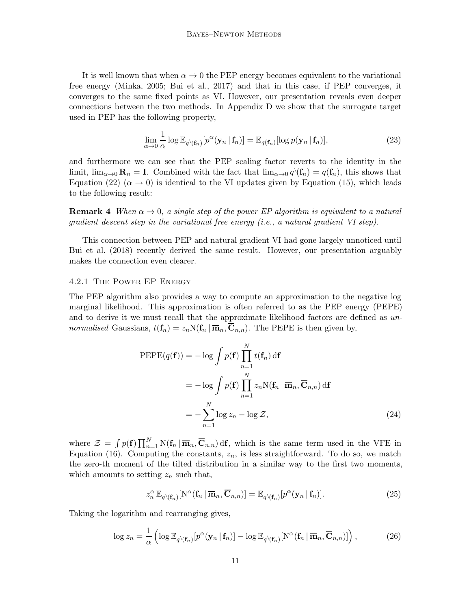It is well known that when  $\alpha \to 0$  the PEP energy becomes equivalent to the variational free energy [\(Minka, 2005;](#page-37-4) [Bui et al.](#page-35-3), [2017](#page-35-3)) and that in this case, if PEP converges, it converges to the same fixed points as VI. However, our presentation reveals even deeper connections between the two methods. In [Appendix D](#page-43-0) we show that the surrogate target used in PEP has the following property,

<span id="page-10-0"></span>
$$
\lim_{\alpha \to 0} \frac{1}{\alpha} \log \mathbb{E}_{q \setminus (\mathbf{f}_n)} [p^{\alpha}(\mathbf{y}_n | \mathbf{f}_n)] = \mathbb{E}_{q(\mathbf{f}_n)} [\log p(\mathbf{y}_n | \mathbf{f}_n)], \tag{23}
$$

and furthermore we can see that the PEP scaling factor reverts to the identity in the limit,  $\lim_{\alpha\to 0} \mathbf{R}_n = \mathbf{I}$ . Combined with the fact that  $\lim_{\alpha\to 0} q(\mathbf{f}_n) = q(\mathbf{f}_n)$ , this shows that [Equation \(22\)](#page-9-1) ( $\alpha \rightarrow 0$ ) is identical to the VI updates given by [Equation \(15\),](#page-7-1) which leads to the following result:

**Remark 4** When  $\alpha \rightarrow 0$ , a single step of the power EP algorithm is equivalent to a natural gradient descent step in the variational free energy (i.e., a natural gradient VI step).

This connection between PEP and natural gradient VI had gone largely unnoticed until [Bui et al. \(2018](#page-35-4)) recently derived the same result. However, our presentation arguably makes the connection even clearer.

#### 4.2.1 The Power EP Energy

The PEP algorithm also provides a way to compute an approximation to the negative log marginal likelihood. This approximation is often referred to as the PEP energy (PEPE) and to derive it we must recall that the approximate likelihood factors are defined as unnormalised Gaussians,  $t(f_n) = z_n N(f_n | \overline{m}_n, \overline{C}_{n,n})$ . The PEPE is then given by,

$$
\begin{aligned} \text{PEPE}(q(\mathbf{f})) &= -\log \int p(\mathbf{f}) \prod_{n=1}^{N} t(\mathbf{f}_n) \, \mathrm{d}\mathbf{f} \\ &= -\log \int p(\mathbf{f}) \prod_{n=1}^{N} z_n \mathrm{N}(\mathbf{f}_n \, | \, \overline{\mathbf{m}}_n, \overline{\mathbf{C}}_{n,n}) \, \mathrm{d}\mathbf{f} \\ &= -\sum_{n=1}^{N} \log z_n - \log \mathcal{Z}, \end{aligned} \tag{24}
$$

where  $\mathcal{Z} = \int p(\mathbf{f}) \prod_{n=1}^{N} N(\mathbf{f}_n | \overline{\mathbf{m}}_n, \overline{\mathbf{C}}_{n,n}) d\mathbf{f}$ , which is the same term used in the VFE in [Equation \(16\).](#page-8-1) Computing the constants,  $z_n$ , is less straightforward. To do so, we match the zero-th moment of the tilted distribution in a similar way to the first two moments, which amounts to setting  $z_n$  such that,

$$
z_n^{\alpha} \mathbb{E}_{q \setminus (\mathbf{f}_n)}[N^{\alpha}(\mathbf{f}_n \mid \overline{\mathbf{m}}_n, \overline{\mathbf{C}}_{n,n})] = \mathbb{E}_{q \setminus (\mathbf{f}_n)}[p^{\alpha}(\mathbf{y}_n \mid \mathbf{f}_n)]. \tag{25}
$$

Taking the logarithm and rearranging gives,

$$
\log z_n = \frac{1}{\alpha} \left( \log \mathbb{E}_{q \setminus (\mathbf{f}_n)} [p^{\alpha}(\mathbf{y}_n \,|\, \mathbf{f}_n)] - \log \mathbb{E}_{q \setminus (\mathbf{f}_n)} [N^{\alpha}(\mathbf{f}_n \,|\, \overline{\mathbf{m}}_n, \overline{\mathbf{C}}_{n,n})] \right),\tag{26}
$$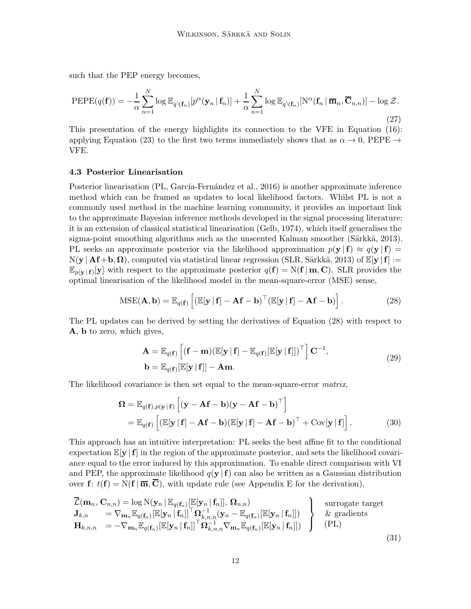such that the PEP energy becomes,

<span id="page-11-2"></span>
$$
\text{PEPE}(q(\mathbf{f})) = -\frac{1}{\alpha} \sum_{n=1}^{N} \log \mathbb{E}_{q \setminus (\mathbf{f}_n)} [p^{\alpha}(\mathbf{y}_n | \mathbf{f}_n)] + \frac{1}{\alpha} \sum_{n=1}^{N} \log \mathbb{E}_{q \setminus (\mathbf{f}_n)} [\mathbf{N}^{\alpha}(\mathbf{f}_n | \overline{\mathbf{m}}_n, \overline{\mathbf{C}}_{n,n})] - \log \mathcal{Z}.
$$
\n(27)

This presentation of the energy highlights its connection to the VFE in [Equation \(16\):](#page-8-1) applying [Equation \(23\)](#page-10-0) to the first two terms immediately shows that as  $\alpha \to 0$ , PEPE  $\to$ VFE.

#### 4.3 Posterior Linearisation

Posterior linearisation (PL, García-Fernández et al., [2016](#page-35-0)) is another approximate inference method which can be framed as updates to local likelihood factors. Whilst PL is not a commonly used method in the machine learning community, it provides an important link to the approximate Bayesian inference methods developed in the signal processing literature: it is an extension of classical statistical linearisation [\(Gelb](#page-35-6), [1974\)](#page-35-6), which itself generalises the sigma-point smoothing algorithms such as the unscented Kalman smoother (Särkkä, 2013). PL seeks an approximate posterior via the likelihood approximation  $p(y | f) \approx q(y | f)$  $N(y | \mathbf{A}f + b, \Omega)$ , computed via statistical linear regression (SLR, Särkkä, [2013\)](#page-38-0) of  $\mathbb{E}[y | f] :=$  $\mathbb{E}_{p(\mathbf{y}|\mathbf{f})}[\mathbf{y}]$  with respect to the approximate posterior  $q(\mathbf{f}) = N(\mathbf{f} | \mathbf{m}, \mathbf{C})$ . SLR provides the optimal linearisation of the likelihood model in the mean-square-error (MSE) sense,

$$
MSE(\mathbf{A}, \mathbf{b}) = \mathbb{E}_{q(\mathbf{f})} \left[ (\mathbb{E}[\mathbf{y} | \mathbf{f}] - \mathbf{A}\mathbf{f} - \mathbf{b})^{\top} (\mathbb{E}[\mathbf{y} | \mathbf{f}] - \mathbf{A}\mathbf{f} - \mathbf{b}) \right].
$$
 (28)

The PL updates can be derived by setting the derivatives of [Equation \(28\)](#page-11-0) with respect to A, b to zero, which gives,

<span id="page-11-0"></span>
$$
\mathbf{A} = \mathbb{E}_{q(\mathbf{f})} \left[ (\mathbf{f} - \mathbf{m})(\mathbb{E}[\mathbf{y} | \mathbf{f}] - \mathbb{E}_{q(\mathbf{f})}[\mathbb{E}[\mathbf{y} | \mathbf{f}]])^{\top} \right] \mathbf{C}^{-1},
$$
\n
$$
\mathbf{b} = \mathbb{E}_{q(\mathbf{f})}[\mathbb{E}[\mathbf{y} | \mathbf{f}]] - \mathbf{A}\mathbf{m}.
$$
\n(29)

The likelihood covariance is then set equal to the mean-square-error matrix,

<span id="page-11-1"></span>
$$
\mathbf{\Omega} = \mathbb{E}_{q(\mathbf{f}), p(\mathbf{y} \mid \mathbf{f})} \left[ (\mathbf{y} - \mathbf{A}\mathbf{f} - \mathbf{b})(\mathbf{y} - \mathbf{A}\mathbf{f} - \mathbf{b})^{\top} \right]
$$
  
=  $\mathbb{E}_{q(\mathbf{f})} \left[ (\mathbb{E}[\mathbf{y} \mid \mathbf{f}] - \mathbf{A}\mathbf{f} - \mathbf{b})(\mathbb{E}[\mathbf{y} \mid \mathbf{f}] - \mathbf{A}\mathbf{f} - \mathbf{b})^{\top} + \text{Cov}[\mathbf{y} \mid \mathbf{f}] \right].$  (30)

This approach has an intuitive interpretation: PL seeks the best affine fit to the conditional expectation  $\mathbb{E}[\mathbf{y} | \mathbf{f}]$  in the region of the approximate posterior, and sets the likelihood covariance equal to the error induced by this approximation. To enable direct comparison with VI and PEP, the approximate likelihood  $q(y | f)$  can also be written as a Gaussian distribution over f:  $t(f) = N(f | \overline{m}, \overline{C})$ , with update rule (see [Appendix E](#page-44-0) for the derivation),

$$
\overline{\mathcal{L}}(\mathbf{m}_n, \mathbf{C}_{n,n}) = \log \mathcal{N}(\mathbf{y}_n \mid \mathbb{E}_{q(\mathbf{f}_n)}[\mathbb{E}[\mathbf{y}_n \mid \mathbf{f}_n]], \mathbf{\Omega}_{n,n})
$$
\n
$$
\mathbf{J}_{k,n} = \nabla_{\mathbf{m}_n} \mathbb{E}_{q(\mathbf{f}_n)}[\mathbb{E}[\mathbf{y}_n \mid \mathbf{f}_n]]^\top \mathbf{\Omega}_{k,n,n}^{-1}(\mathbf{y}_n - \mathbb{E}_{q(\mathbf{f}_n)}[\mathbb{E}[\mathbf{y}_n \mid \mathbf{f}_n]])
$$
\n
$$
\mathbf{H}_{k,n,n} = -\nabla_{\mathbf{m}_n} \mathbb{E}_{q(\mathbf{f}_n)}[\mathbb{E}[\mathbf{y}_n \mid \mathbf{f}_n]]^\top \mathbf{\Omega}_{k,n,n}^{-1} \nabla_{\mathbf{m}_n} \mathbb{E}_{q(\mathbf{f}_n)}[\mathbb{E}[\mathbf{y}_n \mid \mathbf{f}_n]])
$$
\n
$$
\left.\begin{matrix}\n\text{surrogate target} \\
\text{for } k = 1, \text{ and } k = 2, \text{ and } k = 1, \text{ and } k = 2,\text{ and } k = 1,\text{ and } k = 2,\text{ and } k = 3,\text{ and } k = 1,\text{ and } k = 3,\text{ and } k = 1,\text{ and } k = 3,\text{ and } k = 1,\text{ and } k = 3,\text{ and } k = 3,\text{ and } k = 3,\text{ and } k = 3,\text{ and } k = 3,\text{ and } k = 3,\text{ and } k = 3,\text{ and } k = 3,\text{ and } k = 3,\text{ and } k = 3,\text{ and } k = 3,\text{ and } k = 3,\text{ and } k = 3,\text{ and } k = 3,\text{ and } k = 3,\text{ and } k = 3,\text{ and } k = 3,\text{ and } k = 3,\text{ and } k = 3,\text{ and } k = 3,\text{ and } k = 3,\text{ and } k = 3,\text{ and } k = 3,\text{ and } k = 3,\text{ and } k = 3,\text{ and } k = 3,\text{ and } k = 3,\text{ and } k = 3,\text{ and } k = 3,\text{
$$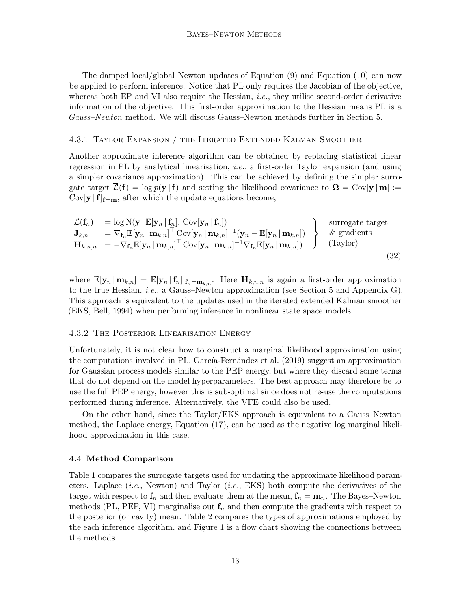The damped local/global Newton updates of [Equation \(9\)](#page-5-1) and [Equation \(10\)](#page-6-1) can now be applied to perform inference. Notice that PL only requires the Jacobian of the objective, whereas both EP and VI also require the Hessian, *i.e.*, they utilise second-order derivative information of the objective. This first-order approximation to the Hessian means PL is a Gauss–Newton method. We will discuss Gauss–Newton methods further in [Section 5.](#page-14-0)

#### <span id="page-12-1"></span>4.3.1 Taylor Expansion / the Iterated Extended Kalman Smoother

Another approximate inference algorithm can be obtained by replacing statistical linear regression in PL by analytical linearisation, i.e., a first-order Taylor expansion (and using a simpler covariance approximation). This can be achieved by defining the simpler surrogate target  $\overline{\mathcal{L}}(\mathbf{f}) = \log p(\mathbf{y} | \mathbf{f})$  and setting the likelihood covariance to  $\Omega = \text{Cov}[\mathbf{y} | \mathbf{m}] :=$  $Cov[\mathbf{y} | \mathbf{f}]_{\mathbf{f}=\mathbf{m}}$ , after which the update equations become,

<span id="page-12-0"></span>
$$
\overline{\mathcal{L}}(\mathbf{f}_n) = \log N(\mathbf{y} | \mathbb{E}[\mathbf{y}_n | \mathbf{f}_n], \text{Cov}[\mathbf{y}_n | \mathbf{f}_n])
$$
\n
$$
\mathbf{J}_{k,n} = \nabla_{\mathbf{f}_n} \mathbb{E}[\mathbf{y}_n | \mathbf{m}_{k,n}]^\top \text{Cov}[\mathbf{y}_n | \mathbf{m}_{k,n}]^{-1} (\mathbf{y}_n - \mathbb{E}[\mathbf{y}_n | \mathbf{m}_{k,n}])
$$
\n
$$
\mathbf{H}_{k,n,n} = -\nabla_{\mathbf{f}_n} \mathbb{E}[\mathbf{y}_n | \mathbf{m}_{k,n}]^\top \text{Cov}[\mathbf{y}_n | \mathbf{m}_{k,n}]^{-1} \nabla_{\mathbf{f}_n} \mathbb{E}[\mathbf{y}_n | \mathbf{m}_{k,n}])
$$
\n
$$
\begin{array}{c} \text{surrogate target} \\ \& \text{ gradients} \\ \text{(Taylor)} \end{array}
$$
\n(32)

where  $\mathbb{E}[\mathbf{y}_n | \mathbf{m}_{k,n}] = \mathbb{E}[\mathbf{y}_n | \mathbf{f}_n] |_{\mathbf{f}_n=\mathbf{m}_{k,n}}$ . Here  $\mathbf{H}_{k,n,n}$  is again a first-order approximation to the true Hessian, i.e., a Gauss–Newton approximation (see [Section 5](#page-14-0) and [Appendix G\)](#page-45-0). This approach is equivalent to the updates used in the iterated extended Kalman smoother (EKS, [Bell](#page-34-0), [1994](#page-34-0)) when performing inference in nonlinear state space models.

# 4.3.2 The Posterior Linearisation Energy

Unfortunately, it is not clear how to construct a marginal likelihood approximation using the computations involved in PL. García-Fernández et al. [\(2019](#page-35-7)) suggest an approximation for Gaussian process models similar to the PEP energy, but where they discard some terms that do not depend on the model hyperparameters. The best approach may therefore be to use the full PEP energy, however this is sub-optimal since does not re-use the computations performed during inference. Alternatively, the VFE could also be used.

On the other hand, since the Taylor/EKS approach is equivalent to a Gauss–Newton method, the Laplace energy, [Equation \(17\),](#page-8-2) can be used as the negative log marginal likelihood approximation in this case.

#### 4.4 Method Comparison

[Table 1](#page-13-0) compares the surrogate targets used for updating the approximate likelihood parameters. Laplace  $(i.e., Newton)$  and Taylor  $(i.e., EKS)$  both compute the derivatives of the target with respect to  $f_n$  and then evaluate them at the mean,  $f_n = m_n$ . The Bayes–Newton methods (PL, PEP, VI) marginalise out  $f_n$  and then compute the gradients with respect to the posterior (or cavity) mean. [Table 2](#page-13-1) compares the types of approximations employed by the each inference algorithm, and [Figure 1](#page-14-1) is a flow chart showing the connections between the methods.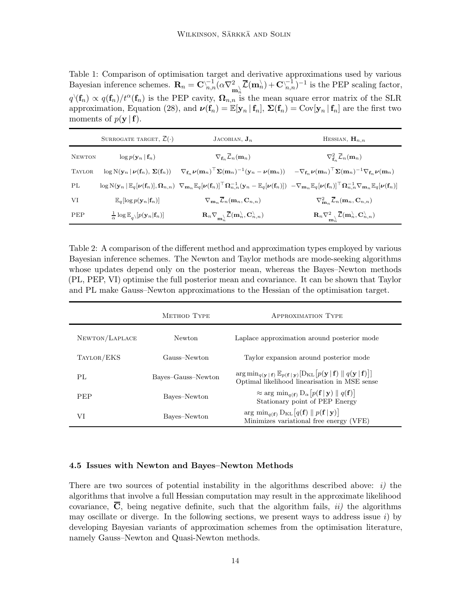<span id="page-13-0"></span>Table 1: Comparison of optimisation target and derivative approximations used by various Bayesian inference schemes.  $\mathbf{R}_n = \mathbf{C}_{n,n}^{-1} (\alpha \nabla_{\mathbf{m}_n}^2 \overline{\mathcal{L}}(\mathbf{m}_n) + \mathbf{C}_{n,n}^{-1})^{-1}$  is the PEP scaling factor,  $q(\mathbf{f}_n) \propto q(\mathbf{f}_n)/t^{\alpha}(\mathbf{f}_n)$  is the PEP cavity,  $\mathbf{\Omega}_{n,n}$  is the mean square error matrix of the SLR approximation, [Equation \(28\),](#page-11-0) and  $\nu(\mathbf{f}_n) = \mathbb{E}[\mathbf{y}_n | \mathbf{f}_n]$ ,  $\Sigma(\mathbf{f}_n) = \text{Cov}[\mathbf{y}_n | \mathbf{f}_n]$  are the first two moments of  $p(\mathbf{y} \mid \mathbf{f})$ .

|               | SURROGATE TARGET, $\mathcal{L}(\cdot)$                                    | JACOBIAN, $J_n$                                                                                                                                                                                                                                                                                                                                                                                                                                                  | HESSIAN, $H_{n,n}$                                                                                                           |
|---------------|---------------------------------------------------------------------------|------------------------------------------------------------------------------------------------------------------------------------------------------------------------------------------------------------------------------------------------------------------------------------------------------------------------------------------------------------------------------------------------------------------------------------------------------------------|------------------------------------------------------------------------------------------------------------------------------|
| <b>NEWTON</b> | $\log p(\mathbf{y}_n   \mathbf{f}_n)$                                     | $\nabla_{\mathbf{f}_n}\overline{\mathcal{L}}_n(\mathbf{m}_n)$                                                                                                                                                                                                                                                                                                                                                                                                    | $\nabla^2_{\mathbf{f}_n}\bar{\mathcal{L}}_n(\mathbf{m}_n)$                                                                   |
| <b>TAYLOR</b> |                                                                           | $\log N(\mathbf{y}_n   \boldsymbol{\nu}(\mathbf{f}_n), \boldsymbol{\Sigma}(\mathbf{f}_n)) \quad \nabla_{\mathbf{f}_n} \boldsymbol{\nu}(\mathbf{m}_n)^\top \boldsymbol{\Sigma}(\mathbf{m}_n)^{-1}(\mathbf{y}_n - \boldsymbol{\nu}(\mathbf{m}_n)) \quad -\nabla_{\mathbf{f}_n} \boldsymbol{\nu}(\mathbf{m}_n)^\top \boldsymbol{\Sigma}(\mathbf{m}_n)^{-1} \nabla_{\mathbf{f}_n} \boldsymbol{\nu}(\mathbf{m}_n)$                                                    |                                                                                                                              |
| PL            |                                                                           | $\log \mathrm{N}(\mathbf{y}_n \mid \mathbb{E}_q[\boldsymbol{\nu}(\mathbf{f}_n)], \boldsymbol{\Omega}_{n,n}) \ \nabla_{\mathbf{m}_n} \mathbb{E}_q[\boldsymbol{\nu}(\mathbf{f}_n)]^\top \boldsymbol{\Omega}_{n,n}^{-1}(\mathbf{y}_n - \mathbb{E}_q[\boldsymbol{\nu}(\mathbf{f}_n)]) \ - \nabla_{\mathbf{m}_n} \mathbb{E}_q[\boldsymbol{\nu}(\mathbf{f}_n)]^\top \boldsymbol{\Omega}_{n,n}^{-1} \nabla_{\mathbf{m}_n} \mathbb{E}_q[\boldsymbol{\nu}(\mathbf{f}_n)]$ |                                                                                                                              |
| VI            | $\mathbb{E}_q[\log p(\mathbf{y}_n \mathbf{f}_n)]$                         | $\nabla_{\mathbf{m}_n} \overline{\mathcal{L}}_n(\mathbf{m}_n, \mathbf{C}_{n,n})$                                                                                                                                                                                                                                                                                                                                                                                 | $\nabla_{\mathbf{m}_n}^2 \overline{\mathcal{L}}_n(\mathbf{m}_n, \mathbf{C}_{n,n})$                                           |
| <b>PEP</b>    | $\frac{1}{\alpha} \log \mathbb{E}_{a}$ $[p(\mathbf{y}_n   \mathbf{f}_n)]$ | $\mathbf{R}_n \nabla_{\mathbf{m}_n^{\setminus}} \overline{\mathcal{L}}(\mathbf{m}_n^{\setminus}, \mathbf{C}_{n,n}^{\setminus})$                                                                                                                                                                                                                                                                                                                                  | $\mathbf{R}_n\nabla^2_{\mathbf{m}^{\setminus}}\overline{\mathcal{L}}(\mathbf{m}^{\setminus}_n,\mathbf{C}^{\setminus}_{n,n})$ |

<span id="page-13-1"></span>Table 2: A comparison of the different method and approximation types employed by various Bayesian inference schemes. The Newton and Taylor methods are mode-seeking algorithms whose updates depend only on the posterior mean, whereas the Bayes–Newton methods (PL, PEP, VI) optimise the full posterior mean and covariance. It can be shown that Taylor and PL make Gauss–Newton approximations to the Hessian of the optimisation target.

|                | <b>METHOD TYPE</b> | APPROXIMATION TYPE                                                                                                                                                                                           |
|----------------|--------------------|--------------------------------------------------------------------------------------------------------------------------------------------------------------------------------------------------------------|
| NEWTON/LAPLACE | Newton             | Laplace approximation around posterior mode                                                                                                                                                                  |
| TAYLOR/EKS     | Gauss-Newton       | Taylor expansion around posterior mode                                                                                                                                                                       |
| PL             | Bayes-Gauss-Newton | $\arg\min_{q(\mathbf{y} \mathbf{f})} \mathbb{E}_{p(\mathbf{f} \mathbf{y})}[\mathrm{D}_{\mathrm{KL}}[p(\mathbf{y} \mathbf{f})    q(\mathbf{y} \mathbf{f})]]$<br>Optimal likelihood linearisation in MSE sense |
| PEP            | Bayes-Newton       | $\approx$ arg min <sub>q(f)</sub> $D_{\alpha}[p(f   y)    q(f)]$<br>Stationary point of PEP Energy                                                                                                           |
| VI             | Bayes-Newton       | $\arg \min_{q(\mathbf{f})} D_{\mathrm{KL}}[q(\mathbf{f})    p(\mathbf{f}   \mathbf{y})]$<br>Minimizes variational free energy (VFE)                                                                          |

## 4.5 Issues with Newton and Bayes–Newton Methods

There are two sources of potential instability in the algorithms described above:  $i)$  the algorithms that involve a full Hessian computation may result in the approximate likelihood covariance,  $\overline{C}$ , being negative definite, such that the algorithm fails, *ii*) the algorithms may oscillate or diverge. In the following sections, we present ways to address issue  $i$ ) by developing Bayesian variants of approximation schemes from the optimisation literature, namely Gauss–Newton and Quasi-Newton methods.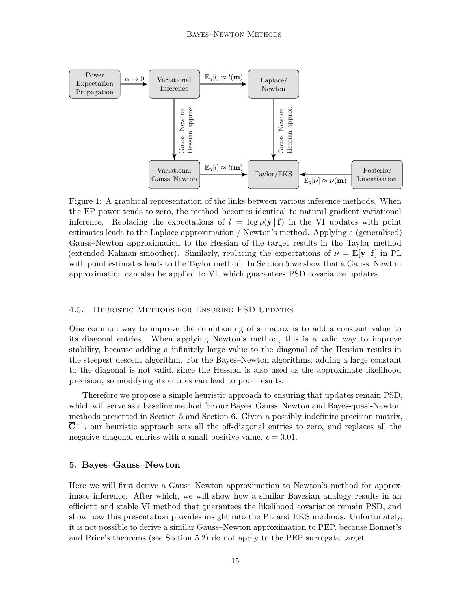<span id="page-14-1"></span>

Figure 1: A graphical representation of the links between various inference methods. When the EP power tends to zero, the method becomes identical to natural gradient variational inference. Replacing the expectations of  $l = \log p(\mathbf{y} | \mathbf{f})$  in the VI updates with point estimates leads to the Laplace approximation / Newton's method. Applying a (generalised) Gauss–Newton approximation to the Hessian of the target results in the Taylor method (extended Kalman smoother). Similarly, replacing the expectations of  $\nu = \mathbb{E}[\mathbf{y} | \mathbf{f}]$  in PL with point estimates leads to the Taylor method. In [Section 5](#page-14-0) we show that a Gauss–Newton approximation can also be applied to VI, which guarantees PSD covariance updates.

## <span id="page-14-2"></span>4.5.1 Heuristic Methods for Ensuring PSD Updates

One common way to improve the conditioning of a matrix is to add a constant value to its diagonal entries. When applying Newton's method, this is a valid way to improve stability, because adding a infinitely large value to the diagonal of the Hessian results in the steepest descent algorithm. For the Bayes–Newton algorithms, adding a large constant to the diagonal is not valid, since the Hessian is also used as the approximate likelihood precision, so modifying its entries can lead to poor results.

Therefore we propose a simple heuristic approach to ensuring that updates remain PSD, which will serve as a baseline method for our Bayes–Gauss–Newton and Bayes-quasi-Newton methods presented in [Section 5](#page-14-0) and [Section 6.](#page-19-1) Given a possibly indefinite precision matrix,  $\overline{\mathbf{C}}^{-1}$ , our heuristic approach sets all the off-diagonal entries to zero, and replaces all the negative diagonal entries with a small positive value,  $\epsilon = 0.01$ .

# <span id="page-14-0"></span>5. Bayes–Gauss–Newton

Here we will first derive a Gauss–Newton approximation to Newton's method for approximate inference. After which, we will show how a similar Bayesian analogy results in an efficient and stable VI method that guarantees the likelihood covariance remain PSD, and show how this presentation provides insight into the PL and EKS methods. Unfortunately, it is not possible to derive a similar Gauss–Newton approximation to PEP, because Bonnet's and Price's theorems (see [Section 5.2\)](#page-17-0) do not apply to the PEP surrogate target.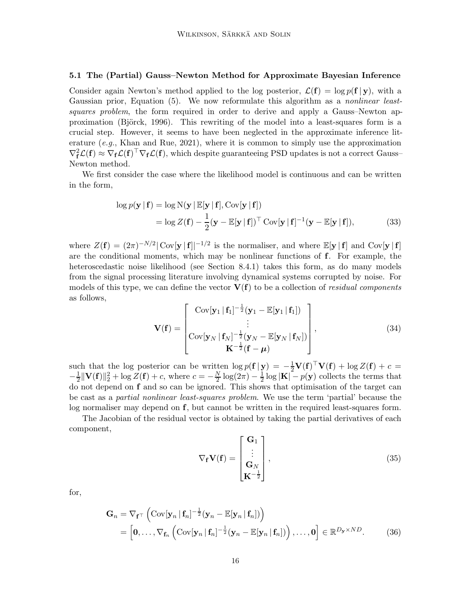# <span id="page-15-0"></span>5.1 The (Partial) Gauss–Newton Method for Approximate Bayesian Inference

Consider again Newton's method applied to the log posterior,  $\mathcal{L}(\mathbf{f}) = \log p(\mathbf{f} | \mathbf{y})$ , with a Gaussian prior, [Equation \(5\).](#page-4-0) We now reformulate this algorithm as a *nonlinear least*squares problem, the form required in order to derive and apply a Gauss–Newton approximation (Björck, 1996). This rewriting of the model into a least-squares form is a crucial step. However, it seems to have been neglected in the approximate inference lit-erature (e.g., [Khan and Rue, 2021](#page-36-1)), where it is common to simply use the approximation  $\nabla_f^2 \mathcal{L}(f) \approx \nabla_f \mathcal{L}(f)^\top \nabla_f \mathcal{L}(f)$ , which despite guaranteeing PSD updates is not a correct Gauss-Newton method.

We first consider the case where the likelihood model is continuous and can be written in the form,

$$
\log p(\mathbf{y} | \mathbf{f}) = \log N(\mathbf{y} | \mathbb{E}[\mathbf{y} | \mathbf{f}], \text{Cov}[\mathbf{y} | \mathbf{f}])
$$
  
= 
$$
\log Z(\mathbf{f}) - \frac{1}{2}(\mathbf{y} - \mathbb{E}[\mathbf{y} | \mathbf{f}])^{\top} \text{Cov}[\mathbf{y} | \mathbf{f}]^{-1}(\mathbf{y} - \mathbb{E}[\mathbf{y} | \mathbf{f}]),
$$
 (33)

where  $Z(\mathbf{f}) = (2\pi)^{-N/2} |\text{Cov}[\mathbf{y} | \mathbf{f}]|^{-1/2}$  is the normaliser, and where  $\mathbb{E}[\mathbf{y} | \mathbf{f}]$  and  $\text{Cov}[\mathbf{y} | \mathbf{f}]$ are the conditional moments, which may be nonlinear functions of f. For example, the heteroscedastic noise likelihood (see [Section 8.4.1\)](#page-28-0) takes this form, as do many models from the signal processing literature involving dynamical systems corrupted by noise. For models of this type, we can define the vector  $V(f)$  to be a collection of *residual components* as follows,

<span id="page-15-1"></span>
$$
\mathbf{V}(\mathbf{f}) = \begin{bmatrix} \text{Cov}[\mathbf{y}_1 | \mathbf{f}_1]^{-\frac{1}{2}} (\mathbf{y}_1 - \mathbb{E}[\mathbf{y}_1 | \mathbf{f}_1]) \\ \vdots \\ \text{Cov}[\mathbf{y}_N | \mathbf{f}_N]^{-\frac{1}{2}} (\mathbf{y}_N - \mathbb{E}[\mathbf{y}_N | \mathbf{f}_N]) \\ \mathbf{K}^{-\frac{1}{2}} (\mathbf{f} - \boldsymbol{\mu}) \end{bmatrix},
$$
(34)

such that the log posterior can be written  $\log p(\mathbf{f} | \mathbf{y}) = -\frac{1}{2} \mathbf{V}(\mathbf{f})^{\top} \mathbf{V}(\mathbf{f}) + \log Z(\mathbf{f}) + c =$  $-\frac{1}{2}$  $\frac{1}{2} \|\mathbf{V}(\mathbf{f})\|_2^2 + \log Z(\mathbf{f}) + c$ , where  $c = -\frac{N}{2}$  $\frac{N}{2} \log(2\pi) - \frac{1}{2}$  $\frac{1}{2}$ log  $|\mathbf{K}| - p(\mathbf{y})$  collects the terms that do not depend on f and so can be ignored. This shows that optimisation of the target can be cast as a partial nonlinear least-squares problem. We use the term 'partial' because the log normaliser may depend on f, but cannot be written in the required least-squares form.

The Jacobian of the residual vector is obtained by taking the partial derivatives of each component,

$$
\nabla_{\mathbf{f}} \mathbf{V}(\mathbf{f}) = \begin{bmatrix} \mathbf{G}_1 \\ \vdots \\ \mathbf{G}_N \\ \mathbf{K}^{-\frac{1}{2}} \end{bmatrix},
$$
(35)

for,

$$
\mathbf{G}_n = \nabla_{\mathbf{f}^\top} \left( \text{Cov}[\mathbf{y}_n \,|\, \mathbf{f}_n]^{-\frac{1}{2}} (\mathbf{y}_n - \mathbb{E}[\mathbf{y}_n \,|\, \mathbf{f}_n]) \right) \n= \left[ \mathbf{0}, \ldots, \nabla_{\mathbf{f}_n} \left( \text{Cov}[\mathbf{y}_n \,|\, \mathbf{f}_n]^{-\frac{1}{2}} (\mathbf{y}_n - \mathbb{E}[\mathbf{y}_n \,|\, \mathbf{f}_n]) \right), \ldots, \mathbf{0} \right] \in \mathbb{R}^{D_\mathbf{y} \times ND}.
$$
\n(36)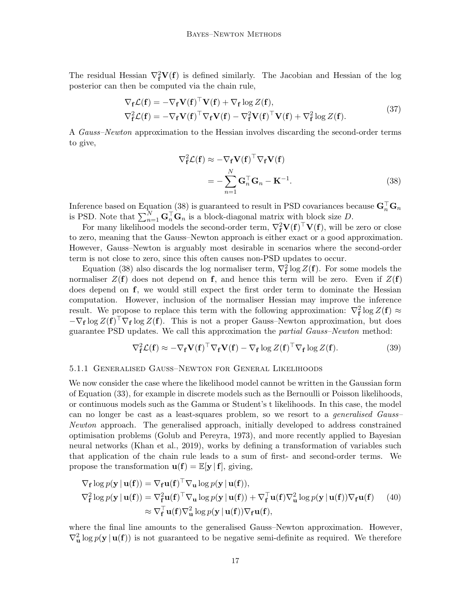The residual Hessian  $\nabla_{\mathbf{f}}^2 \mathbf{V}(\mathbf{f})$  is defined similarly. The Jacobian and Hessian of the log posterior can then be computed via the chain rule,

$$
\nabla_{\mathbf{f}} \mathcal{L}(\mathbf{f}) = -\nabla_{\mathbf{f}} \mathbf{V}(\mathbf{f})^{\top} \mathbf{V}(\mathbf{f}) + \nabla_{\mathbf{f}} \log Z(\mathbf{f}),
$$
\n
$$
\nabla_{\mathbf{f}}^2 \mathcal{L}(\mathbf{f}) = -\nabla_{\mathbf{f}} \mathbf{V}(\mathbf{f})^{\top} \nabla_{\mathbf{f}} \mathbf{V}(\mathbf{f}) - \nabla_{\mathbf{f}}^2 \mathbf{V}(\mathbf{f})^{\top} \mathbf{V}(\mathbf{f}) + \nabla_{\mathbf{f}}^2 \log Z(\mathbf{f}).
$$
\n(37)

A *Gauss–Newton* approximation to the Hessian involves discarding the second-order terms to give,

<span id="page-16-0"></span>
$$
\nabla_{\mathbf{f}}^2 \mathcal{L}(\mathbf{f}) \approx -\nabla_{\mathbf{f}} \mathbf{V}(\mathbf{f})^\top \nabla_{\mathbf{f}} \mathbf{V}(\mathbf{f})
$$

$$
= -\sum_{n=1}^N \mathbf{G}_n^\top \mathbf{G}_n - \mathbf{K}^{-1}.
$$
(38)

Inference based on [Equation \(38\)](#page-16-0) is guaranteed to result in PSD covariances because  $G_n^{\top} G_n$ is PSD. Note that  $\sum_{n=1}^{N} \mathbf{G}_n^{\top} \mathbf{G}_n$  is a block-diagonal matrix with block size D.

For many likelihood models the second-order term,  $\nabla_{\bf f}^2 {\bf V}({\bf f})^\top {\bf V}({\bf f}),$  will be zero or close to zero, meaning that the Gauss–Newton approach is either exact or a good approximation. However, Gauss–Newton is arguably most desirable in scenarios where the second-order term is not close to zero, since this often causes non-PSD updates to occur.

[Equation \(38\)](#page-16-0) also discards the log normaliser term,  $\nabla_{\mathbf{f}}^2 \log Z(\mathbf{f})$ . For some models the normaliser  $Z(f)$  does not depend on f, and hence this term will be zero. Even if  $Z(f)$ does depend on f, we would still expect the first order term to dominate the Hessian computation. However, inclusion of the normaliser Hessian may improve the inference result. We propose to replace this term with the following approximation:  $\nabla_{\bf f}^2 \log Z({\bf f}) \approx$  $-\nabla_{\bf f} \log Z({\bf f})^{\top} \nabla_{\bf f} \log Z({\bf f}).$  This is not a proper Gauss–Newton approximation, but does guarantee PSD updates. We call this approximation the partial Gauss–Newton method:

<span id="page-16-1"></span>
$$
\nabla_{\mathbf{f}}^2 \mathcal{L}(\mathbf{f}) \approx -\nabla_{\mathbf{f}} \mathbf{V}(\mathbf{f})^\top \nabla_{\mathbf{f}} \mathbf{V}(\mathbf{f}) - \nabla_{\mathbf{f}} \log Z(\mathbf{f})^\top \nabla_{\mathbf{f}} \log Z(\mathbf{f}). \tag{39}
$$

#### 5.1.1 Generalised Gauss–Newton for General Likelihoods

We now consider the case where the likelihood model cannot be written in the Gaussian form of [Equation \(33\),](#page-15-1) for example in discrete models such as the Bernoulli or Poisson likelihoods, or continuous models such as the Gamma or Student's t likelihoods. In this case, the model can no longer be cast as a least-squares problem, so we resort to a *generalised Gauss*-Newton approach. The generalised approach, initially developed to address constrained optimisation problems [\(Golub and Pereyra](#page-35-8), [1973\)](#page-35-8), and more recently applied to Bayesian neural networks [\(Khan et al., 2019\)](#page-36-7), works by defining a transformation of variables such that application of the chain rule leads to a sum of first- and second-order terms. We propose the transformation  $\mathbf{u}(\mathbf{f}) = \mathbb{E}[\mathbf{y} | \mathbf{f}]$ , giving,

$$
\nabla_{\mathbf{f}} \log p(\mathbf{y} | \mathbf{u}(\mathbf{f})) = \nabla_{\mathbf{f}} \mathbf{u}(\mathbf{f})^{\top} \nabla_{\mathbf{u}} \log p(\mathbf{y} | \mathbf{u}(\mathbf{f})),
$$
  
\n
$$
\nabla_{\mathbf{f}}^{2} \log p(\mathbf{y} | \mathbf{u}(\mathbf{f})) = \nabla_{\mathbf{f}}^{2} \mathbf{u}(\mathbf{f})^{\top} \nabla_{\mathbf{u}} \log p(\mathbf{y} | \mathbf{u}(\mathbf{f})) + \nabla_{\mathbf{f}}^{\top} \mathbf{u}(\mathbf{f}) \nabla_{\mathbf{u}}^{2} \log p(\mathbf{y} | \mathbf{u}(\mathbf{f})) \nabla_{\mathbf{f}} \mathbf{u}(\mathbf{f}))
$$
(40)  
\n
$$
\approx \nabla_{\mathbf{f}}^{\top} \mathbf{u}(\mathbf{f}) \nabla_{\mathbf{u}}^{2} \log p(\mathbf{y} | \mathbf{u}(\mathbf{f})) \nabla_{\mathbf{f}} \mathbf{u}(\mathbf{f}),
$$

where the final line amounts to the generalised Gauss–Newton approximation. However,  $\nabla^2_{\mathbf{u}} \log p(\mathbf{y} \mid \mathbf{u}(\mathbf{f}))$  is not guaranteed to be negative semi-definite as required. We therefore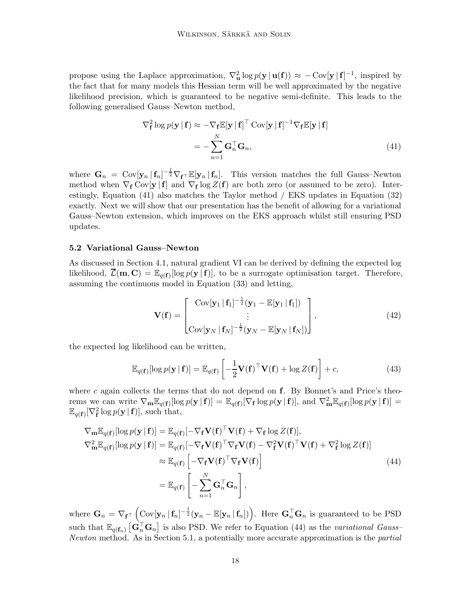propose using the Laplace approximation,  $\nabla^2_{\mathbf{u}} \log p(\mathbf{y} | \mathbf{u}(\mathbf{f})) \approx -\text{Cov}[\mathbf{y} | \mathbf{f}]^{-1}$ , inspired by the fact that for many models this Hessian term will be well approximated by the negative likelihood precision, which is guaranteed to be negative semi-definite. This leads to the following generalised Gauss–Newton method,

<span id="page-17-1"></span>
$$
\nabla_{\mathbf{f}}^{2} \log p(\mathbf{y} | \mathbf{f}) \approx -\nabla_{\mathbf{f}} \mathbb{E}[\mathbf{y} | \mathbf{f}]^{\top} \operatorname{Cov}[\mathbf{y} | \mathbf{f}]^{-1} \nabla_{\mathbf{f}} \mathbb{E}[\mathbf{y} | \mathbf{f}]
$$

$$
= -\sum_{n=1}^{N} \mathbf{G}_{n}^{\top} \mathbf{G}_{n}, \qquad (41)
$$

where  $G_n = \text{Cov}[\mathbf{y}_n | \mathbf{f}_n]^{-\frac{1}{2}} \nabla_{\mathbf{f}} \tau \mathbb{E}[\mathbf{y}_n | \mathbf{f}_n].$  This version matches the full Gauss–Newton method when  $\nabla_{\mathbf{f}} \text{Cov}[\mathbf{y} | \mathbf{f}]$  and  $\nabla_{\mathbf{f}} \log Z(\mathbf{f})$  are both zero (or assumed to be zero). Interestingly, [Equation \(41\)](#page-17-1) also matches the Taylor method / EKS updates in [Equation \(32\)](#page-12-0) exactly. Next we will show that our presentation has the benefit of allowing for a variational Gauss–Newton extension, which improves on the EKS approach whilst still ensuring PSD updates.

#### <span id="page-17-0"></span>5.2 Variational Gauss–Newton

As discussed in [Section 4.1,](#page-6-0) natural gradient VI can be derived by defining the expected log likelihood,  $\overline{\mathcal{L}}(\mathbf{m}, \mathbf{C}) = \mathbb{E}_{q(\mathbf{f})}[\log p(\mathbf{y} | \mathbf{f})],$  to be a surrogate optimisation target. Therefore, assuming the continuous model in [Equation \(33\)](#page-15-1) and letting,

$$
\mathbf{V}(\mathbf{f}) = \begin{bmatrix} \text{Cov}[\mathbf{y}_1 | \mathbf{f}_1]^{-\frac{1}{2}} (\mathbf{y}_1 - \mathbb{E}[\mathbf{y}_1 | \mathbf{f}_1]) \\ \vdots \\ \text{Cov}[\mathbf{y}_N | \mathbf{f}_N]^{-\frac{1}{2}} (\mathbf{y}_N - \mathbb{E}[\mathbf{y}_N | \mathbf{f}_N]) \end{bmatrix},
$$
(42)

the expected log likelihood can be written,

<span id="page-17-2"></span>
$$
\mathbb{E}_{q(\mathbf{f})}[\log p(\mathbf{y} \mid \mathbf{f})] = \mathbb{E}_{q(\mathbf{f})} \left[ -\frac{1}{2} \mathbf{V}(\mathbf{f})^{\top} \mathbf{V}(\mathbf{f}) + \log Z(\mathbf{f}) \right] + c,\tag{43}
$$

where c again collects the terms that do not depend on  $f$ . By Bonnet's and Price's theorems we can write  $\nabla_{\mathbf{m}} \mathbb{E}_{q(\mathbf{f})} [\log p(\mathbf{y} \mid \mathbf{f})] = \mathbb{E}_{q(\mathbf{f})} [\nabla_{\mathbf{f}} \log p(\mathbf{y} \mid \mathbf{f})],$  and  $\nabla_{\mathbf{m}}^2 \mathbb{E}_{q(\mathbf{f})} [\log p(\mathbf{y} \mid \mathbf{f})] =$  $\mathbb{E}_{q(\mathbf{f})}[\nabla_{\mathbf{f}}^2 \log p(\mathbf{y} \mid \mathbf{f})],$  such that,

$$
\nabla_{\mathbf{m}} \mathbb{E}_{q(\mathbf{f})} [\log p(\mathbf{y} \mid \mathbf{f})] = \mathbb{E}_{q(\mathbf{f})} [-\nabla_{\mathbf{f}} \mathbf{V}(\mathbf{f})^{\top} \mathbf{V}(\mathbf{f}) + \nabla_{\mathbf{f}} \log Z(\mathbf{f})],
$$
  
\n
$$
\nabla_{\mathbf{m}}^2 \mathbb{E}_{q(\mathbf{f})} [\log p(\mathbf{y} \mid \mathbf{f})] = \mathbb{E}_{q(\mathbf{f})} [-\nabla_{\mathbf{f}} \mathbf{V}(\mathbf{f})^{\top} \nabla_{\mathbf{f}} \mathbf{V}(\mathbf{f}) - \nabla_{\mathbf{f}}^2 \mathbf{V}(\mathbf{f})^{\top} \mathbf{V}(\mathbf{f}) + \nabla_{\mathbf{f}}^2 \log Z(\mathbf{f})]
$$
  
\n
$$
\approx \mathbb{E}_{q(\mathbf{f})} \left[ -\nabla_{\mathbf{f}} \mathbf{V}(\mathbf{f})^{\top} \nabla_{\mathbf{f}} \mathbf{V}(\mathbf{f}) \right]
$$
(44)  
\n
$$
= \mathbb{E}_{q(\mathbf{f})} \left[ -\sum_{n=1}^N \mathbf{G}_n^{\top} \mathbf{G}_n \right],
$$

where  $\mathbf{G}_n = \nabla_{\mathbf{f}^\top} \left( \text{Cov}[\mathbf{y}_n | \mathbf{f}_n]^{-\frac{1}{2}} (\mathbf{y}_n - \mathbb{E}[\mathbf{y}_n | \mathbf{f}_n]) \right)$ . Here  $\mathbf{G}_n^\top \mathbf{G}_n$  is guaranteed to be PSD such that  $\mathbb{E}_{q(f_n)}\left[\mathbf{G}_n^{\top} \mathbf{G}_n\right]$  is also PSD. We refer to [Equation \(44\)](#page-17-2) as the variational Gauss-Newton method. As in [Section 5.1,](#page-15-0) a potentially more accurate approximation is the partial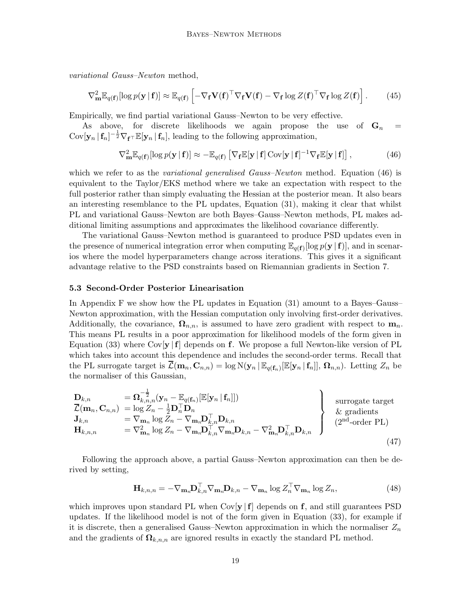variational Gauss–Newton method,

$$
\nabla_{\mathbf{m}}^2 \mathbb{E}_{q(\mathbf{f})}[\log p(\mathbf{y} \mid \mathbf{f})] \approx \mathbb{E}_{q(\mathbf{f})} \left[ -\nabla_{\mathbf{f}} \mathbf{V}(\mathbf{f})^\top \nabla_{\mathbf{f}} \mathbf{V}(\mathbf{f}) - \nabla_{\mathbf{f}} \log Z(\mathbf{f})^\top \nabla_{\mathbf{f}} \log Z(\mathbf{f}) \right]. \tag{45}
$$

Empirically, we find partial variational Gauss–Newton to be very effective.

As above, for discrete likelihoods we again propose the use of  $G_n$  =  $Cov[\mathbf{y}_n | \mathbf{f}_n]^{-\frac{1}{2}} \nabla_{\mathbf{f}^\top} \mathbb{E}[\mathbf{y}_n | \mathbf{f}_n]$ , leading to the following approximation,

<span id="page-18-0"></span>
$$
\nabla_{\mathbf{m}}^2 \mathbb{E}_{q(\mathbf{f})}[\log p(\mathbf{y} \mid \mathbf{f})] \approx -\mathbb{E}_{q(\mathbf{f})} [\nabla_{\mathbf{f}} \mathbb{E}[\mathbf{y} \mid \mathbf{f}] \operatorname{Cov}[\mathbf{y} \mid \mathbf{f}]^{-1} \nabla_{\mathbf{f}} \mathbb{E}[\mathbf{y} \mid \mathbf{f}]] \,, \tag{46}
$$

which we refer to as the *variational generalised Gauss–Newton* method. [Equation \(46\)](#page-18-0) is equivalent to the Taylor/EKS method where we take an expectation with respect to the full posterior rather than simply evaluating the Hessian at the posterior mean. It also bears an interesting resemblance to the PL updates, [Equation \(31\),](#page-11-1) making it clear that whilst PL and variational Gauss–Newton are both Bayes–Gauss–Newton methods, PL makes additional limiting assumptions and approximates the likelihood covariance differently.

The variational Gauss–Newton method is guaranteed to produce PSD updates even in the presence of numerical integration error when computing  $\mathbb{E}_{q(f)}[\log p(\mathbf{y} | \mathbf{f})]$ , and in scenarios where the model hyperparameters change across iterations. This gives it a significant advantage relative to the PSD constraints based on Riemannian gradients in [Section 7.](#page-22-0)

#### <span id="page-18-1"></span>5.3 Second-Order Posterior Linearisation

In [Appendix F](#page-44-1) we show how the PL updates in [Equation \(31\)](#page-11-1) amount to a Bayes–Gauss– Newton approximation, with the Hessian computation only involving first-order derivatives. Additionally, the covariance,  $\Omega_{n,n}$ , is assumed to have zero gradient with respect to  $m_n$ . This means PL results in a poor approximation for likelihood models of the form given in [Equation \(33\)](#page-15-1) where  $\text{Cov}[\mathbf{y} | \mathbf{f}]$  depends on f. We propose a full Newton-like version of PL which takes into account this dependence and includes the second-order terms. Recall that the PL surrogate target is  $\overline{\mathcal{L}}(\mathbf{m}_n, \mathbf{C}_{n,n}) = \log N(\mathbf{y}_n | \mathbb{E}_{q(\mathbf{f}_n)}[\mathbb{E}[\mathbf{y}_n | \mathbf{f}_n]], \mathbf{\Omega}_{n,n})$ . Letting  $Z_n$  be the normaliser of this Gaussian,

$$
\begin{array}{ll}\n\mathbf{D}_{k,n} &= \mathbf{\Omega}_{k,n,n}^{-\frac{1}{2}}(\mathbf{y}_n - \mathbb{E}_{q(\mathbf{f}_n)}[\mathbb{E}[\mathbf{y}_n \mid \mathbf{f}_n]]) \\
\overline{\mathcal{L}}(\mathbf{m}_n, \mathbf{C}_{n,n}) &= \log Z_n - \frac{1}{2} \mathbf{D}_n^\top \mathbf{D}_n \\
\mathbf{J}_{k,n} &= \nabla_{\mathbf{m}_n} \log Z_n - \nabla_{\mathbf{m}_n} \mathbf{D}_{k,n}^\top \mathbf{D}_{k,n} \\
\mathbf{H}_{k,n,n} &= \nabla_{\mathbf{m}_n}^2 \log Z_n - \nabla_{\mathbf{m}_n} \mathbf{D}_{k,n}^\top \nabla_{\mathbf{m}_n} \mathbf{D}_{k,n} - \nabla_{\mathbf{m}_n}^2 \mathbf{D}_{k,n}^\top \mathbf{D}_{k,n}\n\end{array}\n\right\}\n\text{surrogate target}\n\& \text{gradients}\n\tag{47}
$$

Following the approach above, a partial Gauss–Newton approximation can then be derived by setting,

<span id="page-18-2"></span>
$$
\mathbf{H}_{k,n,n} = -\nabla_{\mathbf{m}n} \mathbf{D}_{k,n}^\top \nabla_{\mathbf{m}n} \mathbf{D}_{k,n} - \nabla_{\mathbf{m}n} \log Z_n^\top \nabla_{\mathbf{m}n} \log Z_n, \tag{48}
$$

which improves upon standard PL when  $Cov[y|f]$  depends on f, and still guarantees PSD updates. If the likelihood model is not of the form given in [Equation \(33\),](#page-15-1) for example if it is discrete, then a generalised Gauss–Newton approximation in which the normaliser  $Z_n$ and the gradients of  $\Omega_{k,n,n}$  are ignored results in exactly the standard PL method.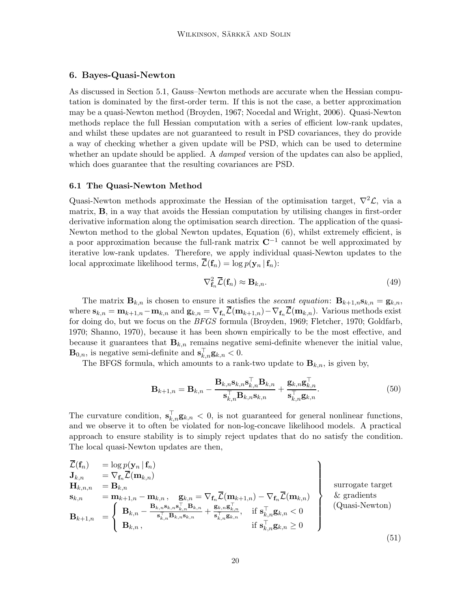# <span id="page-19-1"></span>6. Bayes-Quasi-Newton

As discussed in [Section 5.1,](#page-15-0) Gauss–Newton methods are accurate when the Hessian computation is dominated by the first-order term. If this is not the case, a better approximation may be a quasi-Newton method [\(Broyden](#page-35-1), [1967;](#page-35-1) [Nocedal and Wright](#page-37-1), [2006](#page-37-1)). Quasi-Newton methods replace the full Hessian computation with a series of efficient low-rank updates, and whilst these updates are not guaranteed to result in PSD covariances, they do provide a way of checking whether a given update will be PSD, which can be used to determine whether an update should be applied. A *damped* version of the updates can also be applied, which does guarantee that the resulting covariances are PSD.

#### <span id="page-19-0"></span>6.1 The Quasi-Newton Method

Quasi-Newton methods approximate the Hessian of the optimisation target,  $\nabla^2 \mathcal{L}$ , via a matrix, B, in a way that avoids the Hessian computation by utilising changes in first-order derivative information along the optimisation search direction. The application of the quasi-Newton method to the global Newton updates, [Equation \(6\),](#page-4-1) whilst extremely efficient, is a poor approximation because the full-rank matrix  $\mathbb{C}^{-1}$  cannot be well approximated by iterative low-rank updates. Therefore, we apply individual quasi-Newton updates to the local approximate likelihood terms,  $\overline{\mathcal{L}}(\mathbf{f}_n) = \log p(\mathbf{y}_n | \mathbf{f}_n)$ :

$$
\nabla_{\mathbf{f}_n}^2 \overline{\mathcal{L}}(\mathbf{f}_n) \approx \mathbf{B}_{k,n}.\tag{49}
$$

The matrix  $\mathbf{B}_{k,n}$  is chosen to ensure it satisfies the secant equation:  $\mathbf{B}_{k+1,n}\mathbf{s}_{k,n} = \mathbf{g}_{k,n}$ , where  $\mathbf{s}_{k,n} = \mathbf{m}_{k+1,n} - \mathbf{m}_{k,n}$  and  $\mathbf{g}_{k,n} = \nabla_{\mathbf{f}_n} \overline{\mathcal{L}}(\mathbf{m}_{k+1,n}) - \nabla_{\mathbf{f}_n} \overline{\mathcal{L}}(\mathbf{m}_{k,n})$ . Various methods exist for doing do, but we focus on the BFGS formula [\(Broyden](#page-35-9), [1969;](#page-35-9) [Fletcher](#page-35-10), [1970](#page-35-10); [Goldfarb](#page-35-11), [1970;](#page-35-11) [Shanno, 1970](#page-38-5)), because it has been shown empirically to be the most effective, and because it guarantees that  $\mathbf{B}_{k,n}$  remains negative semi-definite whenever the initial value,  $\mathbf{B}_{0,n}$ , is negative semi-definite and  $\mathbf{s}_{k,n}^{\top} \mathbf{g}_{k,n} < 0$ .

The BFGS formula, which amounts to a rank-two update to  $\mathbf{B}_{k,n}$ , is given by,

<span id="page-19-2"></span>
$$
\mathbf{B}_{k+1,n} = \mathbf{B}_{k,n} - \frac{\mathbf{B}_{k,n} \mathbf{s}_{k,n} \mathbf{s}_{k,n}^\top \mathbf{B}_{k,n}}{\mathbf{s}_{k,n}^\top \mathbf{B}_{k,n} \mathbf{s}_{k,n}} + \frac{\mathbf{g}_{k,n} \mathbf{g}_{k,n}^\top}{\mathbf{s}_{k,n}^\top \mathbf{g}_{k,n}}.
$$
(50)

The curvature condition,  $\mathbf{s}_{k,n}^{\top} \mathbf{g}_{k,n} < 0$ , is not guaranteed for general nonlinear functions, and we observe it to often be violated for non-log-concave likelihood models. A practical approach to ensure stability is to simply reject updates that do no satisfy the condition. The local quasi-Newton updates are then,

$$
\left\{\n\begin{array}{ll}\n\overline{\mathcal{L}}(\mathbf{f}_n) & = \log p(\mathbf{y}_n | \mathbf{f}_n) \\
\mathbf{J}_{k,n} & = \nabla_{\mathbf{f}_n} \overline{\mathcal{L}}(\mathbf{m}_{k,n}) \\
\mathbf{H}_{k,n,n} & = \mathbf{B}_{k,n} \\
\mathbf{s}_{k,n} & = \mathbf{m}_{k+1,n} - \mathbf{m}_{k,n}, \quad \mathbf{g}_{k,n} = \nabla_{\mathbf{f}_n} \overline{\mathcal{L}}(\mathbf{m}_{k+1,n}) - \nabla_{\mathbf{f}_n} \overline{\mathcal{L}}(\mathbf{m}_{k,n}) \\
\mathbf{B}_{k+1,n} & = \n\left\{\n\begin{array}{ll}\n\mathbf{B}_{k,n} - \frac{\mathbf{B}_{k,n} \mathbf{s}_{k,n} \mathbf{s}_{k,n} \mathbf{s}_{k,n}^{\top} \mathbf{B}_{k,n}}{\mathbf{s}_{k,n}^{\top} \mathbf{B}_{k,n} \mathbf{s}_{k,n}} + \frac{\mathbf{g}_{k,n} \mathbf{g}_{k,n}}{\mathbf{s}_{k,n}^{\top} \mathbf{g}_{k,n}}, & \text{if } \mathbf{s}_{k,n}^{\top} \mathbf{g}_{k,n} < 0 \\
\mathbf{B}_{k,n}, & \text{if } \mathbf{s}_{k,n}^{\top} \mathbf{g}_{k,n} \geq 0\n\end{array}\n\right\}\n\tag{51}
$$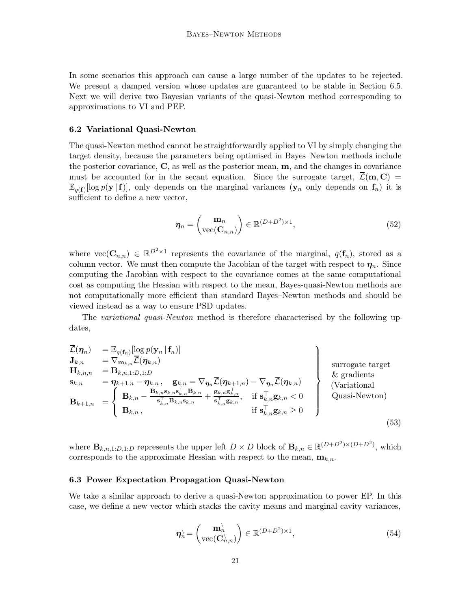In some scenarios this approach can cause a large number of the updates to be rejected. We present a damped version whose updates are guaranteed to be stable in [Section 6.5.](#page-21-0) Next we will derive two Bayesian variants of the quasi-Newton method corresponding to approximations to VI and PEP.

#### 6.2 Variational Quasi-Newton

The quasi-Newton method cannot be straightforwardly applied to VI by simply changing the target density, because the parameters being optimised in Bayes–Newton methods include the posterior covariance,  $C$ , as well as the posterior mean,  $m$ , and the changes in covariance must be accounted for in the secant equation. Since the surrogate target,  $\overline{\mathcal{L}}(m, C)$  =  $\mathbb{E}_{q(f)}[\log p(\mathbf{y} \mid \mathbf{f})],$  only depends on the marginal variances  $(\mathbf{y}_n)$  only depends on  $f_n$ ) it is sufficient to define a new vector,

$$
\eta_n = \begin{pmatrix} \mathbf{m}_n \\ \text{vec}(\mathbf{C}_{n,n}) \end{pmatrix} \in \mathbb{R}^{(D+D^2)\times 1},\tag{52}
$$

where  $\text{vec}(\mathbf{C}_{n,n}) \in \mathbb{R}^{D^2 \times 1}$  represents the covariance of the marginal,  $q(\mathbf{f}_n)$ , stored as a column vector. We must then compute the Jacobian of the target with respect to  $\eta_n$ . Since computing the Jacobian with respect to the covariance comes at the same computational cost as computing the Hessian with respect to the mean, Bayes-quasi-Newton methods are not computationally more efficient than standard Bayes–Newton methods and should be viewed instead as a way to ensure PSD updates.

The variational quasi-Newton method is therefore characterised by the following updates,

$$
\overline{\mathcal{L}}(\eta_n) = \mathbb{E}_{q(\mathbf{f}_n)}[\log p(\mathbf{y}_n | \mathbf{f}_n)]
$$
\n
$$
\mathbf{J}_{k,n} = \nabla_{\mathbf{m}_{k,n}} \overline{\mathcal{L}}(\eta_{k,n})
$$
\n
$$
\mathbf{H}_{k,n,n} = \mathbf{B}_{k,n,1:D,1:D}
$$
\n
$$
\mathbf{s}_{k,n} = \eta_{k+1,n} - \eta_{k,n}, \quad \mathbf{g}_{k,n} = \nabla_{\eta_n} \overline{\mathcal{L}}(\eta_{k+1,n}) - \nabla_{\eta_n} \overline{\mathcal{L}}(\eta_{k,n})
$$
\n
$$
\mathbf{B}_{k+1,n} = \begin{cases} \mathbf{B}_{k,n} - \frac{\mathbf{B}_{k,n}\mathbf{s}_{k,n}\mathbf{s}_{k,n}^\top \mathbf{B}_{k,n}}{\mathbf{s}_{k,n}^\top \mathbf{B}_{k,n} \mathbf{s}_{k,n}} + \frac{\mathbf{g}_{k,n}\mathbf{g}_{k,n}^\top}{\mathbf{s}_{k,n}^\top \mathbf{g}_{k,n}}, & \text{if } \mathbf{s}_{k,n}^\top \mathbf{g}_{k,n} < 0 \\ \mathbf{B}_{k,n}, & \text{if } \mathbf{s}_{k,n}^\top \mathbf{g}_{k,n} \ge 0 \end{cases}
$$
\n(Variational

\n
$$
\mathbf{B}_{k+1,n} = \begin{cases} \mathbf{B}_{k,n}, & \text{if } \mathbf{B}_{k,n} = \mathbf{B}_{k,n} \mathbf{s}_{k,n} \\ \mathbf{B}_{k,n}, & \text{if } \mathbf{s}_{k,n}^\top \mathbf{g}_{k,n} \ge 0 \end{cases}
$$
\n(12.1)

where  $\mathbf{B}_{k,n,1:D,1:D}$  represents the upper left  $D \times D$  block of  $\mathbf{B}_{k,n} \in \mathbb{R}^{(D+D^2)\times(D+D^2)}$ , which corresponds to the approximate Hessian with respect to the mean,  $\mathbf{m}_{k,n}$ .

#### 6.3 Power Expectation Propagation Quasi-Newton

We take a similar approach to derive a quasi-Newton approximation to power EP. In this case, we define a new vector which stacks the cavity means and marginal cavity variances,

<span id="page-20-0"></span>
$$
\boldsymbol{\eta}_n^{\setminus} = \begin{pmatrix} \mathbf{m}_n^{\setminus} \\ \text{vec}(\mathbf{C}_{n,n}^{\setminus}) \end{pmatrix} \in \mathbb{R}^{(D+D^2)\times 1},\tag{54}
$$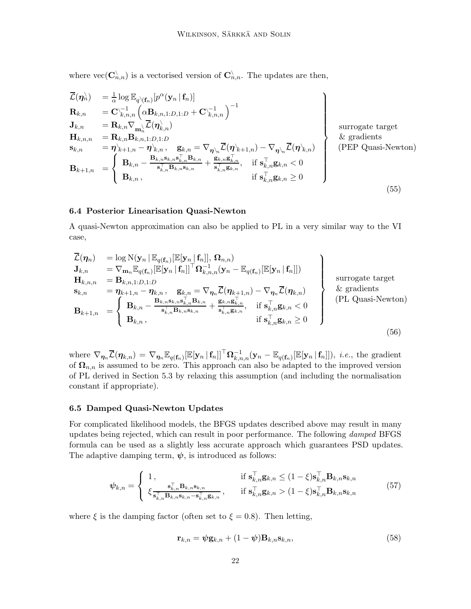where  $\text{vec}(\mathbf{C}_{n,n}^{\setminus})$  is a vectorised version of  $\mathbf{C}_{n,n}^{\setminus}$ . The updates are then,

$$
\overline{\mathcal{L}}(\eta_n^{\lambda}) = \frac{1}{\alpha} \log \mathbb{E}_{q \setminus (\mathbf{f}_n)}[p^{\alpha}(\mathbf{y}_n | \mathbf{f}_n)]
$$
\n
$$
\mathbf{R}_{k,n} = \mathbf{C} \setminus \mathbf{I}_{k,n} \left( \alpha \mathbf{B}_{k,n,1:D,1:D} + \mathbf{C} \setminus \mathbf{I}_{k,n} \right)^{-1}
$$
\n
$$
\mathbf{J}_{k,n} = \mathbf{R}_{k,n} \nabla_{\mathbf{m}_{n}} \overline{\mathcal{L}}(\eta_{k,n}^{\lambda})
$$
\n
$$
\mathbf{H}_{k,n,n} = \mathbf{R}_{k,n} \mathbf{B}_{k,n,1:D,1:D}
$$
\n
$$
\mathbf{s}_{k,n} = \eta_{k+1,n} - \eta_{k,n}, \quad \mathbf{g}_{k,n} = \nabla_{\eta_{n}} \overline{\mathcal{L}}(\eta_{k+1,n}) - \nabla_{\eta_{n}} \overline{\mathcal{L}}(\eta_{k,n})
$$
\n
$$
\mathbf{B}_{k+1,n} = \begin{cases} \mathbf{B}_{k,n} - \frac{\mathbf{B}_{k,n} \mathbf{s}_{k,n} \mathbf{s}_{k,n}^{\top} \mathbf{s}_{k,n}}{\mathbf{s}_{k,n}^{\top} \mathbf{B}_{k,n}} + \frac{\mathbf{g}_{k,n} \mathbf{g}_{k,n}^{\top}}{\mathbf{s}_{k,n}^{\top} \mathbf{g}_{k,n}}, & \text{if } \mathbf{s}_{k,n}^{\top} \mathbf{g}_{k,n} < 0 \\ \mathbf{B}_{k,n}, & \text{if } \mathbf{s}_{k,n}^{\top} \mathbf{g}_{k,n} \geq 0 \end{cases}
$$
\n
$$
(55)
$$

# <span id="page-21-1"></span>6.4 Posterior Linearisation Quasi-Newton

A quasi-Newton approximation can also be applied to PL in a very similar way to the VI case,

$$
\overline{\mathcal{L}}(\eta_n) = \log N(\mathbf{y}_n | \mathbb{E}_{q(\mathbf{f}_n)}[\mathbb{E}[\mathbf{y}_n | \mathbf{f}_n]], \Omega_{n,n})
$$
\n
$$
\mathbf{J}_{k,n} = \nabla_{\mathbf{m}_n} \mathbb{E}_{q(\mathbf{f}_n)}[\mathbb{E}[\mathbf{y}_n | \mathbf{f}_n]]^\top \Omega_{k,n,n}^{-1} (\mathbf{y}_n - \mathbb{E}_{q(\mathbf{f}_n)}[\mathbb{E}[\mathbf{y}_n | \mathbf{f}_n]])
$$
\n
$$
\mathbf{H}_{k,n,n} = \mathbf{B}_{k,n,1:D,1:D}
$$
\n
$$
\mathbf{s}_{k,n} = \eta_{k+1,n} - \eta_{k,n}, \quad \mathbf{g}_{k,n} = \nabla_{\eta_n} \overline{\mathcal{L}}(\eta_{k+1,n}) - \nabla_{\eta_n} \overline{\mathcal{L}}(\eta_{k,n})
$$
\n
$$
\mathbf{B}_{k+1,n} = \begin{cases} \mathbf{B}_{k,n} - \frac{\mathbf{B}_{k,n} \mathbf{s}_{k,n} \mathbf{s}_{k,n}^\top \mathbf{B}_{k,n}}{\mathbf{s}_{k,n}^\top \mathbf{B}_{k,n} \mathbf{s}_{k,n}} + \frac{\mathbf{g}_{k,n} \mathbf{g}_{k,n}^\top}{\mathbf{s}_{k,n}^\top \mathbf{g}_{k,n}}, & \text{if } \mathbf{s}_{k,n}^\top \mathbf{g}_{k,n} < 0 \\ \mathbf{B}_{k,n}, & \text{if } \mathbf{s}_{k,n}^\top \mathbf{g}_{k,n} \ge 0 \end{cases}
$$
\n
$$
(56)
$$

where  $\nabla_{\boldsymbol{\eta}_n} \overline{\mathcal{L}}(\boldsymbol{\eta}_{k,n}) = \nabla_{\boldsymbol{\eta}_n} \mathbb{E}_{q(\mathbf{f}_n)} [\mathbb{E}[\mathbf{y}_n | \mathbf{f}_n]]^\top \mathbf{\Omega}_{k,n,n}^{-1} (\mathbf{y}_n - \mathbb{E}_{q(\mathbf{f}_n)} [\mathbb{E}[\mathbf{y}_n | \mathbf{f}_n]]), i.e.,$  the gradient of  $\Omega_{n,n}$  is assumed to be zero. This approach can also be adapted to the improved version of PL derived in [Section 5.3](#page-18-1) by relaxing this assumption (and including the normalisation constant if appropriate).

#### <span id="page-21-0"></span>6.5 Damped Quasi-Newton Updates

For complicated likelihood models, the BFGS updates described above may result in many updates being rejected, which can result in poor performance. The following *damped* BFGS formula can be used as a slightly less accurate approach which guarantees PSD updates. The adaptive damping term,  $\psi$ , is introduced as follows:

$$
\psi_{k,n} = \begin{cases} 1, & \text{if } \mathbf{s}_{k,n}^{\top} \mathbf{g}_{k,n} \le (1-\xi) \mathbf{s}_{k,n}^{\top} \mathbf{B}_{k,n} \mathbf{s}_{k,n} \\ \xi \frac{\mathbf{s}_{k,n}^{\top} \mathbf{B}_{k,n} \mathbf{s}_{k,n}}{\mathbf{s}_{k,n}^{\top} \mathbf{B}_{k,n} \mathbf{s}_{k,n} - \mathbf{s}_{k,n}^{\top} \mathbf{g}_{k,n}}, & \text{if } \mathbf{s}_{k,n}^{\top} \mathbf{g}_{k,n} > (1-\xi) \mathbf{s}_{k,n}^{\top} \mathbf{B}_{k,n} \mathbf{s}_{k,n} \end{cases} \tag{57}
$$

where  $\xi$  is the damping factor (often set to  $\xi = 0.8$ ). Then letting,

$$
\mathbf{r}_{k,n} = \psi \mathbf{g}_{k,n} + (1 - \psi) \mathbf{B}_{k,n} \mathbf{s}_{k,n},\tag{58}
$$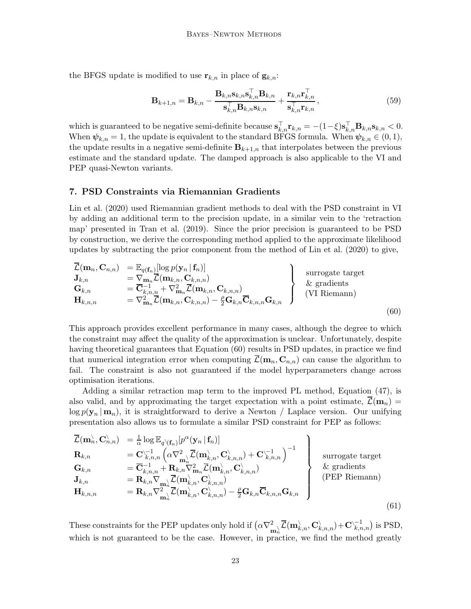the BFGS update is modified to use  $\mathbf{r}_{k,n}$  in place of  $\mathbf{g}_{k,n}$ :

$$
\mathbf{B}_{k+1,n} = \mathbf{B}_{k,n} - \frac{\mathbf{B}_{k,n} \mathbf{s}_{k,n} \mathbf{s}_{k,n}^{\top} \mathbf{B}_{k,n}}{\mathbf{s}_{k,n}^{\top} \mathbf{B}_{k,n} \mathbf{s}_{k,n}} + \frac{\mathbf{r}_{k,n} \mathbf{r}_{k,n}^{\top}}{\mathbf{s}_{k,n}^{\top} \mathbf{r}_{k,n}},
$$
(59)

which is guaranteed to be negative semi-definite because  $\mathbf{s}_{k,n}^{\top} \mathbf{r}_{k,n} = -(1-\xi) \mathbf{s}_{k,n}^{\top} \mathbf{B}_{k,n} \mathbf{s}_{k,n} < 0$ . When  $\psi_{k,n} = 1$ , the update is equivalent to the standard BFGS formula. When  $\psi_{k,n} \in (0,1)$ , the update results in a negative semi-definite  $B_{k+1,n}$  that interpolates between the previous estimate and the standard update. The damped approach is also applicable to the VI and PEP quasi-Newton variants.

# <span id="page-22-0"></span>7. PSD Constraints via Riemannian Gradients

Lin et al. [\(2020\)](#page-37-2) used Riemannian gradient methods to deal with the PSD constraint in VI by adding an additional term to the precision update, in a similar vein to the 'retraction map' presented in [Tran et al. \(2019\)](#page-38-6). Since the prior precision is guaranteed to be PSD by construction, we derive the corresponding method applied to the approximate likelihood updates by subtracting the prior component from the method of [Lin et al. \(2020\)](#page-37-2) to give,

<span id="page-22-1"></span>
$$
\begin{array}{lcl}\n\overline{\mathcal{L}}(\mathbf{m}_n, \mathbf{C}_{n,n}) & = \mathbb{E}_{q(\mathbf{f}_n)}[\log p(\mathbf{y}_n | \mathbf{f}_n)] \\
\mathbf{J}_{k,n} & = \nabla_{\mathbf{m}_n} \overline{\mathcal{L}}(\mathbf{m}_{k,n}, \mathbf{C}_{k,n,n}) \\
\mathbf{G}_{k,n} & = \overline{\mathbf{C}}_{k,n,n}^{-1} + \nabla_{\mathbf{m}_n}^2 \overline{\mathcal{L}}(\mathbf{m}_{k,n}, \mathbf{C}_{k,n,n}) \\
\mathbf{H}_{k,n,n} & = \nabla_{\mathbf{m}_n}^2 \overline{\mathcal{L}}(\mathbf{m}_{k,n}, \mathbf{C}_{k,n,n}) - \frac{\rho}{2} \mathbf{G}_{k,n} \overline{\mathbf{C}}_{k,n,n} \mathbf{G}_{k,n}\n\end{array}\n\right\} \text{ surrogate target} (VI Riemann) (60)
$$

This approach provides excellent performance in many cases, although the degree to which the constraint may affect the quality of the approximation is unclear. Unfortunately, despite having theoretical guarantees that [Equation \(60\)](#page-22-1) results in PSD updates, in practice we find that numerical integration error when computing  $\bar{\mathcal{L}}(\mathbf{m}_n, \mathbf{C}_{n,n})$  can cause the algorithm to fail. The constraint is also not guaranteed if the model hyperparameters change across optimisation iterations.

Adding a similar retraction map term to the improved PL method, [Equation \(47\),](#page-18-2) is also valid, and by approximating the target expectation with a point estimate,  $\mathcal{L}(\mathbf{m}_n)$  =  $\log p(\mathbf{y}_n | \mathbf{m}_n)$ , it is straightforward to derive a Newton / Laplace version. Our unifying presentation also allows us to formulate a similar PSD constraint for PEP as follows:

$$
\overline{\mathcal{L}}(\mathbf{m}_n^{\lambda}, \mathbf{C}_{n,n}^{\lambda}) = \frac{1}{\alpha} \log \mathbb{E}_{q \setminus (\mathbf{f}_n)}[p^{\alpha}(\mathbf{y}_n | \mathbf{f}_n)]
$$
\n
$$
\mathbf{R}_{k,n} = \mathbf{C}_{k,n,n}^{-1} \left( \alpha \nabla_{\mathbf{m}_n^{\lambda}}^2 \overline{\mathcal{L}}(\mathbf{m}_{k,n}^{\lambda}, \mathbf{C}_{k,n,n}^{\lambda}) + \mathbf{C}_{k,n,n}^{-1} \right)^{-1}
$$
\n
$$
\mathbf{G}_{k,n} = \overline{\mathbf{C}}_{k,n,n}^{-1} + \mathbf{R}_{k,n} \nabla_{\mathbf{m}_n}^2 \overline{\mathcal{L}}(\mathbf{m}_{k,n}^{\lambda}, \mathbf{C}_{k,n,n}^{\lambda})
$$
\n
$$
\mathbf{J}_{k,n} = \mathbf{R}_{k,n} \nabla_{\mathbf{m}_n^{\lambda}} \overline{\mathcal{L}}(\mathbf{m}_{k,n}^{\lambda}, \mathbf{C}_{k,n,n}^{\lambda})
$$
\n
$$
\mathbf{H}_{k,n,n} = \mathbf{R}_{k,n} \nabla_{\mathbf{m}_n^{\lambda}}^2 \overline{\mathcal{L}}(\mathbf{m}_{k,n}^{\lambda}, \mathbf{C}_{k,n,n}^{\lambda}) - \frac{\rho}{2} \mathbf{G}_{k,n} \overline{\mathbf{C}}_{k,n,n} \mathbf{G}_{k,n}
$$
\n(61)

<span id="page-22-2"></span>These constraints for the PEP updates only hold if  $(\alpha \nabla^2_{\mathbf{m}^\setminus_n} \overline{\mathcal{L}}(\mathbf{m}^\setminus_{k,n}, \mathbf{C}^\setminus_{k,n,n}) + \mathbf{C}^\setminus_{k,n,n}^{-1})$  is PSD, which is not guaranteed to be the case. However, in practice, we find the method greatly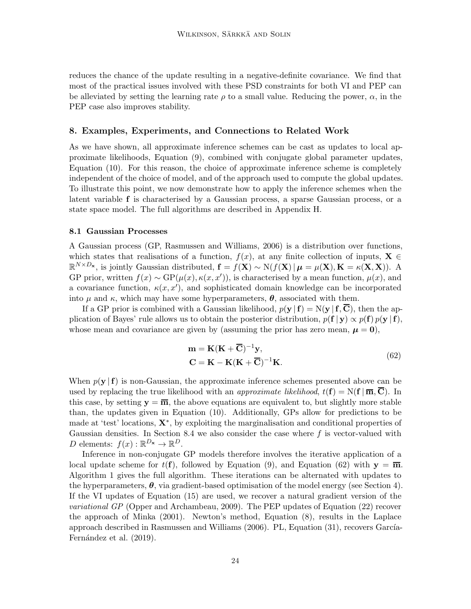reduces the chance of the update resulting in a negative-definite covariance. We find that most of the practical issues involved with these PSD constraints for both VI and PEP can be alleviated by setting the learning rate  $\rho$  to a small value. Reducing the power,  $\alpha$ , in the PEP case also improves stability.

# <span id="page-23-0"></span>8. Examples, Experiments, and Connections to Related Work

As we have shown, all approximate inference schemes can be cast as updates to local approximate likelihoods, [Equation \(9\),](#page-5-1) combined with conjugate global parameter updates, [Equation \(10\).](#page-6-1) For this reason, the choice of approximate inference scheme is completely independent of the choice of model, and of the approach used to compute the global updates. To illustrate this point, we now demonstrate how to apply the inference schemes when the latent variable f is characterised by a Gaussian process, a sparse Gaussian process, or a state space model. The full algorithms are described in [Appendix H.](#page-46-0)

#### <span id="page-23-1"></span>8.1 Gaussian Processes

A Gaussian process (GP, [Rasmussen and Williams](#page-37-8), [2006](#page-37-8)) is a distribution over functions, which states that realisations of a function,  $f(x)$ , at any finite collection of inputs,  $\mathbf{X} \in$  $\mathbb{R}^{N\times D_{\mathbf{x}}},$  is jointly Gaussian distributed,  $\mathbf{f} = f(\mathbf{X}) \sim \mathrm{N}(f(\mathbf{X}) | \boldsymbol{\mu} = \mu(\mathbf{X}), \mathbf{K} = \kappa(\mathbf{X}, \mathbf{X})$ ). A GP prior, written  $f(x) \sim GP(\mu(x), \kappa(x, x'))$ , is characterised by a mean function,  $\mu(x)$ , and a covariance function,  $\kappa(x, x')$ , and sophisticated domain knowledge can be incorporated into  $\mu$  and  $\kappa$ , which may have some hyperparameters,  $\boldsymbol{\theta}$ , associated with them.

If a GP prior is combined with a Gaussian likelihood,  $p(y | f) = N(y | f, \overline{C})$ , then the application of Bayes' rule allows us to obtain the posterior distribution,  $p(\mathbf{f} | \mathbf{y}) \propto p(\mathbf{f}) p(\mathbf{y} | \mathbf{f})$ , whose mean and covariance are given by (assuming the prior has zero mean,  $\mu = 0$ ),

<span id="page-23-2"></span>
$$
\mathbf{m} = \mathbf{K}(\mathbf{K} + \overline{\mathbf{C}})^{-1}\mathbf{y},
$$
  
\n
$$
\mathbf{C} = \mathbf{K} - \mathbf{K}(\mathbf{K} + \overline{\mathbf{C}})^{-1}\mathbf{K}.
$$
\n(62)

When  $p(\mathbf{y} \mid \mathbf{f})$  is non-Gaussian, the approximate inference schemes presented above can be used by replacing the true likelihood with an *approximate likelihood*,  $t(\mathbf{f}) = N(\mathbf{f} | \overline{\mathbf{m}}, \mathbf{C})$ . In this case, by setting  $y = \overline{m}$ , the above equations are equivalent to, but slightly more stable than, the updates given in [Equation \(10\).](#page-6-1) Additionally, GPs allow for predictions to be made at 'test' locations, X<sup>∗</sup> , by exploiting the marginalisation and conditional properties of Gaussian densities. In [Section 8.4](#page-27-0) we also consider the case where  $f$  is vector-valued with D elements:  $f(x): \mathbb{R}^{D_{\mathbf{x}}}\to \mathbb{R}^{D}$ .

Inference in non-conjugate GP models therefore involves the iterative application of a local update scheme for  $t(f)$ , followed by [Equation \(9\),](#page-5-1) and [Equation \(62\)](#page-23-2) with  $y = \overline{m}$ . [Algorithm 1](#page-46-1) gives the full algorithm. These iterations can be alternated with updates to the hyperparameters,  $\theta$ , via gradient-based optimisation of the model energy (see [Section 4\)](#page-6-2). If the VI updates of [Equation \(15\)](#page-7-1) are used, we recover a natural gradient version of the variational GP [\(Opper and Archambeau](#page-37-9), [2009\)](#page-37-9). The PEP updates of [Equation \(22\)](#page-9-1) recover the approach of [Minka \(2001](#page-37-0)). Newton's method, [Equation \(8\),](#page-5-2) results in the Laplace approach descri[bed in](#page-35-7) [Rasmussen and Williams \(2006](#page-37-8)[\). PL,](#page-35-7) [Equation \(31\),](#page-11-1) [recovers](#page-35-7) García-Fernández et al. [\(2019\)](#page-35-7).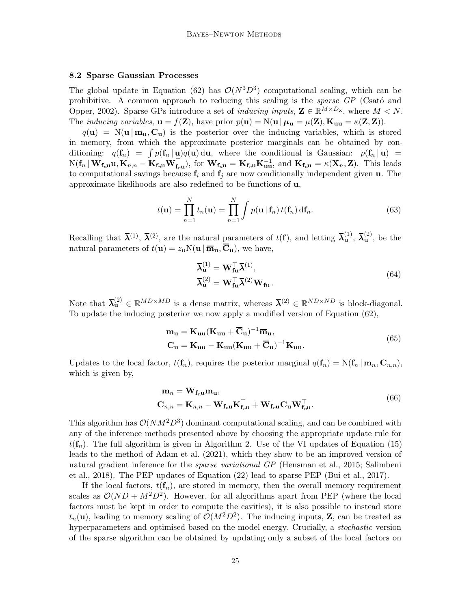# <span id="page-24-0"></span>8.2 Sparse Gaussian Processes

The global update in [Equation \(62\)](#page-23-2) has  $\mathcal{O}(N^3D^3)$  computational scaling, which can be prohi[bitive. A common approach to reducing this scaling is the](#page-35-12) *sparse GP* (Csató and Opper, [2002](#page-35-12)). Sparse GPs introduce a set of *inducing inputs*,  $\mathbf{Z} \in \mathbb{R}^{M \times D_{\mathbf{x}}}$ , where  $M < N$ . The *inducing variables*,  $\mathbf{u} = f(\mathbf{Z})$ , have prior  $p(\mathbf{u}) = N(\mathbf{u} | \boldsymbol{\mu}_{\mathbf{u}} = \mu(\mathbf{Z}), \mathbf{K}_{\mathbf{u}\mathbf{u}} = \kappa(\mathbf{Z}, \mathbf{Z})$ ).

 $q(\mathbf{u}) = \mathcal{N}(\mathbf{u} | \mathbf{m}_{\mathbf{u}}, \mathbf{C}_{\mathbf{u}})$  is the posterior over the inducing variables, which is stored in memory, from which the approximate posterior marginals can be obtained by conditioning:  $q(\mathbf{f}_n) = \int p(\mathbf{f}_n | \mathbf{u})q(\mathbf{u}) d\mathbf{u}$ , where the conditional is Gaussian:  $p(\mathbf{f}_n | \mathbf{u}) =$  $N(f_n | W_{f_n u} u, K_{n,n} - K_{f_n u} W_{f_n u}^\top)$ , for  $W_{f_n u} = K_{f_n u} K_{uu}^{-1}$ , and  $K_{f_n u} = \kappa(X_n, Z)$ . This leads to computational savings because  $f_i$  and  $f_j$  are now conditionally independent given **u**. The approximate likelihoods are also redefined to be functions of u,

$$
t(\mathbf{u}) = \prod_{n=1}^{N} t_n(\mathbf{u}) = \prod_{n=1}^{N} \int p(\mathbf{u} | \mathbf{f}_n) t(\mathbf{f}_n) \, \mathrm{d}\mathbf{f}_n. \tag{63}
$$

Recalling that  $\bar{\lambda}^{(1)}$ ,  $\bar{\lambda}^{(2)}$ , are the natural parameters of  $t(f)$ , and letting  $\bar{\lambda}^{(1)}_{\mathbf{u}}, \bar{\lambda}^{(2)}_{\mathbf{u}},$  be the natural parameters of  $t(\mathbf{u}) = z_{\mathbf{u}} N(\mathbf{u} | \overline{\mathbf{m}}_{\mathbf{u}}, \overline{\mathbf{C}}_{\mathbf{u}})$ , we have,

$$
\overline{\lambda}_{\mathbf{u}}^{(1)} = \mathbf{W}_{\mathbf{f}\mathbf{u}}^{\top} \overline{\lambda}^{(1)},
$$
  
\n
$$
\overline{\lambda}_{\mathbf{u}}^{(2)} = \mathbf{W}_{\mathbf{f}\mathbf{u}}^{\top} \overline{\lambda}^{(2)} \mathbf{W}_{\mathbf{f}\mathbf{u}}.
$$
\n(64)

Note that  $\bar{\lambda}_{\mathbf{u}}^{(2)} \in \mathbb{R}^{MD \times MD}$  is a dense matrix, whereas  $\bar{\lambda}^{(2)} \in \mathbb{R}^{ND \times ND}$  is block-diagonal. To update the inducing posterior we now apply a modified version of [Equation \(62\),](#page-23-2)

$$
\mathbf{m}_{\mathbf{u}} = \mathbf{K}_{\mathbf{u}\mathbf{u}} (\mathbf{K}_{\mathbf{u}\mathbf{u}} + \overline{\mathbf{C}}_{\mathbf{u}})^{-1} \overline{\mathbf{m}}_{\mathbf{u}},
$$
  
\n
$$
\mathbf{C}_{\mathbf{u}} = \mathbf{K}_{\mathbf{u}\mathbf{u}} - \mathbf{K}_{\mathbf{u}\mathbf{u}} (\mathbf{K}_{\mathbf{u}\mathbf{u}} + \overline{\mathbf{C}}_{\mathbf{u}})^{-1} \mathbf{K}_{\mathbf{u}\mathbf{u}}.
$$
\n(65)

Updates to the local factor,  $t(\mathbf{f}_n)$ , requires the posterior marginal  $q(\mathbf{f}_n) = N(\mathbf{f}_n | \mathbf{m}_n, \mathbf{C}_{n,n}),$ which is given by,

$$
\mathbf{m}_n = \mathbf{W}_{\mathbf{f}_{n\mathbf{u}}}\mathbf{m}_{\mathbf{u}},
$$
  

$$
\mathbf{C}_{n,n} = \mathbf{K}_{n,n} - \mathbf{W}_{\mathbf{f}_{n\mathbf{u}}}\mathbf{K}_{\mathbf{f}_{n\mathbf{u}}}^\top + \mathbf{W}_{\mathbf{f}_{n\mathbf{u}}}C_{\mathbf{u}}\mathbf{W}_{\mathbf{f}_{n\mathbf{u}}}^\top.
$$
 (66)

This algorithm has  $\mathcal{O}(NM^2D^3)$  dominant computational scaling, and can be combined with any of the inference methods presented above by choosing the appropriate update rule for  $t(\mathbf{f}_n)$ . The full algorithm is given in [Algorithm 2.](#page-46-1) Use of the VI updates of [Equation \(15\)](#page-7-1) leads to the method of [Adam et al. \(2021](#page-34-4)), which they show to be an improved version of natu[ral gradient inference for the](#page-37-10) *sparse variational GP* [\(Hensman et al., 2015](#page-36-8); Salimbeni et al., [2018\)](#page-37-10). The PEP updates of [Equation \(22\)](#page-9-1) lead to sparse PEP [\(Bui et al., 2017](#page-35-3)).

If the local factors,  $t(f_n)$ , are stored in memory, then the overall memory requirement scales as  $\mathcal{O}(ND + M^2D^2)$ . However, for all algorithms apart from PEP (where the local factors must be kept in order to compute the cavities), it is also possible to instead store  $t_n(\mathbf{u})$ , leading to memory scaling of  $\mathcal{O}(M^2D^2)$ . The inducing inputs, **Z**, can be treated as hyperparameters and optimised based on the model energy. Crucially, a stochastic version of the sparse algorithm can be obtained by updating only a subset of the local factors on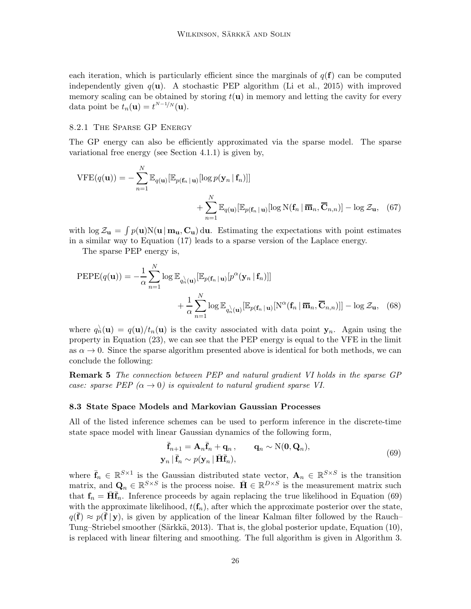each iteration, which is particularly efficient since the marginals of  $q(f)$  can be computed independently given  $q(\mathbf{u})$ . A stochastic PEP algorithm [\(Li et al., 2015](#page-37-11)) with improved memory scaling can be obtained by storing  $t(u)$  in memory and letting the cavity for every data point be  $t_n(\mathbf{u}) = t^{N-1/N}(\mathbf{u}).$ 

# 8.2.1 The Sparse GP Energy

The GP energy can also be efficiently approximated via the sparse model. The sparse variational free energy (see [Section 4.1.1\)](#page-7-2) is given by,

$$
\text{VFE}(q(\mathbf{u})) = -\sum_{n=1}^{N} \mathbb{E}_{q(\mathbf{u})}[\mathbb{E}_{p(\mathbf{f}_n|\mathbf{u})}[\log p(\mathbf{y}_n|\mathbf{f}_n)]] + \sum_{n=1}^{N} \mathbb{E}_{q(\mathbf{u})}[\mathbb{E}_{p(\mathbf{f}_n|\mathbf{u})}[\log N(\mathbf{f}_n|\overline{\mathbf{m}}_n, \overline{\mathbf{C}}_{n,n})] - \log \mathcal{Z}_{\mathbf{u}}, \quad (67)
$$

with  $\log Z_{\mathbf{u}} = \int p(\mathbf{u})N(\mathbf{u} | \mathbf{m}_{\mathbf{u}}, \mathbf{C}_{\mathbf{u}}) d\mathbf{u}$ . Estimating the expectations with point estimates in a similar way to [Equation \(17\)](#page-8-2) leads to a sparse version of the Laplace energy.

The sparse PEP energy is,

$$
\begin{split} \text{PEPE}(q(\mathbf{u})) &= -\frac{1}{\alpha} \sum_{n=1}^{N} \log \mathbb{E}_{q_n^{\setminus}(\mathbf{u})} [\mathbb{E}_{p(\mathbf{f}_n \mid \mathbf{u})} [p^{\alpha}(\mathbf{y}_n \mid \mathbf{f}_n)]] \\ &+ \frac{1}{\alpha} \sum_{n=1}^{N} \log \mathbb{E}_{q_n^{\setminus}(\mathbf{u})} [\mathbb{E}_{p(\mathbf{f}_n \mid \mathbf{u})} [N^{\alpha}(\mathbf{f}_n \mid \overline{\mathbf{m}}_n, \overline{\mathbf{C}}_{n,n})]] - \log \mathcal{Z}_{\mathbf{u}}, \quad (68) \end{split}
$$

where  $q_n^{\setminus}(\mathbf{u}) = q(\mathbf{u})/t_n(\mathbf{u})$  is the cavity associated with data point  $\mathbf{y}_n$ . Again using the property in [Equation \(23\),](#page-10-0) we can see that the PEP energy is equal to the VFE in the limit as  $\alpha \to 0$ . Since the sparse algorithm presented above is identical for both methods, we can conclude the following:

Remark 5 The connection between PEP and natural gradient VI holds in the sparse GP case: sparse PEP  $(\alpha \rightarrow 0)$  is equivalent to natural gradient sparse VI.

#### <span id="page-25-0"></span>8.3 State Space Models and Markovian Gaussian Processes

All of the listed inference schemes can be used to perform inference in the discrete-time state space model with linear Gaussian dynamics of the following form,

<span id="page-25-1"></span>
$$
\begin{aligned}\n\overline{\mathbf{f}}_{n+1} &= \mathbf{A}_n \overline{\mathbf{f}}_n + \mathbf{q}_n, & \mathbf{q}_n &\sim \mathcal{N}(\mathbf{0}, \mathbf{Q}_n), \\
\mathbf{y}_n \mid \overline{\mathbf{f}}_n &\sim p(\mathbf{y}_n \mid \overline{\mathbf{H}} \overline{\mathbf{f}}_n),\n\end{aligned} \tag{69}
$$

where  $\bar{\mathbf{f}}_n \in \mathbb{R}^{S \times 1}$  is the Gaussian distributed state vector,  $\mathbf{A}_n \in \mathbb{R}^{S \times S}$  is the transition matrix, and  $\mathbf{Q}_n \in \mathbb{R}^{S \times S}$  is the process noise.  $\bar{\mathbf{H}} \in \mathbb{R}^{D \times S}$  is the measurement matrix such that  $f_n = \overline{H} \overline{f}_n$ . Inference proceeds by again replacing the true likelihood in [Equation \(69\)](#page-25-1) with the approximate likelihood,  $t(f_n)$ , after which the approximate posterior over the state,  $q(\bar{f}) \approx p(\bar{f} | \mathbf{y})$ , is given by application of the linear Kalman filter followed by the Rauch– Tung–Striebel smoother (Särkkä, 2013). That is, the global posterior update, [Equation \(10\),](#page-6-1) is replaced with linear filtering and smoothing. The full algorithm is given in [Algorithm 3.](#page-47-0)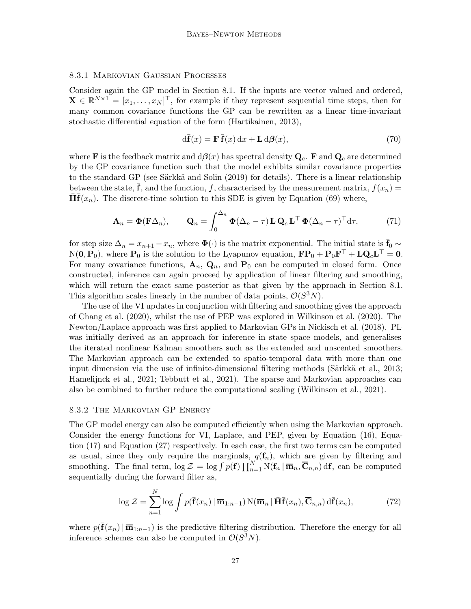# 8.3.1 Markovian Gaussian Processes

Consider again the GP model in [Section 8.1.](#page-23-1) If the inputs are vector valued and ordered,  $\mathbf{X} \in \mathbb{R}^{N \times 1} = [x_1, \dots, x_N]^\top$ , for example if they represent sequential time steps, then for many common covariance functions the GP can be rewritten as a linear time-invariant stochastic differential equation of the form [\(Hartikainen](#page-36-9), [2013\)](#page-36-9),

$$
d\bar{\mathbf{f}}(x) = \mathbf{F}\bar{\mathbf{f}}(x) dx + \mathbf{L} d\beta(x),\tag{70}
$$

where **F** is the feedback matrix and  $d\beta(x)$  has spectral density  $Q_c$ . **F** and  $Q_c$  are determined by the GP covariance function such that the model exhibits similar covariance properties to the standard GP (see Särkkä and Solin (2019) for details). There is a linear relationship between the state,  $\mathbf{\bar{f}}$ , and the function, f, characterised by the measurement matrix,  $f(x_n) =$  $\overline{\mathbf{H}} \overline{\mathbf{f}}(x_n)$ . The discrete-time solution to this SDE is given by [Equation \(69\)](#page-25-1) where,

$$
\mathbf{A}_n = \mathbf{\Phi}(\mathbf{F}\Delta_n), \qquad \mathbf{Q}_n = \int_0^{\Delta_n} \mathbf{\Phi}(\Delta_n - \tau) \mathbf{L} \mathbf{Q}_c \mathbf{L}^\top \mathbf{\Phi}(\Delta_n - \tau)^\top d\tau, \tag{71}
$$

for step size  $\Delta_n = x_{n+1} - x_n$ , where  $\Phi(\cdot)$  is the matrix exponential. The initial state is  $\bar{f}_0 \sim$  $N(\mathbf{0}, \mathbf{P}_0)$ , where  $\mathbf{P}_0$  is the solution to the Lyapunov equation,  $\mathbf{FP}_0 + \mathbf{P}_0 \mathbf{F}^\top + \mathbf{L} \mathbf{Q}_c \mathbf{L}^\top = \mathbf{0}$ . For many covariance functions,  $\mathbf{A}_n$ ,  $\mathbf{Q}_n$ , and  $\mathbf{P}_0$  can be computed in closed form. Once constructed, inference can again proceed by application of linear filtering and smoothing, which will return the exact same posterior as that given by the approach in [Section 8.1.](#page-23-1) This algorithm scales linearly in the number of data points,  $\mathcal{O}(S^3N)$ .

The use of the VI updates in conjunction with filtering and smoothing gives the approach of [Chang et al. \(2020](#page-35-13)), whilst the use of PEP was explored in [Wilkinson et al. \(2020\)](#page-39-0). The Newton/Laplace approach was first applied to Markovian GPs in [Nickisch et al. \(2018\)](#page-37-12). PL was initially derived as an approach for inference in state space models, and generalises the iterated nonlinear Kalman smoothers such as the extended and unscented smoothers. The Markovian approach can be extended to spatio-temporal data with more than one input dimension via the use of infinite-dimensional filtering methods (Särkkä et al., [2013](#page-38-8); [Hamelijnck et al., 2021;](#page-36-10) [Tebbutt et al., 2021](#page-38-9)). The sparse and Markovian approaches can also be combined to further reduce the computational scaling [\(Wilkinson et al., 2021](#page-39-1)).

#### 8.3.2 The Markovian GP Energy

The GP model energy can also be computed efficiently when using the Markovian approach. Consider the energy functions for VI, Laplace, and PEP, given by [Equation \(16\),](#page-8-1) Equation (17) and [Equation \(27\)](#page-11-2) respectively. In each case, the first two terms can be computed as usual, since they only require the marginals,  $q(f_n)$ , which are given by filtering and smoothing. The final term,  $\log \mathcal{Z} = \log \int p(\mathbf{f}) \prod_{n=1}^{N} N(\mathbf{f}_n | \overline{\mathbf{m}}_n, \overline{\mathbf{C}}_{n,n}) d\mathbf{f}$ , can be computed sequentially during the forward filter as,

$$
\log \mathcal{Z} = \sum_{n=1}^{N} \log \int p(\bar{\mathbf{f}}(x_n) | \overline{\mathbf{m}}_{1:n-1}) \, \mathcal{N}(\overline{\mathbf{m}}_n | \bar{\mathbf{H}} \bar{\mathbf{f}}(x_n), \overline{\mathbf{C}}_{n,n}) \, d\bar{\mathbf{f}}(x_n), \tag{72}
$$

where  $p(\bar{\mathbf{f}}(x_n)|\bar{\mathbf{m}}_{1:n-1})$  is the predictive filtering distribution. Therefore the energy for all inference schemes can also be computed in  $\mathcal{O}(S^3N)$ .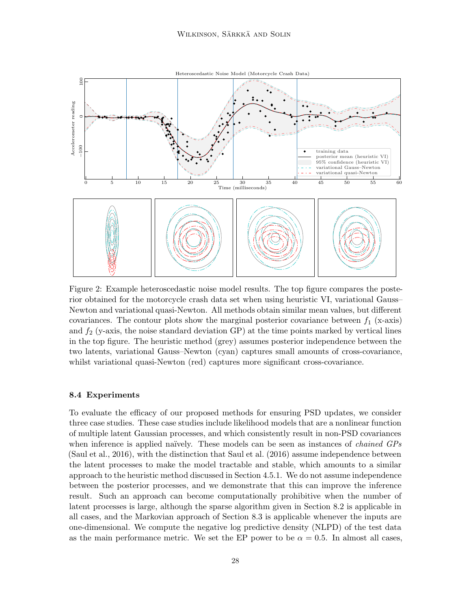<span id="page-27-1"></span>

Figure 2: Example heteroscedastic noise model results. The top figure compares the posterior obtained for the motorcycle crash data set when using heuristic VI, variational Gauss– Newton and variational quasi-Newton. All methods obtain similar mean values, but different covariances. The contour plots show the marginal posterior covariance between  $f_1$  (x-axis) and  $f_2$  (y-axis, the noise standard deviation GP) at the time points marked by vertical lines in the top figure. The heuristic method (grey) assumes posterior independence between the two latents, variational Gauss–Newton (cyan) captures small amounts of cross-covariance, whilst variational quasi-Newton (red) captures more significant cross-covariance.

#### <span id="page-27-0"></span>8.4 Experiments

To evaluate the efficacy of our proposed methods for ensuring PSD updates, we consider three case studies. These case studies include likelihood models that are a nonlinear function of multiple latent Gaussian processes, and which consistently result in non-PSD covariances when inference is applied naïvely. These models can be seen as instances of *chained GPs* [\(Saul et al., 2016\)](#page-38-10), with the distinction that [Saul et al. \(2016](#page-38-10)) assume independence between the latent processes to make the model tractable and stable, which amounts to a similar approach to the heuristic method discussed in [Section 4.5.1.](#page-14-2) We do not assume independence between the posterior processes, and we demonstrate that this can improve the inference result. Such an approach can become computationally prohibitive when the number of latent processes is large, although the sparse algorithm given in [Section 8.2](#page-24-0) is applicable in all cases, and the Markovian approach of [Section 8.3](#page-25-0) is applicable whenever the inputs are one-dimensional. We compute the negative log predictive density (NLPD) of the test data as the main performance metric. We set the EP power to be  $\alpha = 0.5$ . In almost all cases,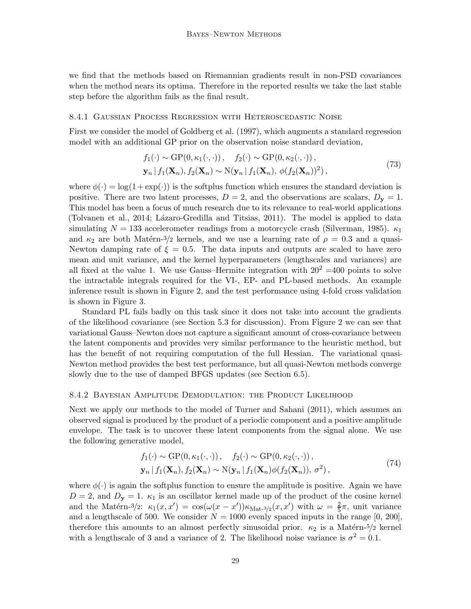we find that the methods based on Riemannian gradients result in non-PSD covariances when the method nears its optima. Therefore in the reported results we take the last stable step before the algorithm fails as the final result.

#### <span id="page-28-0"></span>8.4.1 Gaussian Process Regression with Heteroscedastic Noise

First we consider the model of [Goldberg et al. \(1997](#page-35-14)), which augments a standard regression model with an additional GP prior on the observation noise standard deviation,

$$
f_1(\cdot) \sim \text{GP}(0, \kappa_1(\cdot, \cdot)), \quad f_2(\cdot) \sim \text{GP}(0, \kappa_2(\cdot, \cdot)),
$$
  
\n
$$
\mathbf{y}_n | f_1(\mathbf{X}_n), f_2(\mathbf{X}_n) \sim \text{N}(\mathbf{y}_n | f_1(\mathbf{X}_n), \phi(f_2(\mathbf{X}_n))^2),
$$
\n(73)

where  $\phi(\cdot) = \log(1 + \exp(\cdot))$  is the softplus function which ensures the standard deviation is positive. There are two latent processes,  $D = 2$ , and the observations are scalars,  $D_y = 1$ . This model has been a focus of much research due to its relevance to real-world applications [\(Tolvanen et al.](#page-38-11), [2014;](#page-38-11) Lázaro-Gredilla and Titsias, [2011](#page-36-11)). The model is applied to data simulating  $N = 133$  accelerometer readings from a motorcycle crash [\(Silverman, 1985](#page-38-12)).  $\kappa_1$ and  $\kappa_2$  are both Matérn-3/2 kernels, and we use a learning rate of  $\rho = 0.3$  and a quasi-Newton damping rate of  $\xi = 0.5$ . The data inputs and outputs are scaled to have zero mean and unit variance, and the kernel hyperparameters (lengthscales and variances) are all fixed at the value 1. We use Gauss–Hermite integration with  $20^2 = 400$  points to solve the intractable integrals required for the VI-, EP- and PL-based methods. An example inference result is shown in [Figure 2,](#page-27-1) and the test performance using 4-fold cross validation is shown in [Figure 3.](#page-29-0)

Standard PL fails badly on this task since it does not take into account the gradients of the likelihood covariance (see [Section 5.3](#page-18-1) for discussion). From [Figure 2](#page-27-1) we can see that variational Gauss–Newton does not capture a significant amount of cross-covariance between the latent components and provides very similar performance to the heuristic method, but has the benefit of not requiring computation of the full Hessian. The variational quasi-Newton method provides the best test performance, but all quasi-Newton methods converge slowly due to the use of damped BFGS updates (see [Section 6.5\)](#page-21-0).

#### 8.4.2 Bayesian Amplitude Demodulation: the Product Likelihood

Next we apply our methods to the model of [Turner and Sahani \(2011](#page-38-13)), which assumes an observed signal is produced by the product of a periodic component and a positive amplitude envelope. The task is to uncover these latent components from the signal alone. We use the following generative model,

$$
f_1(\cdot) \sim \text{GP}(0, \kappa_1(\cdot, \cdot)), \quad f_2(\cdot) \sim \text{GP}(0, \kappa_2(\cdot, \cdot)),
$$
  
\n
$$
\mathbf{y}_n | f_1(\mathbf{X}_n), f_2(\mathbf{X}_n) \sim \text{N}(\mathbf{y}_n | f_1(\mathbf{X}_n) \phi(f_2(\mathbf{X}_n)), \sigma^2),
$$
\n(74)

where  $\phi(\cdot)$  is again the softplus function to ensure the amplitude is positive. Again we have  $D = 2$ , and  $D_y = 1$ .  $\kappa_1$  is an oscillator kernel made up of the product of the cosine kernel and the Matérn-3/2:  $\kappa_1(x, x') = \cos(\omega(x - x')) \kappa_{\text{Mat-3/2}}(x, x')$  with  $\omega = \frac{2}{5}\pi$ , unit variance and a lengthscale of 500. We consider  $N = 1000$  evenly spaced inputs in the range [0, 200], therefore this amounts to an almost perfectly sinusoidal prior.  $\kappa_2$  is a Matérn-5/2 kernel with a lengthscale of 3 and a variance of 2. The likelihood noise variance is  $\sigma^2 = 0.1$ .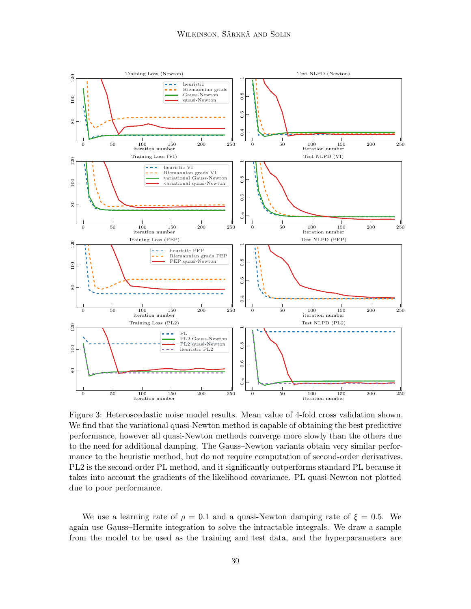<span id="page-29-0"></span>

Figure 3: Heteroscedastic noise model results. Mean value of 4-fold cross validation shown. We find that the variational quasi-Newton method is capable of obtaining the best predictive performance, however all quasi-Newton methods converge more slowly than the others due to the need for additional damping. The Gauss–Newton variants obtain very similar performance to the heuristic method, but do not require computation of second-order derivatives. PL2 is the second-order PL method, and it significantly outperforms standard PL because it takes into account the gradients of the likelihood covariance. PL quasi-Newton not plotted due to poor performance.

We use a learning rate of  $\rho = 0.1$  and a quasi-Newton damping rate of  $\xi = 0.5$ . We again use Gauss–Hermite integration to solve the intractable integrals. We draw a sample from the model to be used as the training and test data, and the hyperparameters are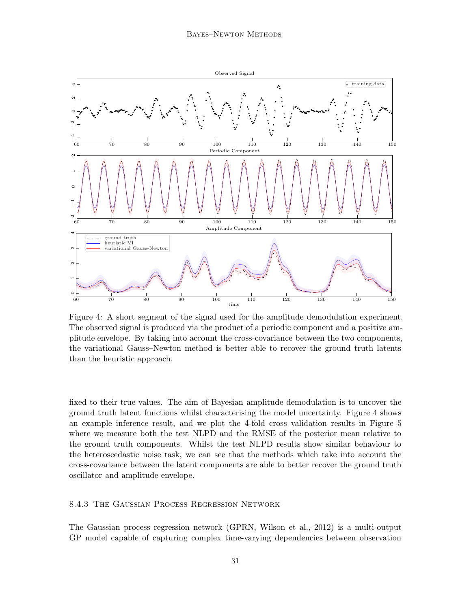<span id="page-30-0"></span>

Figure 4: A short segment of the signal used for the amplitude demodulation experiment. The observed signal is produced via the product of a periodic component and a positive amplitude envelope. By taking into account the cross-covariance between the two components, the variational Gauss–Newton method is better able to recover the ground truth latents than the heuristic approach.

fixed to their true values. The aim of Bayesian amplitude demodulation is to uncover the ground truth latent functions whilst characterising the model uncertainty. [Figure 4](#page-30-0) shows an example inference result, and we plot the 4-fold cross validation results in [Figure 5](#page-31-0) where we measure both the test NLPD and the RMSE of the posterior mean relative to the ground truth components. Whilst the test NLPD results show similar behaviour to the heteroscedastic noise task, we can see that the methods which take into account the cross-covariance between the latent components are able to better recover the ground truth oscillator and amplitude envelope.

# 8.4.3 The Gaussian Process Regression Network

The Gaussian process regression network (GPRN, [Wilson et al., 2012](#page-39-2)) is a multi-output GP model capable of capturing complex time-varying dependencies between observation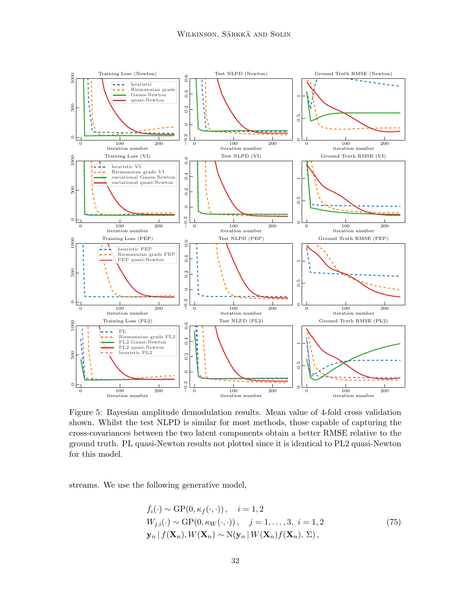<span id="page-31-0"></span>

Figure 5: Bayesian amplitude demodulation results. Mean value of 4-fold cross validation shown. Whilst the test NLPD is similar for most methods, those capable of capturing the cross-covariances between the two latent components obtain a better RMSE relative to the ground truth. PL quasi-Newton results not plotted since it is identical to PL2 quasi-Newton for this model.

streams. We use the following generative model,

<span id="page-31-1"></span>
$$
f_i(\cdot) \sim \text{GP}(0, \kappa_f(\cdot, \cdot)), \quad i = 1, 2
$$
  
\n
$$
W_{j,i}(\cdot) \sim \text{GP}(0, \kappa_W(\cdot, \cdot)), \quad j = 1, \dots, 3, \quad i = 1, 2
$$
  
\n
$$
\mathbf{y}_n | f(\mathbf{X}_n), W(\mathbf{X}_n) \sim \text{N}(\mathbf{y}_n | W(\mathbf{X}_n) f(\mathbf{X}_n), \Sigma),
$$
\n(75)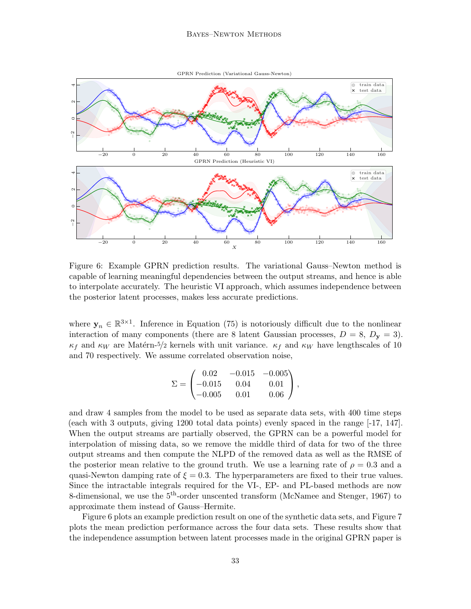<span id="page-32-0"></span>

Figure 6: Example GPRN prediction results. The variational Gauss–Newton method is capable of learning meaningful dependencies between the output streams, and hence is able to interpolate accurately. The heuristic VI approach, which assumes independence between the posterior latent processes, makes less accurate predictions.

where  $y_n \in \mathbb{R}^{3\times 1}$ . Inference in [Equation \(75\)](#page-31-1) is notoriously difficult due to the nonlinear interaction of many components (there are 8 latent Gaussian processes,  $D = 8$ ,  $D<sub>v</sub> = 3$ ).  $\kappa_f$  and  $\kappa_W$  are Matérn-5/2 kernels with unit variance.  $\kappa_f$  and  $\kappa_W$  have lengthscales of 10 and 70 respectively. We assume correlated observation noise,

$$
\Sigma = \begin{pmatrix} 0.02 & -0.015 & -0.005 \\ -0.015 & 0.04 & 0.01 \\ -0.005 & 0.01 & 0.06 \end{pmatrix},
$$

and draw 4 samples from the model to be used as separate data sets, with 400 time steps (each with 3 outputs, giving 1200 total data points) evenly spaced in the range [-17, 147]. When the output streams are partially observed, the GPRN can be a powerful model for interpolation of missing data, so we remove the middle third of data for two of the three output streams and then compute the NLPD of the removed data as well as the RMSE of the posterior mean relative to the ground truth. We use a learning rate of  $\rho = 0.3$  and a quasi-Newton damping rate of  $\xi = 0.3$ . The hyperparameters are fixed to their true values. Since the intractable integrals required for the VI-, EP- and PL-based methods are now 8-dimensional, we use the  $5<sup>th</sup>$ -order unscented transform [\(McNamee and Stenger, 1967](#page-37-13)) to approximate them instead of Gauss–Hermite.

[Figure 6](#page-32-0) plots an example prediction result on one of the synthetic data sets, and [Figure 7](#page-33-0) plots the mean prediction performance across the four data sets. These results show that the independence assumption between latent processes made in the original GPRN paper is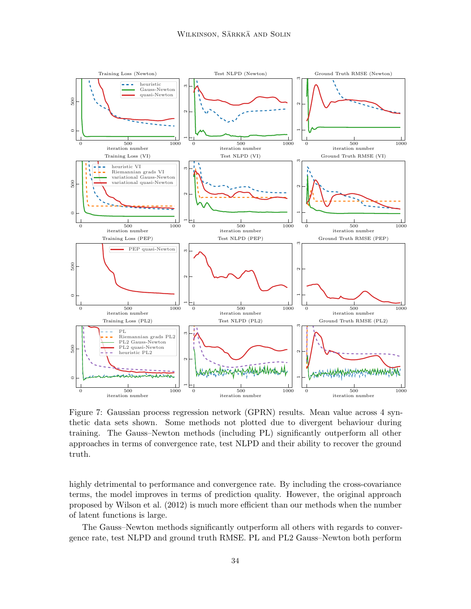<span id="page-33-0"></span>

Figure 7: Gaussian process regression network (GPRN) results. Mean value across 4 synthetic data sets shown. Some methods not plotted due to divergent behaviour during training. The Gauss–Newton methods (including PL) significantly outperform all other approaches in terms of convergence rate, test NLPD and their ability to recover the ground truth.

highly detrimental to performance and convergence rate. By including the cross-covariance terms, the model improves in terms of prediction quality. However, the original approach proposed by [Wilson et al. \(2012](#page-39-2)) is much more efficient than our methods when the number of latent functions is large.

The Gauss–Newton methods significantly outperform all others with regards to convergence rate, test NLPD and ground truth RMSE. PL and PL2 Gauss–Newton both perform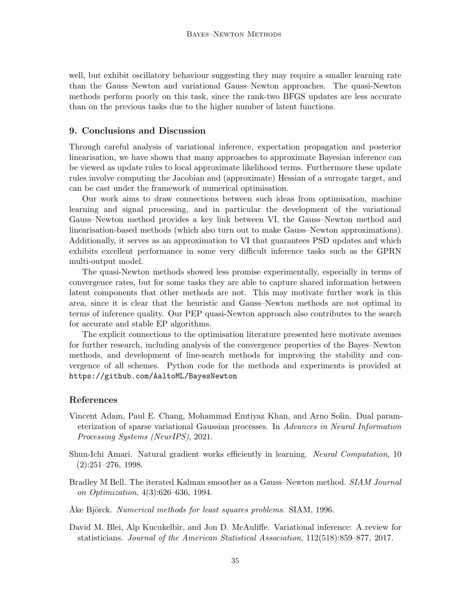well, but exhibit oscillatory behaviour suggesting they may require a smaller learning rate than the Gauss–Newton and variational Gauss–Newton approaches. The quasi-Newton methods perform poorly on this task, since the rank-two BFGS updates are less accurate than on the previous tasks due to the higher number of latent functions.

# 9. Conclusions and Discussion

Through careful analysis of variational inference, expectation propagation and posterior linearisation, we have shown that many approaches to approximate Bayesian inference can be viewed as update rules to local approximate likelihood terms. Furthermore these update rules involve computing the Jacobian and (approximate) Hessian of a surrogate target, and can be cast under the framework of numerical optimisation.

Our work aims to draw connections between such ideas from optimisation, machine learning and signal processing, and in particular the development of the variational Gauss–Newton method provides a key link between VI, the Gauss–Newton method and linearisation-based methods (which also turn out to make Gauss–Newton approximations). Additionally, it serves as an approximation to VI that guarantees PSD updates and which exhibits excellent performance in some very difficult inference tasks such as the GPRN multi-output model.

The quasi-Newton methods showed less promise experimentally, especially in terms of convergence rates, but for some tasks they are able to capture shared information between latent components that other methods are not. This may motivate further work in this area, since it is clear that the heuristic and Gauss–Newton methods are not optimal in terms of inference quality. Our PEP quasi-Newton approach also contributes to the search for accurate and stable EP algorithms.

The explicit connections to the optimisation literature presented here motivate avenues for further research, including analysis of the convergence properties of the Bayes–Newton methods, and development of line-search methods for improving the stability and convergence of all schemes. Python code for the methods and experiments is provided at <https://github.com/AaltoML/BayesNewton>

# References

- <span id="page-34-4"></span>Vincent Adam, Paul E. Chang, Mohammad Emtiyaz Khan, and Arno Solin. Dual parameterization of sparse variational Gaussian processes. In Advances in Neural Information Processing Systems (NeurIPS), 2021.
- <span id="page-34-3"></span>Shun-Ichi Amari. Natural gradient works efficiently in learning. Neural Computation, 10  $(2):251-276, 1998.$
- <span id="page-34-0"></span>Bradley M Bell. The iterated Kalman smoother as a Gauss–Newton method. *SIAM Journal* on Optimization, 4(3):626–636, 1994.
- <span id="page-34-2"></span>Ake Björck. Numerical methods for least squares problems. SIAM, 1996.
- <span id="page-34-1"></span>David M. Blei, Alp Kucukelbir, and Jon D. McAuliffe. Variational inference: A review for statisticians. Journal of the American Statistical Association, 112(518):859–877, 2017.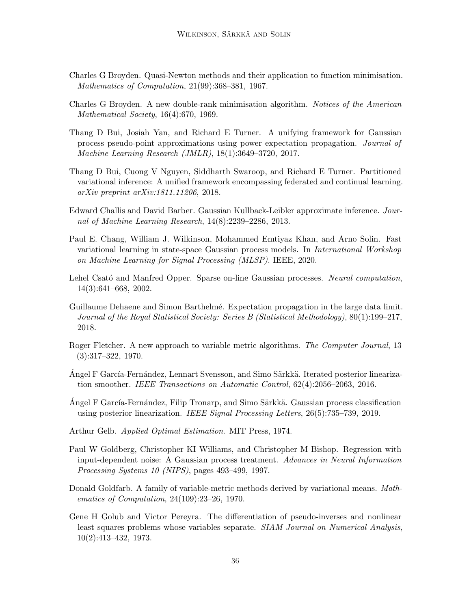- <span id="page-35-1"></span>Charles G Broyden. Quasi-Newton methods and their application to function minimisation. Mathematics of Computation, 21(99):368-381, 1967.
- <span id="page-35-9"></span>Charles G Broyden. A new double-rank minimisation algorithm. Notices of the American Mathematical Society, 16(4):670, 1969.
- <span id="page-35-3"></span>Thang D Bui, Josiah Yan, and Richard E Turner. A unifying framework for Gaussian process pseudo-point approximations using power expectation propagation. Journal of Machine Learning Research (JMLR), 18(1):3649–3720, 2017.
- <span id="page-35-4"></span>Thang D Bui, Cuong V Nguyen, Siddharth Swaroop, and Richard E Turner. Partitioned variational inference: A unified framework encompassing federated and continual learning. arXiv preprint arXiv:1811.11206, 2018.
- <span id="page-35-2"></span>Edward Challis and David Barber. Gaussian Kullback-Leibler approximate inference. Journal of Machine Learning Research, 14(8):2239–2286, 2013.
- <span id="page-35-13"></span>Paul E. Chang, William J. Wilkinson, Mohammed Emtiyaz Khan, and Arno Solin. Fast variational learning in state-space Gaussian process models. In International Workshop on Machine Learning for Signal Processing (MLSP). IEEE, 2020.
- <span id="page-35-12"></span>Lehel Csató and Manfred Opper. Sparse on-line Gaussian processes. Neural computation, 14(3):641–668, 2002.
- <span id="page-35-5"></span>Guillaume Dehaene and Simon Barthelm´e. Expectation propagation in the large data limit. Journal of the Royal Statistical Society: Series B (Statistical Methodology), 80(1):199–217, 2018.
- <span id="page-35-10"></span>Roger Fletcher. A new approach to variable metric algorithms. The Computer Journal, 13 (3):317–322, 1970.
- <span id="page-35-0"></span>Angel F García-Fernández, Lennart Svensson, and Simo Särkkä. Iterated posterior linearization smoother. IEEE Transactions on Automatic Control, 62(4):2056–2063, 2016.
- <span id="page-35-7"></span>Angel F García-Fernández, Filip Tronarp, and Simo Särkkä. Gaussian process classification using posterior linearization. IEEE Signal Processing Letters, 26(5):735–739, 2019.
- <span id="page-35-6"></span>Arthur Gelb. Applied Optimal Estimation. MIT Press, 1974.
- <span id="page-35-14"></span>Paul W Goldberg, Christopher KI Williams, and Christopher M Bishop. Regression with input-dependent noise: A Gaussian process treatment. Advances in Neural Information Processing Systems 10 (NIPS), pages 493–499, 1997.
- <span id="page-35-11"></span>Donald Goldfarb. A family of variable-metric methods derived by variational means. Mathematics of Computation, 24(109):23–26, 1970.
- <span id="page-35-8"></span>Gene H Golub and Victor Pereyra. The differentiation of pseudo-inverses and nonlinear least squares problems whose variables separate. SIAM Journal on Numerical Analysis, 10(2):413–432, 1973.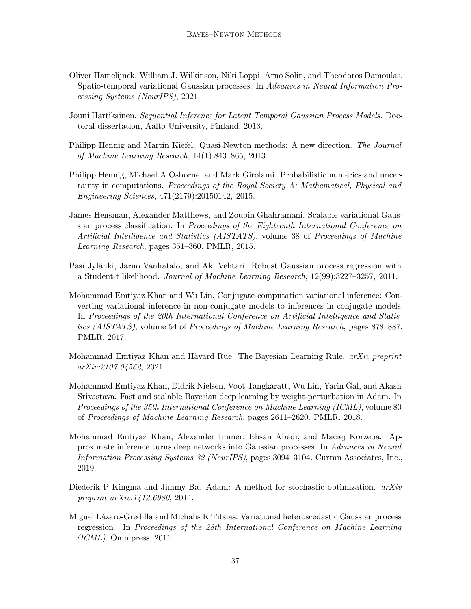- <span id="page-36-10"></span>Oliver Hamelijnck, William J. Wilkinson, Niki Loppi, Arno Solin, and Theodoros Damoulas. Spatio-temporal variational Gaussian processes. In Advances in Neural Information Processing Systems (NeurIPS), 2021.
- <span id="page-36-9"></span>Jouni Hartikainen. Sequential Inference for Latent Temporal Gaussian Process Models. Doctoral dissertation, Aalto University, Finland, 2013.
- <span id="page-36-5"></span>Philipp Hennig and Martin Kiefel. Quasi-Newton methods: A new direction. The Journal of Machine Learning Research, 14(1):843–865, 2013.
- <span id="page-36-6"></span>Philipp Hennig, Michael A Osborne, and Mark Girolami. Probabilistic numerics and uncertainty in computations. Proceedings of the Royal Society  $A$ : Mathematical, Physical and Engineering Sciences, 471(2179):20150142, 2015.
- <span id="page-36-8"></span>James Hensman, Alexander Matthews, and Zoubin Ghahramani. Scalable variational Gaussian process classification. In Proceedings of the Eighteenth International Conference on Artificial Intelligence and Statistics (AISTATS), volume 38 of Proceedings of Machine Learning Research, pages 351–360. PMLR, 2015.
- <span id="page-36-4"></span>Pasi Jylänki, Jarno Vanhatalo, and Aki Vehtari. Robust Gaussian process regression with a Student-t likelihood. Journal of Machine Learning Research, 12(99):3227–3257, 2011.
- <span id="page-36-0"></span>Mohammad Emtiyaz Khan and Wu Lin. Conjugate-computation variational inference: Converting variational inference in non-conjugate models to inferences in conjugate models. In Proceedings of the 20th International Conference on Artificial Intelligence and Statistics (AISTATS), volume 54 of Proceedings of Machine Learning Research, pages 878–887. PMLR, 2017.
- <span id="page-36-1"></span>Mohammad Emtiyaz Khan and Håvard Rue. The Bayesian Learning Rule. *arXiv preprint* arXiv:2107.04562, 2021.
- <span id="page-36-3"></span>Mohammad Emtiyaz Khan, Didrik Nielsen, Voot Tangkaratt, Wu Lin, Yarin Gal, and Akash Srivastava. Fast and scalable Bayesian deep learning by weight-perturbation in Adam. In Proceedings of the 35th International Conference on Machine Learning (ICML), volume 80 of Proceedings of Machine Learning Research, pages 2611–2620. PMLR, 2018.
- <span id="page-36-7"></span>Mohammad Emtiyaz Khan, Alexander Immer, Ehsan Abedi, and Maciej Korzepa. Approximate inference turns deep networks into Gaussian processes. In Advances in Neural Information Processing Systems 32 (NeurIPS), pages 3094–3104. Curran Associates, Inc., 2019.
- <span id="page-36-2"></span>Diederik P Kingma and Jimmy Ba. Adam: A method for stochastic optimization.  $arXiv$ preprint arXiv:1412.6980, 2014.
- <span id="page-36-11"></span>Miguel L´azaro-Gredilla and Michalis K Titsias. Variational heteroscedastic Gaussian process regression. In Proceedings of the 28th International Conference on Machine Learning (ICML). Omnipress, 2011.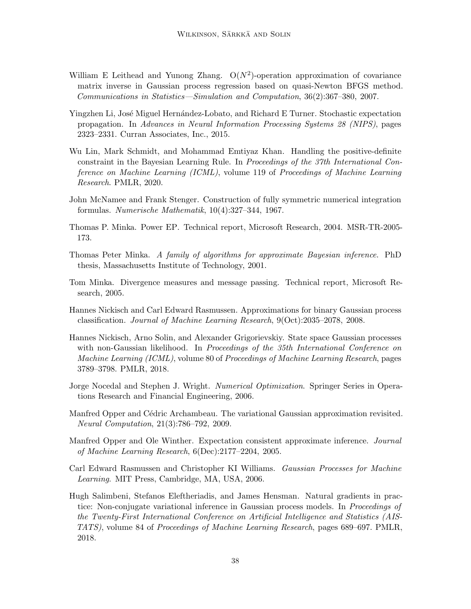- <span id="page-37-7"></span>William E Leithead and Yunong Zhang.  $O(N^2)$ -operation approximation of covariance matrix inverse in Gaussian process regression based on quasi-Newton BFGS method. Communications in Statistics—Simulation and Computation, 36(2):367–380, 2007.
- <span id="page-37-11"></span>Yingzhen Li, José Miguel Hernández-Lobato, and Richard E Turner. Stochastic expectation propagation. In Advances in Neural Information Processing Systems 28 (NIPS), pages 2323–2331. Curran Associates, Inc., 2015.
- <span id="page-37-2"></span>Wu Lin, Mark Schmidt, and Mohammad Emtiyaz Khan. Handling the positive-definite constraint in the Bayesian Learning Rule. In Proceedings of the 37th International Conference on Machine Learning (ICML), volume 119 of Proceedings of Machine Learning Research. PMLR, 2020.
- <span id="page-37-13"></span>John McNamee and Frank Stenger. Construction of fully symmetric numerical integration formulas. Numerische Mathematik, 10(4):327–344, 1967.
- <span id="page-37-3"></span>Thomas P. Minka. Power EP. Technical report, Microsoft Research, 2004. MSR-TR-2005- 173.
- <span id="page-37-0"></span>Thomas Peter Minka. A family of algorithms for approximate Bayesian inference. PhD thesis, Massachusetts Institute of Technology, 2001.
- <span id="page-37-4"></span>Tom Minka. Divergence measures and message passing. Technical report, Microsoft Research, 2005.
- <span id="page-37-5"></span>Hannes Nickisch and Carl Edward Rasmussen. Approximations for binary Gaussian process classification. Journal of Machine Learning Research, 9(Oct):2035–2078, 2008.
- <span id="page-37-12"></span>Hannes Nickisch, Arno Solin, and Alexander Grigorievskiy. State space Gaussian processes with non-Gaussian likelihood. In Proceedings of the 35th International Conference on Machine Learning (ICML), volume 80 of Proceedings of Machine Learning Research, pages 3789–3798. PMLR, 2018.
- <span id="page-37-1"></span>Jorge Nocedal and Stephen J. Wright. *Numerical Optimization*. Springer Series in Operations Research and Financial Engineering, 2006.
- <span id="page-37-9"></span>Manfred Opper and Cédric Archambeau. The variational Gaussian approximation revisited. Neural Computation, 21(3):786–792, 2009.
- <span id="page-37-6"></span>Manfred Opper and Ole Winther. Expectation consistent approximate inference. Journal of Machine Learning Research, 6(Dec):2177–2204, 2005.
- <span id="page-37-8"></span>Carl Edward Rasmussen and Christopher KI Williams. Gaussian Processes for Machine Learning. MIT Press, Cambridge, MA, USA, 2006.
- <span id="page-37-10"></span>Hugh Salimbeni, Stefanos Eleftheriadis, and James Hensman. Natural gradients in practice: Non-conjugate variational inference in Gaussian process models. In *Proceedings of* the Twenty-First International Conference on Artificial Intelligence and Statistics (AIS-TATS), volume 84 of Proceedings of Machine Learning Research, pages 689–697. PMLR, 2018.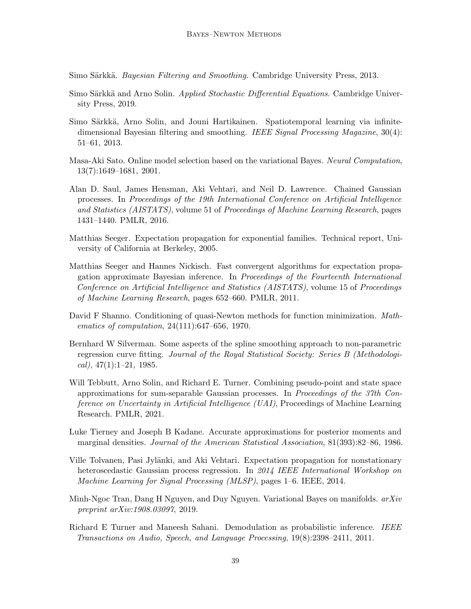<span id="page-38-0"></span>Simo Särkkä. Bayesian Filtering and Smoothing. Cambridge University Press, 2013.

- <span id="page-38-7"></span>Simo Särkkä and Arno Solin. Applied Stochastic Differential Equations. Cambridge University Press, 2019.
- <span id="page-38-8"></span>Simo Särkkä, Arno Solin, and Jouni Hartikainen. Spatiotemporal learning via infinitedimensional Bayesian filtering and smoothing. IEEE Signal Processing Magazine, 30(4): 51–61, 2013.
- <span id="page-38-1"></span>Masa-Aki Sato. Online model selection based on the variational Bayes. Neural Computation, 13(7):1649–1681, 2001.
- <span id="page-38-10"></span>Alan D. Saul, James Hensman, Aki Vehtari, and Neil D. Lawrence. Chained Gaussian processes. In Proceedings of the 19th International Conference on Artificial Intelligence and Statistics (AISTATS), volume 51 of Proceedings of Machine Learning Research, pages 1431–1440. PMLR, 2016.
- <span id="page-38-4"></span>Matthias Seeger. Expectation propagation for exponential families. Technical report, University of California at Berkeley, 2005.
- <span id="page-38-3"></span>Matthias Seeger and Hannes Nickisch. Fast convergent algorithms for expectation propagation approximate Bayesian inference. In Proceedings of the Fourteenth International Conference on Artificial Intelligence and Statistics (AISTATS), volume 15 of Proceedings of Machine Learning Research, pages 652–660. PMLR, 2011.
- <span id="page-38-5"></span>David F Shanno. Conditioning of quasi-Newton methods for function minimization. Mathematics of computation, 24(111):647–656, 1970.
- <span id="page-38-12"></span>Bernhard W Silverman. Some aspects of the spline smoothing approach to non-parametric regression curve fitting. Journal of the Royal Statistical Society: Series B (Methodologi $cal)$ , 47(1):1–21, 1985.
- <span id="page-38-9"></span>Will Tebbutt, Arno Solin, and Richard E. Turner. Combining pseudo-point and state space approximations for sum-separable Gaussian processes. In Proceedings of the 37th Conference on Uncertainty in Artificial Intelligence (UAI), Proceedings of Machine Learning Research. PMLR, 2021.
- <span id="page-38-2"></span>Luke Tierney and Joseph B Kadane. Accurate approximations for posterior moments and marginal densities. Journal of the American Statistical Association, 81(393):82–86, 1986.
- <span id="page-38-11"></span>Ville Tolvanen, Pasi Jylänki, and Aki Vehtari. Expectation propagation for nonstationary heteroscedastic Gaussian process regression. In 2014 IEEE International Workshop on Machine Learning for Signal Processing (MLSP), pages 1–6. IEEE, 2014.
- <span id="page-38-6"></span>Minh-Ngoc Tran, Dang H Nguyen, and Duy Nguyen. Variational Bayes on manifolds. arXiv preprint arXiv:1908.03097, 2019.
- <span id="page-38-13"></span>Richard E Turner and Maneesh Sahani. Demodulation as probabilistic inference. IEEE Transactions on Audio, Speech, and Language Processing, 19(8):2398–2411, 2011.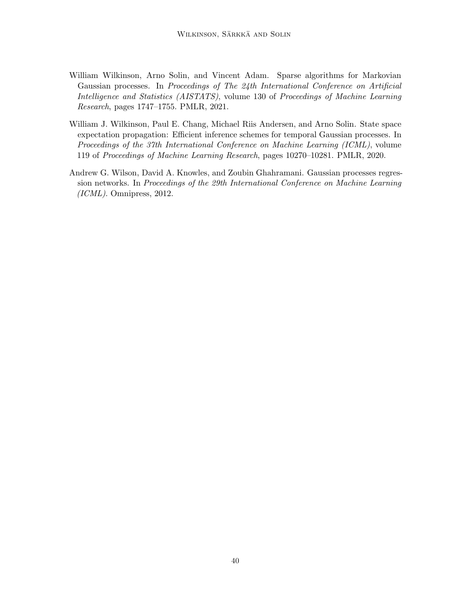- <span id="page-39-1"></span>William Wilkinson, Arno Solin, and Vincent Adam. Sparse algorithms for Markovian Gaussian processes. In Proceedings of The 24th International Conference on Artificial Intelligence and Statistics (AISTATS), volume 130 of Proceedings of Machine Learning Research, pages 1747–1755. PMLR, 2021.
- <span id="page-39-0"></span>William J. Wilkinson, Paul E. Chang, Michael Riis Andersen, and Arno Solin. State space expectation propagation: Efficient inference schemes for temporal Gaussian processes. In Proceedings of the 37th International Conference on Machine Learning (ICML), volume 119 of Proceedings of Machine Learning Research, pages 10270–10281. PMLR, 2020.
- <span id="page-39-2"></span>Andrew G. Wilson, David A. Knowles, and Zoubin Ghahramani. Gaussian processes regression networks. In Proceedings of the 29th International Conference on Machine Learning (ICML). Omnipress, 2012.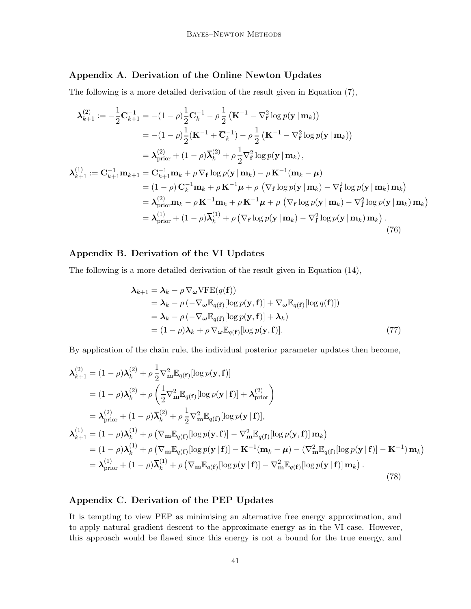# <span id="page-40-0"></span>Appendix A. Derivation of the Online Newton Updates

The following is a more detailed derivation of the result given in [Equation \(7\),](#page-5-0)

$$
\lambda_{k+1}^{(2)} := -\frac{1}{2} \mathbf{C}_{k+1}^{-1} = -(1 - \rho) \frac{1}{2} \mathbf{C}_{k}^{-1} - \rho \frac{1}{2} (\mathbf{K}^{-1} - \nabla_{\mathbf{f}}^{2} \log p(\mathbf{y} \mid \mathbf{m}_{k}))
$$
  
\n
$$
= -(1 - \rho) \frac{1}{2} (\mathbf{K}^{-1} + \overline{\mathbf{C}}_{k}^{-1}) - \rho \frac{1}{2} (\mathbf{K}^{-1} - \nabla_{\mathbf{f}}^{2} \log p(\mathbf{y} \mid \mathbf{m}_{k}))
$$
  
\n
$$
= \lambda_{\text{prior}}^{(2)} + (1 - \rho) \overline{\lambda}_{k}^{(2)} + \rho \frac{1}{2} \nabla_{\mathbf{f}}^{2} \log p(\mathbf{y} \mid \mathbf{m}_{k}),
$$
  
\n
$$
\lambda_{k+1}^{(1)} := \mathbf{C}_{k+1}^{-1} \mathbf{m}_{k+1} = \mathbf{C}_{k+1}^{-1} \mathbf{m}_{k} + \rho \nabla_{\mathbf{f}} \log p(\mathbf{y} \mid \mathbf{m}_{k}) - \rho \mathbf{K}^{-1} (\mathbf{m}_{k} - \mu)
$$
  
\n
$$
= (1 - \rho) \mathbf{C}_{k}^{-1} \mathbf{m}_{k} + \rho \mathbf{K}^{-1} \mu + \rho (\nabla_{\mathbf{f}} \log p(\mathbf{y} \mid \mathbf{m}_{k}) - \nabla_{\mathbf{f}}^{2} \log p(\mathbf{y} \mid \mathbf{m}_{k})) \mathbf{m}_{k})
$$
  
\n
$$
= \lambda_{\text{prior}}^{(2)} \mathbf{m}_{k} - \rho \mathbf{K}^{-1} \mathbf{m}_{k} + \rho \mathbf{K}^{-1} \mu + \rho (\nabla_{\mathbf{f}} \log p(\mathbf{y} \mid \mathbf{m}_{k}) - \nabla_{\mathbf{f}}^{2} \log p(\mathbf{y} \mid \mathbf{m}_{k})) \mathbf{m}_{k})
$$
  
\n
$$
= \lambda_{\text{prior}}^{(1)} + (1 - \rho) \overline{\lambda}_{k}^{(1)} + \rho (\nabla_{\mathbf{f}} \log p(\mathbf{
$$

# <span id="page-40-1"></span>Appendix B. Derivation of the VI Updates

The following is a more detailed derivation of the result given in [Equation \(14\),](#page-7-3)

$$
\lambda_{k+1} = \lambda_k - \rho \nabla_{\omega} \text{VFE}(q(\mathbf{f}))
$$
  
=  $\lambda_k - \rho \left( -\nabla_{\omega} \mathbb{E}_{q(\mathbf{f})} [\log p(\mathbf{y}, \mathbf{f})] + \nabla_{\omega} \mathbb{E}_{q(\mathbf{f})} [\log q(\mathbf{f})] \right)$   
=  $\lambda_k - \rho \left( -\nabla_{\omega} \mathbb{E}_{q(\mathbf{f})} [\log p(\mathbf{y}, \mathbf{f})] + \lambda_k \right)$   
=  $(1 - \rho) \lambda_k + \rho \nabla_{\omega} \mathbb{E}_{q(\mathbf{f})} [\log p(\mathbf{y}, \mathbf{f})].$  (77)

By application of the chain rule, the individual posterior parameter updates then become,

$$
\lambda_{k+1}^{(2)} = (1 - \rho)\lambda_k^{(2)} + \rho \frac{1}{2} \nabla_{\mathbf{m}}^2 \mathbb{E}_{q(\mathbf{f})} [\log p(\mathbf{y}, \mathbf{f})]
$$
  
\n
$$
= (1 - \rho)\lambda_k^{(2)} + \rho \left(\frac{1}{2} \nabla_{\mathbf{m}}^2 \mathbb{E}_{q(\mathbf{f})} [\log p(\mathbf{y} | \mathbf{f})] + \lambda_{\text{prior}}^{(2)}\right)
$$
  
\n
$$
= \lambda_{\text{prior}}^{(2)} + (1 - \rho)\overline{\lambda}_k^{(2)} + \rho \frac{1}{2} \nabla_{\mathbf{m}}^2 \mathbb{E}_{q(\mathbf{f})} [\log p(\mathbf{y} | \mathbf{f})],
$$
  
\n
$$
\lambda_{k+1}^{(1)} = (1 - \rho)\lambda_k^{(1)} + \rho \left(\nabla_{\mathbf{m}} \mathbb{E}_{q(\mathbf{f})} [\log p(\mathbf{y}, \mathbf{f})] - \nabla_{\mathbf{m}}^2 \mathbb{E}_{q(\mathbf{f})} [\log p(\mathbf{y}, \mathbf{f})] \mathbf{m}_k\right)
$$
  
\n
$$
= (1 - \rho)\lambda_k^{(1)} + \rho \left(\nabla_{\mathbf{m}} \mathbb{E}_{q(\mathbf{f})} [\log p(\mathbf{y} | \mathbf{f})] - \mathbf{K}^{-1} (\mathbf{m}_k - \mu) - (\nabla_{\mathbf{m}}^2 \mathbb{E}_{q(\mathbf{f})} [\log p(\mathbf{y} | \mathbf{f})] - \mathbf{K}^{-1}) \mathbf{m}_k\right)
$$
  
\n
$$
= \lambda_{\text{prior}}^{(1)} + (1 - \rho)\overline{\lambda}_k^{(1)} + \rho \left(\nabla_{\mathbf{m}} \mathbb{E}_{q(\mathbf{f})} [\log p(\mathbf{y} | \mathbf{f})] - \nabla_{\mathbf{m}}^2 \mathbb{E}_{q(\mathbf{f})} [\log p(\mathbf{y} | \mathbf{f})] \mathbf{m}_k\right).
$$
  
\n(78)

# <span id="page-40-2"></span>Appendix C. Derivation of the PEP Updates

It is tempting to view PEP as minimising an alternative free energy approximation, and to apply natural gradient descent to the approximate energy as in the VI case. However, this approach would be flawed since this energy is not a bound for the true energy, and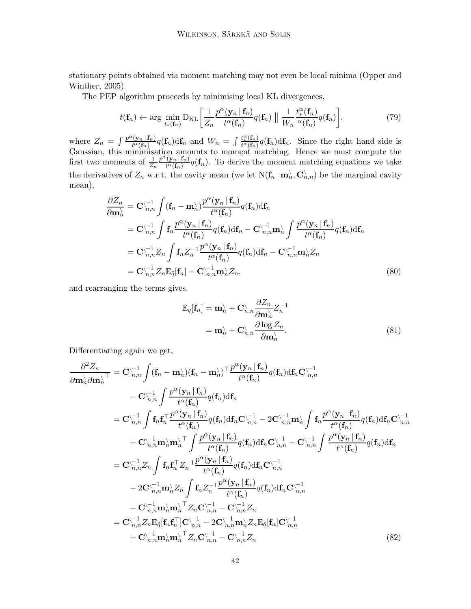stationa[ry points obtained via moment matching may not even](#page-37-6) be local minima (Opper and Winther, [2005](#page-37-6)).

The PEP algorithm proceeds by minimising local KL divergences,

$$
t(\mathbf{f}_n) \leftarrow \arg\min_{t_*(\mathbf{f}_n)} \mathrm{D}_{\mathrm{KL}}\bigg[\frac{1}{Z_n} \frac{p^{\alpha}(\mathbf{y}_n \,|\, \mathbf{f}_n)}{t^{\alpha}(\mathbf{f}_n)} q(\mathbf{f}_n) \;||\; \frac{1}{W_n} \frac{t_*^{\alpha}(\mathbf{f}_n)}{\alpha(\mathbf{f}_n)} q(\mathbf{f}_n)\bigg],\tag{79}
$$

where  $Z_n = \int \frac{p^{\alpha}(\mathbf{y}_n | \mathbf{f}_n)}{t^{\alpha}(\mathbf{f}_n)}$  $\frac{f(x_n | f_n)}{t^{\alpha}(f_n)} q(f_n) df_n$  and  $W_n = \int \frac{t_*^{\alpha}(f_n)}{t^{\alpha}(f_n)}$  $\frac{t_{*}(1_{n})}{t^{\alpha}(\mathbf{f}_{n})}q(\mathbf{f}_{n})df_{n}$ . Since the right hand side is Gaussian, this minimisation amounts to moment matching. Hence we must compute the first two moments of  $\frac{1}{Z_n}$  $p^{\alpha}(\mathbf{y}_n | \mathbf{f}_n)$  $\frac{(\mathbf{y}_n| \mathbf{1}_n)}{t^{\alpha}(\mathbf{f}_n)} q(\mathbf{f}_n)$ . To derive the moment matching equations we take the derivatives of  $Z_n$  w.r.t. the cavity mean (we let  $N(\mathbf{f}_n | \mathbf{m}_n)$ ,  $\mathbf{C}_{n,n}^{\setminus})$  be the marginal cavity mean),

$$
\frac{\partial Z_n}{\partial \mathbf{m}_n^{\lambda}} = \mathbf{C}_{n,n}^{\setminus -1} \int (\mathbf{f}_n - \mathbf{m}_n^{\setminus}) \frac{p^{\alpha}(\mathbf{y}_n | \mathbf{f}_n)}{t^{\alpha}(\mathbf{f}_n)} q(\mathbf{f}_n) d\mathbf{f}_n \n= \mathbf{C}_{n,n}^{\setminus -1} \int \mathbf{f}_n \frac{p^{\alpha}(\mathbf{y}_n | \mathbf{f}_n)}{t^{\alpha}(\mathbf{f}_n)} q(\mathbf{f}_n) d\mathbf{f}_n - \mathbf{C}_{n,n}^{\setminus -1} \mathbf{m}_n^{\lambda} \int \frac{p^{\alpha}(\mathbf{y}_n | \mathbf{f}_n)}{t^{\alpha}(\mathbf{f}_n)} q(\mathbf{f}_n) d\mathbf{f}_n \n= \mathbf{C}_{n,n}^{\setminus -1} Z_n \int \mathbf{f}_n Z_n^{-1} \frac{p^{\alpha}(\mathbf{y}_n | \mathbf{f}_n)}{t^{\alpha}(\mathbf{f}_n)} q(\mathbf{f}_n) d\mathbf{f}_n - \mathbf{C}_{n,n}^{\setminus -1} \mathbf{m}_n^{\lambda} Z_n \n= \mathbf{C}_{n,n}^{\setminus -1} Z_n \mathbb{E}_{\tilde{q}}[\mathbf{f}_n] - \mathbf{C}_{n,n}^{\setminus -1} \mathbf{m}_n^{\lambda} Z_n,
$$
\n(80)

and rearranging the terms gives,

$$
\mathbb{E}_{\tilde{q}}[\mathbf{f}_n] = \mathbf{m}_n^{\setminus} + \mathbf{C}_{n,n}^{\setminus} \frac{\partial Z_n}{\partial \mathbf{m}_n^{\setminus}} Z_n^{-1}
$$

$$
= \mathbf{m}_n^{\setminus} + \mathbf{C}_{n,n}^{\setminus} \frac{\partial \log Z_n}{\partial \mathbf{m}_n^{\setminus}}.
$$
(81)

Differentiating again we get,

$$
\frac{\partial^2 Z_n}{\partial \mathbf{m}_n^{\setminus} \partial \mathbf{m}_n^{\setminus}} = \mathbf{C}_{n,n}^{\setminus -1} \int (\mathbf{f}_n - \mathbf{m}_n^{\setminus}) (\mathbf{f}_n - \mathbf{m}_n^{\setminus})^{\top} \frac{p^{\alpha} (\mathbf{y}_n | \mathbf{f}_n)}{t^{\alpha} (\mathbf{f}_n)} q(\mathbf{f}_n) d\mathbf{f}_n \mathbf{C}_{n,n}^{\setminus -1} \n- \mathbf{C}_{n,n}^{\setminus -1} \int \frac{p^{\alpha} (\mathbf{y}_n | \mathbf{f}_n)}{t^{\alpha} (\mathbf{f}_n)} q(\mathbf{f}_n) d\mathbf{f}_n \mathbf{C}_{n,n}^{\setminus -1} - 2 \mathbf{C}_{n,n}^{\setminus -1} \mathbf{m}_n^{\setminus} \int \mathbf{f}_n \frac{p^{\alpha} (\mathbf{y}_n | \mathbf{f}_n)}{t^{\alpha} (\mathbf{f}_n)} q(\mathbf{f}_n) d\mathbf{f}_n \mathbf{C}_{n,n}^{\setminus -1} \n+ \mathbf{C}_{n,n}^{\setminus -1} \mathbf{m}_n^{\setminus} \mathbf{m}_n^{\setminus} \top \int \frac{p^{\alpha} (\mathbf{y}_n | \mathbf{f}_n)}{t^{\alpha} (\mathbf{f}_n)} q(\mathbf{f}_n) d\mathbf{f}_n \mathbf{C}_{n,n}^{\setminus -1} - \mathbf{C}_{n,n}^{\setminus -1} \int \frac{p^{\alpha} (\mathbf{y}_n | \mathbf{f}_n)}{t^{\alpha} (\mathbf{f}_n)} q(\mathbf{f}_n) d\mathbf{f}_n \n= \mathbf{C}_{n,n}^{\setminus -1} Z_n \int \mathbf{f}_n \mathbf{f}_n^{\top} Z_n^{-1} \frac{p^{\alpha} (\mathbf{y}_n | \mathbf{f}_n)}{t^{\alpha} (\mathbf{f}_n)} q(\mathbf{f}_n) d\mathbf{f}_n \mathbf{C}_{n,n}^{\setminus -1} \n- 2 \mathbf{C}_{n,n}^{\setminus -1} \mathbf{m}_n^{\setminus} Z_n \int \mathbf{f}_n Z_n^{-1} \frac{p^{\alpha} (\mathbf{y}_n | \mathbf{
$$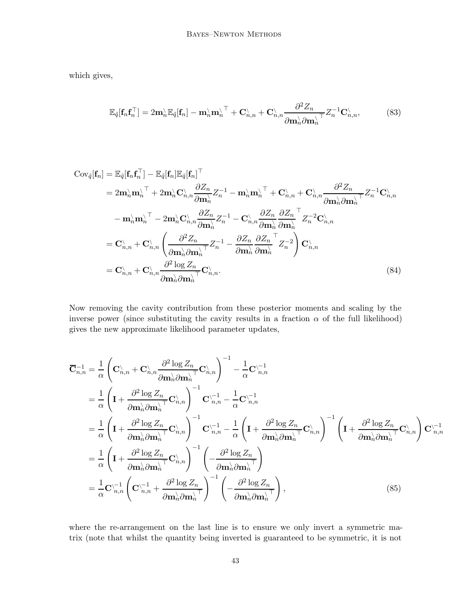which gives,

$$
\mathbb{E}_{\tilde{q}}[\mathbf{f}_n \mathbf{f}_n^\top] = 2\mathbf{m}_n^\setminus \mathbb{E}_{\tilde{q}}[\mathbf{f}_n] - \mathbf{m}_n^\setminus \mathbf{m}_n^\setminus^\top + \mathbf{C}_{n,n}^\setminus + \mathbf{C}_{n,n}^\setminus \frac{\partial^2 Z_n}{\partial \mathbf{m}_n^\setminus \partial \mathbf{m}_n^\setminus} Z_n^{-1} \mathbf{C}_{n,n}^\setminus,\tag{83}
$$

$$
\begin{split}\n\text{Cov}_{\tilde{q}}[\mathbf{f}_{n}] &= \mathbb{E}_{\tilde{q}}[\mathbf{f}_{n}\mathbf{f}_{n}^{\top}] - \mathbb{E}_{\tilde{q}}[\mathbf{f}_{n}]\mathbb{E}_{\tilde{q}}[\mathbf{f}_{n}]^{\top} \\
&= 2\mathbf{m}_{n}^{\setminus}\mathbf{m}_{n}^{\setminus\top} + 2\mathbf{m}_{n}^{\setminus}\mathbf{C}_{n,n}^{\setminus}\frac{\partial Z_{n}}{\partial \mathbf{m}_{n}^{\setminus}}Z_{n}^{-1} - \mathbf{m}_{n}^{\setminus}\mathbf{m}_{n}^{\setminus\top} + \mathbf{C}_{n,n}^{\setminus} + \mathbf{C}_{n,n}^{\setminus}\frac{\partial^{2} Z_{n}}{\partial \mathbf{m}_{n}^{\setminus}\partial \mathbf{m}_{n}^{\setminus}}Z_{n}^{-1}\mathbf{C}_{n,n}^{\setminus} \\
&- \mathbf{m}_{n}^{\setminus}\mathbf{m}_{n}^{\setminus\top} - 2\mathbf{m}_{n}^{\setminus}\mathbf{C}_{n,n}^{\setminus}\frac{\partial Z_{n}}{\partial \mathbf{m}_{n}^{\setminus}}Z_{n}^{-1} - \mathbf{C}_{n,n}^{\setminus}\frac{\partial Z_{n}}{\partial \mathbf{m}_{n}^{\setminus}}\frac{\partial Z_{n}^{\top}}{\partial \mathbf{m}_{n}^{\setminus}}Z_{n}^{-2}\mathbf{C}_{n,n}^{\setminus} \\
&= \mathbf{C}_{n,n}^{\setminus} + \mathbf{C}_{n,n}^{\setminus}\left(\frac{\partial^{2} Z_{n}}{\partial \mathbf{m}_{n}^{\setminus}\partial \mathbf{m}_{n}^{\setminus\top}}Z_{n}^{-1} - \frac{\partial Z_{n}}{\partial \mathbf{m}_{n}^{\setminus}}\frac{\partial Z_{n}^{\top}}{\partial \mathbf{m}_{n}^{\setminus}}Z_{n}^{-2}\right)\mathbf{C}_{n,n}^{\setminus} \\
&= \mathbf{C}_{n,n}^{\setminus} + \mathbf{C}_{n,n}^{\setminus}\frac{\partial^{2}\log Z_{n}}{\partial \mathbf{m}_{n}^{\setminus}\partial \mathbf{m}_{n}^{\setminus}}\mathbf{C}_{n,n}^{\setminus}.\n\end{split} \tag{84}
$$

Now removing the cavity contribution from these posterior moments and scaling by the inverse power (since substituting the cavity results in a fraction  $\alpha$  of the full likelihood) gives the new approximate likelihood parameter updates,

$$
\overline{\mathbf{C}}_{n,n}^{-1} = \frac{1}{\alpha} \left( \mathbf{C}_{n,n}^{\backslash} + \mathbf{C}_{n,n}^{\backslash} \frac{\partial^2 \log Z_n}{\partial \mathbf{m}_n^{\backslash} \partial \mathbf{m}_n^{\backslash}} \mathbf{C}_{n,n}^{\backslash} \right)^{-1} - \frac{1}{\alpha} \mathbf{C}_{n,n}^{\backslash -1}
$$
\n
$$
= \frac{1}{\alpha} \left( \mathbf{I} + \frac{\partial^2 \log Z_n}{\partial \mathbf{m}_n^{\backslash} \partial \mathbf{m}_n^{\backslash}} \mathbf{C}_{n,n}^{\backslash} \right)^{-1} \mathbf{C}_{n,n}^{\backslash -1} - \frac{1}{\alpha} \mathbf{C}_{n,n}^{\backslash -1}
$$
\n
$$
= \frac{1}{\alpha} \left( \mathbf{I} + \frac{\partial^2 \log Z_n}{\partial \mathbf{m}_n^{\backslash} \partial \mathbf{m}_n^{\backslash}} \mathbf{C}_{n,n}^{\backslash} \right)^{-1} \mathbf{C}_{n,n}^{\backslash -1} - \frac{1}{\alpha} \left( \mathbf{I} + \frac{\partial^2 \log Z_n}{\partial \mathbf{m}_n^{\backslash} \partial \mathbf{m}_n^{\backslash}} \mathbf{C}_{n,n}^{\backslash} \right)^{-1} \left( \mathbf{I} + \frac{\partial^2 \log Z_n}{\partial \mathbf{m}_n^{\backslash} \partial \mathbf{m}_n^{\backslash}} \mathbf{C}_{n,n}^{\backslash} \right) \mathbf{C}_{n,n}^{\backslash -1}
$$
\n
$$
= \frac{1}{\alpha} \left( \mathbf{I} + \frac{\partial^2 \log Z_n}{\partial \mathbf{m}_n^{\backslash} \partial \mathbf{m}_n^{\backslash}} \mathbf{C}_{n,n}^{\backslash} \right)^{-1} \left( -\frac{\partial^2 \log Z_n}{\partial \mathbf{m}_n^{\backslash} \partial \mathbf{m}_n^{\backslash}} \right)
$$
\n
$$
= \frac{1}{\alpha} \mathbf{C}_{n,n}^{\backslash -1} \left( \mathbf{C}_{n,n}^{\backslash -1} + \frac{\partial^2 \log Z_n}{\partial \mathbf{m}_n \partial \mathbf{m}_n^{\backslash}} \right)^{-1} \
$$

where the re-arrangement on the last line is to ensure we only invert a symmetric matrix (note that whilst the quantity being inverted is guaranteed to be symmetric, it is not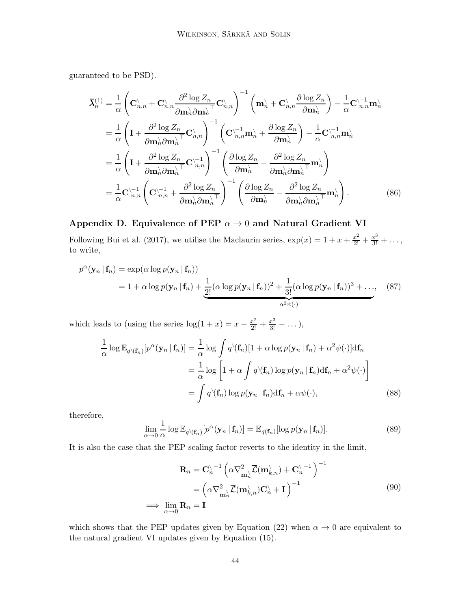guaranteed to be PSD).

$$
\overline{\lambda}_{n}^{(1)} = \frac{1}{\alpha} \left( \mathbf{C}_{n,n}^{\backslash} + \mathbf{C}_{n,n}^{\backslash} \frac{\partial^{2} \log Z_{n}}{\partial \mathbf{m}_{n}^{\backslash} \partial \mathbf{m}_{n}^{\backslash}} \mathbf{C}_{n,n}^{\backslash} \right)^{-1} \left( \mathbf{m}_{n}^{\backslash} + \mathbf{C}_{n,n}^{\backslash} \frac{\partial \log Z_{n}}{\partial \mathbf{m}_{n}^{\backslash}} \right) - \frac{1}{\alpha} \mathbf{C}_{n,n}^{\backslash -1} \mathbf{m}_{n}^{\backslash}
$$
\n
$$
= \frac{1}{\alpha} \left( \mathbf{I} + \frac{\partial^{2} \log Z_{n}}{\partial \mathbf{m}_{n}^{\backslash} \partial \mathbf{m}_{n}^{\backslash}} \mathbf{C}_{n,n}^{\backslash} \right)^{-1} \left( \mathbf{C}_{n,n}^{\backslash -1} \mathbf{m}_{n}^{\backslash} + \frac{\partial \log Z_{n}}{\partial \mathbf{m}_{n}^{\backslash}} \right) - \frac{1}{\alpha} \mathbf{C}_{n,n}^{\backslash -1} \mathbf{m}_{n}^{\backslash}
$$
\n
$$
= \frac{1}{\alpha} \left( \mathbf{I} + \frac{\partial^{2} \log Z_{n}}{\partial \mathbf{m}_{n}^{\backslash} \partial \mathbf{m}_{n}^{\backslash}} \mathbf{C}_{n,n}^{\backslash -1} \right)^{-1} \left( \frac{\partial \log Z_{n}}{\partial \mathbf{m}_{n}^{\backslash}} - \frac{\partial^{2} \log Z_{n}}{\partial \mathbf{m}_{n}^{\backslash} \partial \mathbf{m}_{n}^{\backslash}} \mathbf{m}_{n}^{\backslash} \right)
$$
\n
$$
= \frac{1}{\alpha} \mathbf{C}_{n,n}^{\backslash -1} \left( \mathbf{C}_{n,n}^{\backslash -1} + \frac{\partial^{2} \log Z_{n}}{\partial \mathbf{m}_{n}^{\backslash} \partial \mathbf{m}_{n}^{\backslash}} \right)^{-1} \left( \frac{\partial \log Z_{n}}{\partial \mathbf{m}_{n}^{\backslash}} - \frac{\partial^{2} \log Z_{n}}{\partial \mathbf{m}_{n}^{\backslash} \partial \mathbf{m}_{n}^{\backslash}} \
$$

# <span id="page-43-0"></span>Appendix D. Equivalence of PEP  $\alpha \rightarrow 0$  and Natural Gradient VI

Following [Bui et al. \(2017\)](#page-35-3), we utilise the Maclaurin series,  $\exp(x) = 1 + x + \frac{x^2}{2!} + \frac{x^3}{3!} + \dots$ to write,

$$
p^{\alpha}(\mathbf{y}_n | \mathbf{f}_n) = \exp(\alpha \log p(\mathbf{y}_n | \mathbf{f}_n))
$$
  
= 1 +  $\alpha \log p(\mathbf{y}_n | \mathbf{f}_n) + \frac{1}{2!} (\alpha \log p(\mathbf{y}_n | \mathbf{f}_n))^2 + \frac{1}{3!} (\alpha \log p(\mathbf{y}_n | \mathbf{f}_n))^3 + ..., (87)$ 

which leads to (using the series  $\log(1+x) = x - \frac{x^2}{2!} + \frac{x^3}{3!} - \dots$ ),

$$
\frac{1}{\alpha} \log \mathbb{E}_{q \setminus (\mathbf{f}_n)}[p^{\alpha}(\mathbf{y}_n | \mathbf{f}_n)] = \frac{1}{\alpha} \log \int q \setminus (\mathbf{f}_n)[1 + \alpha \log p(\mathbf{y}_n | \mathbf{f}_n) + \alpha^2 \psi(\cdot)] \mathrm{d}\mathbf{f}_n
$$
\n
$$
= \frac{1}{\alpha} \log \left[1 + \alpha \int q \setminus (\mathbf{f}_n) \log p(\mathbf{y}_n | \mathbf{f}_n) \mathrm{d}\mathbf{f}_n + \alpha^2 \psi(\cdot) \right]
$$
\n
$$
= \int q \setminus (\mathbf{f}_n) \log p(\mathbf{y}_n | \mathbf{f}_n) \mathrm{d}\mathbf{f}_n + \alpha \psi(\cdot), \tag{88}
$$

therefore,

$$
\lim_{\alpha \to 0} \frac{1}{\alpha} \log \mathbb{E}_{q \setminus (\mathbf{f}_n)} [p^{\alpha}(\mathbf{y}_n | \mathbf{f}_n)] = \mathbb{E}_{q(\mathbf{f}_n)} [\log p(\mathbf{y}_n | \mathbf{f}_n)]. \tag{89}
$$

It is also the case that the PEP scaling factor reverts to the identity in the limit,

$$
\mathbf{R}_n = \mathbf{C}_n^{\setminus -1} \left( \alpha \nabla_{\mathbf{m}_n^{\setminus}}^2 \overline{\mathcal{L}}(\mathbf{m}_{k,n}^{\setminus}) + \mathbf{C}_n^{\setminus -1} \right)^{-1}
$$
  
=  $\left( \alpha \nabla_{\mathbf{m}_n^{\setminus}}^2 \overline{\mathcal{L}}(\mathbf{m}_{k,n}^{\setminus}) \mathbf{C}_n^{\setminus} + \mathbf{I} \right)^{-1}$   
 $\implies \lim_{\alpha \to 0} \mathbf{R}_n = \mathbf{I}$  (90)

which shows that the PEP updates given by [Equation \(22\)](#page-9-1) when  $\alpha \to 0$  are equivalent to the natural gradient VI updates given by [Equation \(15\).](#page-7-1)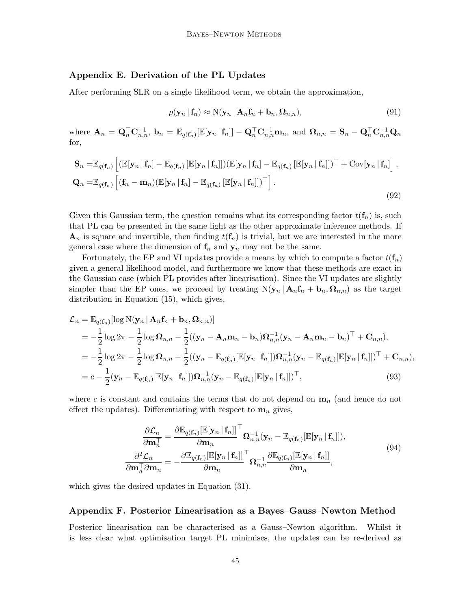# <span id="page-44-0"></span>Appendix E. Derivation of the PL Updates

After performing SLR on a single likelihood term, we obtain the approximation,

$$
p(\mathbf{y}_n | \mathbf{f}_n) \approx \mathcal{N}(\mathbf{y}_n | \mathbf{A}_n \mathbf{f}_n + \mathbf{b}_n, \mathbf{\Omega}_{n,n}),
$$
\n(91)

where  $\mathbf{A}_n = \mathbf{Q}_n^{\top} \mathbf{C}_{n,n}^{-1}$ ,  $\mathbf{b}_n = \mathbb{E}_{q(\mathbf{f}_n)}[\mathbb{E}[\mathbf{y}_n | \mathbf{f}_n]] - \mathbf{Q}_n^{\top} \mathbf{C}_{n,n}^{-1} \mathbf{m}_n$ , and  $\mathbf{\Omega}_{n,n} = \mathbf{S}_n - \mathbf{Q}_n^{\top} \mathbf{C}_{n,n}^{-1} \mathbf{Q}_n$ for,

$$
\mathbf{S}_{n} = \mathbb{E}_{q(\mathbf{f}_{n})} \left[ \left( \mathbb{E}[\mathbf{y}_{n} | \mathbf{f}_{n}] - \mathbb{E}_{q(\mathbf{f}_{n})} \left[ \mathbb{E}[\mathbf{y}_{n} | \mathbf{f}_{n}] \right] \right) \left( \mathbb{E}[\mathbf{y}_{n} | \mathbf{f}_{n}] - \mathbb{E}_{q(\mathbf{f}_{n})} \left[ \mathbb{E}[\mathbf{y}_{n} | \mathbf{f}_{n}] \right] \right)^{\top} + \text{Cov}[\mathbf{y}_{n} | \mathbf{f}_{n}] \right],
$$
  
\n
$$
\mathbf{Q}_{n} = \mathbb{E}_{q(\mathbf{f}_{n})} \left[ (\mathbf{f}_{n} - \mathbf{m}_{n}) (\mathbb{E}[\mathbf{y}_{n} | \mathbf{f}_{n}] - \mathbb{E}_{q(\mathbf{f}_{n})} \left[ \mathbb{E}[\mathbf{y}_{n} | \mathbf{f}_{n}]\right] \right)^{\top} \right].
$$
\n(92)

Given this Gaussian term, the question remains what its corresponding factor  $t(f_n)$  is, such that PL can be presented in the same light as the other approximate inference methods. If  $\mathbf{A}_n$  is square and invertible, then finding  $t(\mathbf{f}_n)$  is trivial, but we are interested in the more general case where the dimension of  $f_n$  and  $y_n$  may not be the same.

Fortunately, the EP and VI updates provide a means by which to compute a factor  $t(f_n)$ given a general likelihood model, and furthermore we know that these methods are exact in the Gaussian case (which PL provides after linearisation). Since the VI updates are slightly simpler than the EP ones, we proceed by treating  $N(\mathbf{y}_n | \mathbf{A}_n \mathbf{f}_n + \mathbf{b}_n, \mathbf{\Omega}_{n,n})$  as the target distribution in [Equation \(15\),](#page-7-1) which gives,

$$
\mathcal{L}_{n} = \mathbb{E}_{q(\mathbf{f}_{n})}[\log N(\mathbf{y}_{n} | \mathbf{A}_{n} \mathbf{f}_{n} + \mathbf{b}_{n}, \mathbf{\Omega}_{n,n})]
$$
\n
$$
= -\frac{1}{2} \log 2\pi - \frac{1}{2} \log \mathbf{\Omega}_{n,n} - \frac{1}{2} ((\mathbf{y}_{n} - \mathbf{A}_{n} \mathbf{m}_{n} - \mathbf{b}_{n}) \mathbf{\Omega}_{n,n}^{-1} (\mathbf{y}_{n} - \mathbf{A}_{n} \mathbf{m}_{n} - \mathbf{b}_{n})^{\top} + \mathbf{C}_{n,n}),
$$
\n
$$
= -\frac{1}{2} \log 2\pi - \frac{1}{2} \log \mathbf{\Omega}_{n,n} - \frac{1}{2} ((\mathbf{y}_{n} - \mathbb{E}_{q(\mathbf{f}_{n})}[\mathbb{E}[\mathbf{y}_{n} | \mathbf{f}_{n}]]) \mathbf{\Omega}_{n,n}^{-1} (\mathbf{y}_{n} - \mathbb{E}_{q(\mathbf{f}_{n})}[\mathbb{E}[\mathbf{y}_{n} | \mathbf{f}_{n}]])^{\top} + \mathbf{C}_{n,n}),
$$
\n
$$
= c - \frac{1}{2} (\mathbf{y}_{n} - \mathbb{E}_{q(\mathbf{f}_{n})}[\mathbb{E}[\mathbf{y}_{n} | \mathbf{f}_{n}]]) \mathbf{\Omega}_{n,n}^{-1} (\mathbf{y}_{n} - \mathbb{E}_{q(\mathbf{f}_{n})}[\mathbb{E}[\mathbf{y}_{n} | \mathbf{f}_{n}]])^{\top}, \tag{93}
$$

where c is constant and contains the terms that do not depend on  $\mathbf{m}_n$  (and hence do not effect the updates). Differentiating with respect to  $\mathbf{m}_n$  gives,

$$
\frac{\partial \mathcal{L}_n}{\partial \mathbf{m}_n^{\top}} = \frac{\partial \mathbb{E}_{q(\mathbf{f}_n)}[\mathbb{E}[\mathbf{y}_n | \mathbf{f}_n]]^{\top} \mathbf{\Omega}_{n,n}^{-1} (\mathbf{y}_n - \mathbb{E}_{q(\mathbf{f}_n)}[\mathbb{E}[\mathbf{y}_n | \mathbf{f}_n]]), \n\frac{\partial^2 \mathcal{L}_n}{\partial \mathbf{m}_n^{\top} \partial \mathbf{m}_n} = -\frac{\partial \mathbb{E}_{q(\mathbf{f}_n)}[\mathbb{E}[\mathbf{y}_n | \mathbf{f}_n]]^{\top} \mathbf{\Omega}_{n,n}^{-1} \frac{\partial \mathbb{E}_{q(\mathbf{f}_n)}[\mathbb{E}[\mathbf{y}_n | \mathbf{f}_n]]}{\partial \mathbf{m}_n},
$$
\n(94)

which gives the desired updates in [Equation \(31\).](#page-11-1)

# <span id="page-44-1"></span>Appendix F. Posterior Linearisation as a Bayes–Gauss–Newton Method

Posterior linearisation can be characterised as a Gauss–Newton algorithm. Whilst it is less clear what optimisation target PL minimises, the updates can be re-derived as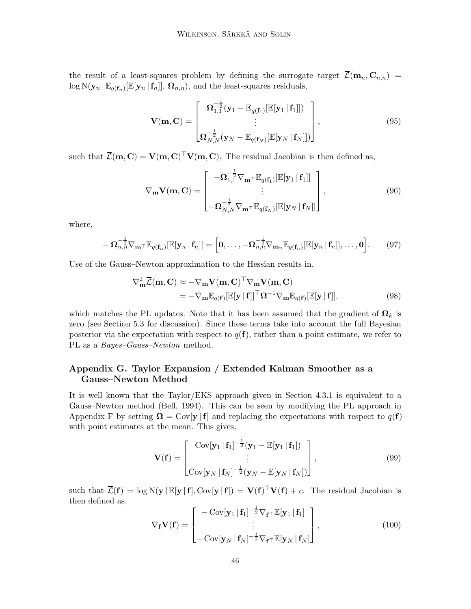the result of a least-squares problem by defining the surrogate target  $\overline{\mathcal{L}}(\mathbf{m}_n, \mathbf{C}_{n,n}) =$  $\log N(\mathbf{y}_n | \mathbb{E}_{q(\mathbf{f}_n)}[\mathbb{E}[\mathbf{y}_n | \mathbf{f}_n]], \mathbf{\Omega}_{n,n}),$  and the least-squares residuals,

$$
\mathbf{V}(\mathbf{m}, \mathbf{C}) = \begin{bmatrix} \mathbf{\Omega}_{1,1}^{-\frac{1}{2}} (\mathbf{y}_1 - \mathbb{E}_{q(\mathbf{f}_1)}[\mathbb{E}[\mathbf{y}_1 | \mathbf{f}_1]]) \\ \vdots \\ \mathbf{\Omega}_{N,N}^{-\frac{1}{2}} (\mathbf{y}_N - \mathbb{E}_{q(\mathbf{f}_N)}[\mathbb{E}[\mathbf{y}_N | \mathbf{f}_N]]) \end{bmatrix},
$$
(95)

such that  $\overline{\mathcal{L}}(\mathbf{m}, \mathbf{C}) = \mathbf{V}(\mathbf{m}, \mathbf{C})^\top \mathbf{V}(\mathbf{m}, \mathbf{C})$ . The residual Jacobian is then defined as,

$$
\nabla_{\mathbf{m}} \mathbf{V}(\mathbf{m}, \mathbf{C}) = \begin{bmatrix} -\mathbf{\Omega}_{1,1}^{-\frac{1}{2}} \nabla_{\mathbf{m}^{\top}} \mathbb{E}_{q(\mathbf{f}_{1})} [\mathbb{E}[\mathbf{y}_{1} | \mathbf{f}_{1}]] \\ \vdots \\ -\mathbf{\Omega}_{N,N}^{-\frac{1}{2}} \nabla_{\mathbf{m}^{\top}} \mathbb{E}_{q(\mathbf{f}_{N})} [\mathbb{E}[\mathbf{y}_{N} | \mathbf{f}_{N}]] \end{bmatrix},
$$
(96)

where,

$$
-\mathbf{\Omega}_{n,n}^{-\frac{1}{2}}\nabla_{\mathbf{m}}\mathbf{\tau}\mathbb{E}_{q(\mathbf{f}_n)}[\mathbb{E}[\mathbf{y}_n\,|\,\mathbf{f}_n]] = \left[\mathbf{0},\ldots,-\mathbf{\Omega}_{n,n}^{-\frac{1}{2}}\nabla_{\mathbf{m}_n}\mathbb{E}_{q(\mathbf{f}_n)}[\mathbb{E}[\mathbf{y}_n\,|\,\mathbf{f}_n]],\ldots,\mathbf{0}\right].\tag{97}
$$

Use of the Gauss–Newton approximation to the Hessian results in,

$$
\nabla_{\mathbf{m}}^2 \overline{\mathcal{L}}(\mathbf{m}, \mathbf{C}) \approx -\nabla_{\mathbf{m}} \mathbf{V}(\mathbf{m}, \mathbf{C})^\top \nabla_{\mathbf{m}} \mathbf{V}(\mathbf{m}, \mathbf{C})
$$
  
= -\nabla\_{\mathbf{m}} \mathbb{E}\_{q(\mathbf{f})} [\mathbb{E}[\mathbf{y} | \mathbf{f}]]^\top \Omega^{-1} \nabla\_{\mathbf{m}} \mathbb{E}\_{q(\mathbf{f})} [\mathbb{E}[\mathbf{y} | \mathbf{f}]], \t(98)

which matches the PL updates. Note that it has been assumed that the gradient of  $\Omega_k$  is zero (see [Section 5.3](#page-18-1) for discussion). Since these terms take into account the full Bayesian posterior via the expectation with respect to  $q(\mathbf{f})$ , rather than a point estimate, we refer to PL as a *Bayes–Gauss–Newton* method.

# <span id="page-45-0"></span>Appendix G. Taylor Expansion / Extended Kalman Smoother as a Gauss–Newton Method

It is well known that the Taylor/EKS approach given in [Section 4.3.1](#page-12-1) is equivalent to a Gauss–Newton method [\(Bell](#page-34-0), [1994\)](#page-34-0). This can be seen by modifying the PL approach in [Appendix F](#page-44-1) by setting  $\Omega = \text{Cov}[\mathbf{y} | \mathbf{f}]$  and replacing the expectations with respect to  $q(\mathbf{f})$ with point estimates at the mean. This gives,

$$
\mathbf{V}(\mathbf{f}) = \begin{bmatrix} \text{Cov}[\mathbf{y}_1 | \mathbf{f}_1]^{-\frac{1}{2}} (\mathbf{y}_1 - \mathbb{E}[\mathbf{y}_1 | \mathbf{f}_1]) \\ \vdots \\ \text{Cov}[\mathbf{y}_N | \mathbf{f}_N]^{-\frac{1}{2}} (\mathbf{y}_N - \mathbb{E}[\mathbf{y}_N | \mathbf{f}_N]) \end{bmatrix},
$$
(99)

such that  $\overline{\mathcal{L}}(\mathbf{f}) = \log N(\mathbf{y} | \mathbb{E}[\mathbf{y} | \mathbf{f}], \text{Cov}[\mathbf{y} | \mathbf{f}]) = \mathbf{V}(\mathbf{f})^{\top} \mathbf{V}(\mathbf{f}) + c$ . The residual Jacobian is then defined as,

$$
\nabla_{\mathbf{f}} \mathbf{V}(\mathbf{f}) = \begin{bmatrix} -\operatorname{Cov}[\mathbf{y}_1 | \mathbf{f}_1]^{-\frac{1}{2}} \nabla_{\mathbf{f}} \tau \mathbb{E}[\mathbf{y}_1 | \mathbf{f}_1] \\ \vdots \\ -\operatorname{Cov}[\mathbf{y}_N | \mathbf{f}_N]^{-\frac{1}{2}} \nabla_{\mathbf{f}} \tau \mathbb{E}[\mathbf{y}_N | \mathbf{f}_N] \end{bmatrix},
$$
(100)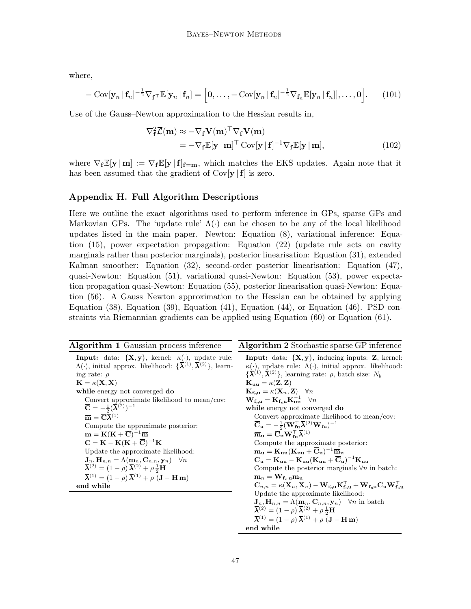where,

$$
-\operatorname{Cov}[\mathbf{y}_n \mid \mathbf{f}_n]^{-\frac{1}{2}} \nabla_{\mathbf{f}} \top \mathbb{E}[\mathbf{y}_n \mid \mathbf{f}_n] = \left[\mathbf{0}, \ldots, -\operatorname{Cov}[\mathbf{y}_n \mid \mathbf{f}_n]^{-\frac{1}{2}} \nabla_{\mathbf{f}_n} \mathbb{E}[\mathbf{y}_n \mid \mathbf{f}_n]], \ldots, \mathbf{0}\right].
$$
 (101)

Use of the Gauss–Newton approximation to the Hessian results in,

$$
\nabla_{\mathbf{f}}^2 \overline{\mathcal{L}}(\mathbf{m}) \approx -\nabla_{\mathbf{f}} \mathbf{V}(\mathbf{m})^\top \nabla_{\mathbf{f}} \mathbf{V}(\mathbf{m})
$$
  
= -\nabla\_{\mathbf{f}} \mathbb{E}[\mathbf{y} | \mathbf{m}]^\top \text{Cov}[\mathbf{y} | \mathbf{f}]^{-1} \nabla\_{\mathbf{f}} \mathbb{E}[\mathbf{y} | \mathbf{m}], \t(102)

where  $\nabla_f \mathbb{E}[\mathbf{y} | \mathbf{m}] := \nabla_f \mathbb{E}[\mathbf{y} | \mathbf{f}]_{f=\mathbf{m}}$ , which matches the EKS updates. Again note that it has been assumed that the gradient of  $Cov[\mathbf{y} | \mathbf{f}]$  is zero.

# <span id="page-46-0"></span>Appendix H. Full Algorithm Descriptions

Here we outline the exact algorithms used to perform inference in GPs, sparse GPs and Markovian GPs. The 'update rule'  $\Lambda(\cdot)$  can be chosen to be any of the local likelihood updates listed in the main paper. Newton: [Equation \(8\),](#page-5-2) variational inference: Equation (15), power expectation propagation: [Equation \(22\)](#page-9-1) (update rule acts on cavity marginals rather than posterior marginals), posterior linearisation: [Equation \(31\),](#page-11-1) extended Kalman smoother: [Equation \(32\),](#page-12-0) second-order posterior linearisation: [Equation \(47\),](#page-18-2) quasi-Newton: [Equation \(51\),](#page-19-2) variational quasi-Newton: [Equation \(53\),](#page-20-0) power expectation propagation quasi-Newton: [Equation \(55\),](#page-21-1) posterior linearisation quasi-Newton: Equation (56). A Gauss–Newton approximation to the Hessian can be obtained by applying [Equation \(38\),](#page-16-0) [Equation \(39\),](#page-16-1) [Equation \(41\),](#page-17-1) [Equation \(44\),](#page-17-2) or [Equation \(46\).](#page-18-0) PSD constraints via Riemannian gradients can be applied using [Equation \(60\)](#page-22-1) or [Equation \(61\).](#page-22-2)

<span id="page-46-1"></span>

| <b>Algorithm 1</b> Gaussian process inference<br><b>Input:</b> data: $\{X, y\}$ , kernel: $\kappa(\cdot)$ , update rule:<br>$\Lambda(\cdot)$ , initial approx. likelihood: $\{\overline{\lambda}^{(1)}, \overline{\lambda}^{(2)}\}$ , learn-<br>$\{\overline{\lambda}^{(1)}, \overline{\lambda}^{(2)}\}\$ , learning rate: $\rho$ , batch size: $N_b$<br>ing rate: $\rho$<br>$\mathbf{K} = \kappa(\mathbf{X}, \mathbf{X})$<br>$\mathbf{K}_{\mathbf{u}\mathbf{u}} = \kappa(\mathbf{Z}, \mathbf{Z})$<br>$\mathbf{K}_{\mathbf{f}_{n} \mathbf{u}} = \kappa(\mathbf{X}_n, \mathbf{Z}) \quad \forall n$<br>while energy not converged do                                                                                                                                                                                                                                                                                                                                                                                                                                                                                                                                                                                                                                                                                                                                                                                                                                                                                                                                                                                                                                                                                                                                                                                                                                                                        |                                                                                                                                                                                                                                                                                                                                                                                                                                                                                                                                                                                                                                                                  |
|-----------------------------------------------------------------------------------------------------------------------------------------------------------------------------------------------------------------------------------------------------------------------------------------------------------------------------------------------------------------------------------------------------------------------------------------------------------------------------------------------------------------------------------------------------------------------------------------------------------------------------------------------------------------------------------------------------------------------------------------------------------------------------------------------------------------------------------------------------------------------------------------------------------------------------------------------------------------------------------------------------------------------------------------------------------------------------------------------------------------------------------------------------------------------------------------------------------------------------------------------------------------------------------------------------------------------------------------------------------------------------------------------------------------------------------------------------------------------------------------------------------------------------------------------------------------------------------------------------------------------------------------------------------------------------------------------------------------------------------------------------------------------------------------------------------------------------------------------------------------------------------------------------------|------------------------------------------------------------------------------------------------------------------------------------------------------------------------------------------------------------------------------------------------------------------------------------------------------------------------------------------------------------------------------------------------------------------------------------------------------------------------------------------------------------------------------------------------------------------------------------------------------------------------------------------------------------------|
|                                                                                                                                                                                                                                                                                                                                                                                                                                                                                                                                                                                                                                                                                                                                                                                                                                                                                                                                                                                                                                                                                                                                                                                                                                                                                                                                                                                                                                                                                                                                                                                                                                                                                                                                                                                                                                                                                                           | <b>Algorithm 2</b> Stochastic sparse GP inference                                                                                                                                                                                                                                                                                                                                                                                                                                                                                                                                                                                                                |
| Convert approximate likelihood to mean/cov:<br>$\overline{\mathbf{C}} = -\frac{1}{2}(\overline{\boldsymbol{\lambda}}^{(2)})^{-1}$<br>while energy not converged do<br>$\overline{\mathbf{m}} = \overline{\mathbf{C}} \overline{\boldsymbol{\lambda}}^{(1)}$<br>$\overline{\mathbf{C}}_{\mathbf{u}} = -\frac{1}{2}(\mathbf{W}_{\mathbf{f}\mathbf{u}}^{\top} \overline{\boldsymbol{\lambda}}^{(2)} \mathbf{W}_{\mathbf{f}\mathbf{u}})^{-1}$<br>Compute the approximate posterior:<br>$\overline{\mathbf{m}}_{\mathbf{u}} = \overline{\mathbf{C}}_{\mathbf{u}} \mathbf{W}_{\mathbf{f} \mathbf{u}}^{\top} \overline{\boldsymbol{\lambda}}^{(1)}$<br>$\mathbf{m} = \mathbf{K}(\mathbf{K} + \overline{\mathbf{C}})^{-1}\overline{\mathbf{m}}$<br>$\mathbf{C} = \mathbf{K} - \mathbf{K}(\mathbf{K} + \overline{\mathbf{C}})^{-1}\mathbf{K}$<br>Compute the approximate posterior:<br>$m_u = K_{uu}(K_{uu} + \overline{C}_u)^{-1} \overline{m}_u$<br>Update the approximate likelihood:<br>$C_{\mathbf{u}} = \mathbf{K}_{\mathbf{u}\mathbf{u}} - \mathbf{K}_{\mathbf{u}\mathbf{u}} (\mathbf{K}_{\mathbf{u}\mathbf{u}} + \overline{\mathbf{C}}_{\mathbf{u}})^{-1} \mathbf{K}_{\mathbf{u}\mathbf{u}}$<br>$\mathbf{J}_n, \mathbf{H}_{n,n} = \Lambda(\mathbf{m}_n, \mathbf{C}_{n,n}, \mathbf{y}_n) \quad \forall n$<br>$\overline{\lambda}^{(2)} = (1 - \rho) \overline{\lambda}^{(2)} + \rho \frac{1}{2} \mathbf{H}$<br>$\overline{\lambda}^{(1)} = (1 - \rho) \overline{\lambda}^{(1)} + \rho (J - H m)$<br>$m_n = W_{f_n}$ umu<br>end while<br>Update the approximate likelihood:<br>$\mathbf{J}_n, \mathbf{H}_{n,n} = \Lambda(\mathbf{m}_n, \mathbf{C}_{n,n}, \mathbf{y}_n)$ $\forall n$ in batch<br>$\overline{\boldsymbol{\lambda}}^{(2)} = (1-\rho)\,\overline{\boldsymbol{\lambda}}^{(2)} + \rho\,\frac{1}{2}\mathbf{H}$<br>$\overline{\lambda}^{(1)} = (1 - \rho) \overline{\lambda}^{(1)} + \rho (J - H m)$ | <b>Input:</b> data: $\{X, y\}$ , inducing inputs: <b>Z</b> , kernel:<br>$\kappa(\cdot)$ , update rule: $\Lambda(\cdot)$ , initial approx. likelihood:<br>$\mathbf{W}_{\mathbf{f}_{n}\mathbf{u}} = \mathbf{K}_{\mathbf{f}_{n}\mathbf{u}} \mathbf{K}_{\mathbf{u}\mathbf{u}}^{-1} \quad \forall n$<br>Convert approximate likelihood to mean/cov:<br>Compute the posterior marginals $\forall n$ in batch:<br>$\mathbf{C}_{n,n} = \kappa(\mathbf{X}_n, \mathbf{X}_n) - \mathbf{W}_{\mathbf{f}_{n}\mathbf{u}} \mathbf{K}_{\mathbf{f}_{n}\mathbf{u}}^\top + \mathbf{W}_{\mathbf{f}_{n}\mathbf{u}} \mathbf{C}_{\mathbf{u}} \mathbf{W}_{\mathbf{f}_{n}\mathbf{u}}^\top$ |

end while